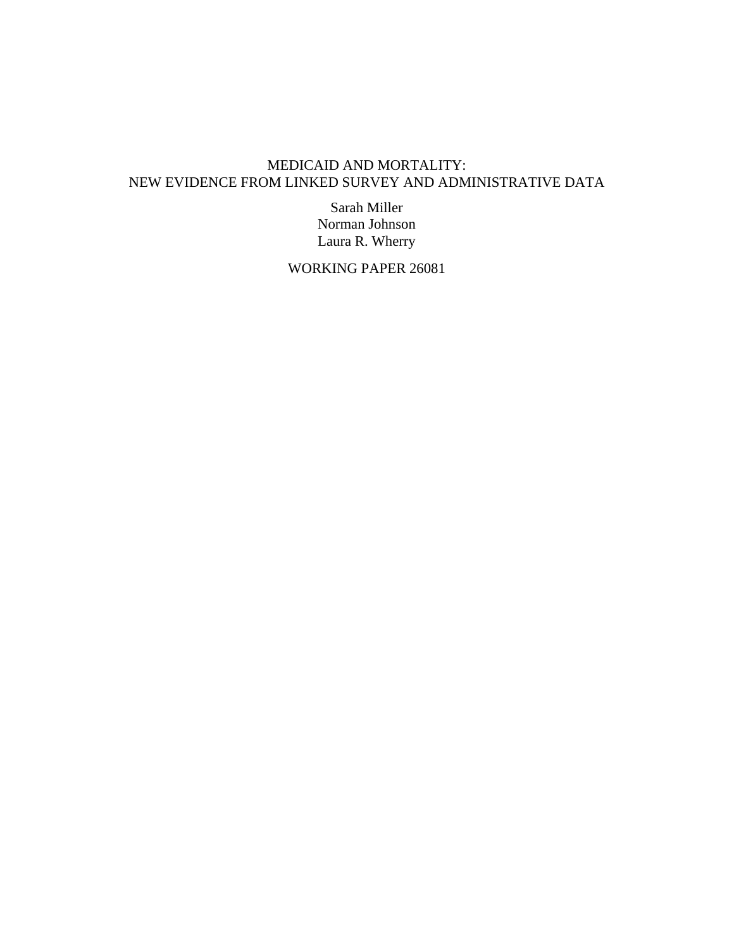# MEDICAID AND MORTALITY: NEW EVIDENCE FROM LINKED SURVEY AND ADMINISTRATIVE DATA

Sarah Miller Norman Johnson Laura R. Wherry

WORKING PAPER 26081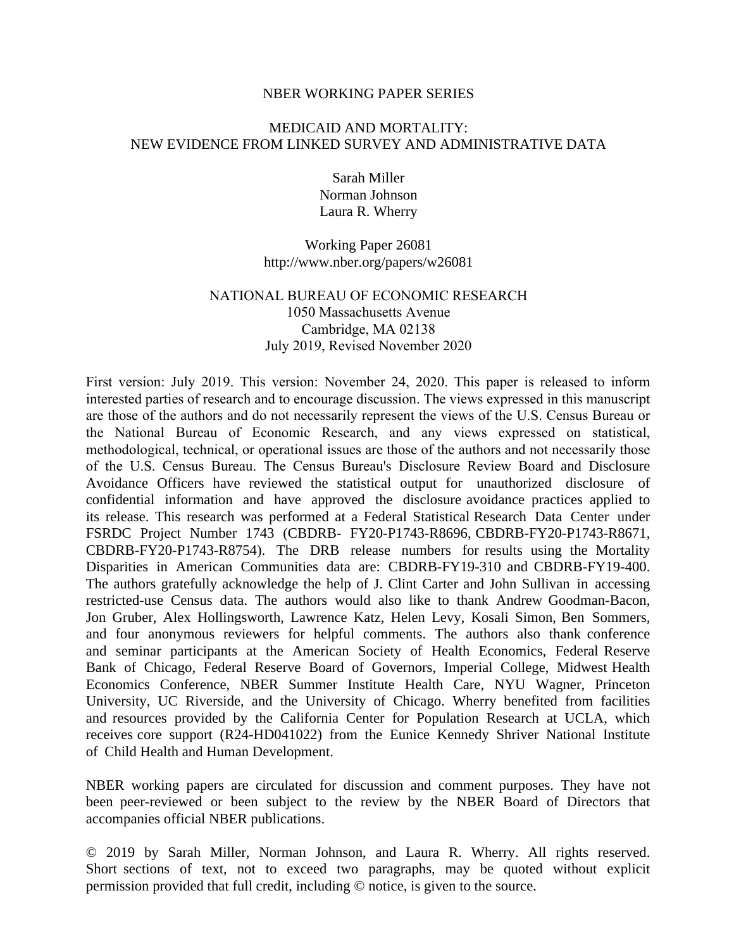#### NBER WORKING PAPER SERIES

### MEDICAID AND MORTALITY: NEW EVIDENCE FROM LINKED SURVEY AND ADMINISTRATIVE DATA

Sarah Miller Norman Johnson Laura R. Wherry

Working Paper 26081 http://www.nber.org/papers/w26081

### NATIONAL BUREAU OF ECONOMIC RESEARCH 1050 Massachusetts Avenue Cambridge, MA 02138 July 2019, Revised November 2020

First version: July 2019. This version: November 24, 2020. This paper is released to inform interested parties of research and to encourage discussion. The views expressed in this manuscript are those of the authors and do not necessarily represent the views of the U.S. Census Bureau or the National Bureau of Economic Research, and any views expressed on statistical, methodological, technical, or operational issues are those of the authors and not necessarily those of the U.S. Census Bureau. The Census Bureau's Disclosure Review Board and Disclosure Avoidance Officers have reviewed the statistical output for unauthorized disclosure of confidential information and have approved the disclosure avoidance practices applied to its release. This research was performed at a Federal Statistical Research Data Center under FSRDC Project Number 1743 (CBDRB- FY20-P1743-R8696, CBDRB-FY20-P1743-R8671, CBDRB-FY20-P1743-R8754). The DRB release numbers for results using the Mortality Disparities in American Communities data are: CBDRB-FY19-310 and CBDRB-FY19-400. The authors gratefully acknowledge the help of J. Clint Carter and John Sullivan in accessing restricted-use Census data. The authors would also like to thank Andrew Goodman-Bacon, Jon Gruber, Alex Hollingsworth, Lawrence Katz, Helen Levy, Kosali Simon, Ben Sommers, and four anonymous reviewers for helpful comments. The authors also thank conference and seminar participants at the American Society of Health Economics, Federal Reserve Bank of Chicago, Federal Reserve Board of Governors, Imperial College, Midwest Health Economics Conference, NBER Summer Institute Health Care, NYU Wagner, Princeton University, UC Riverside, and the University of Chicago. Wherry benefited from facilities and resources provided by the California Center for Population Research at UCLA, which receives core support (R24-HD041022) from the Eunice Kennedy Shriver National Institute of Child Health and Human Development.

NBER working papers are circulated for discussion and comment purposes. They have not been peer-reviewed or been subject to the review by the NBER Board of Directors that accompanies official NBER publications.

© 2019 by Sarah Miller, Norman Johnson, and Laura R. Wherry. All rights reserved. Short sections of text, not to exceed two paragraphs, may be quoted without explicit permission provided that full credit, including © notice, is given to the source.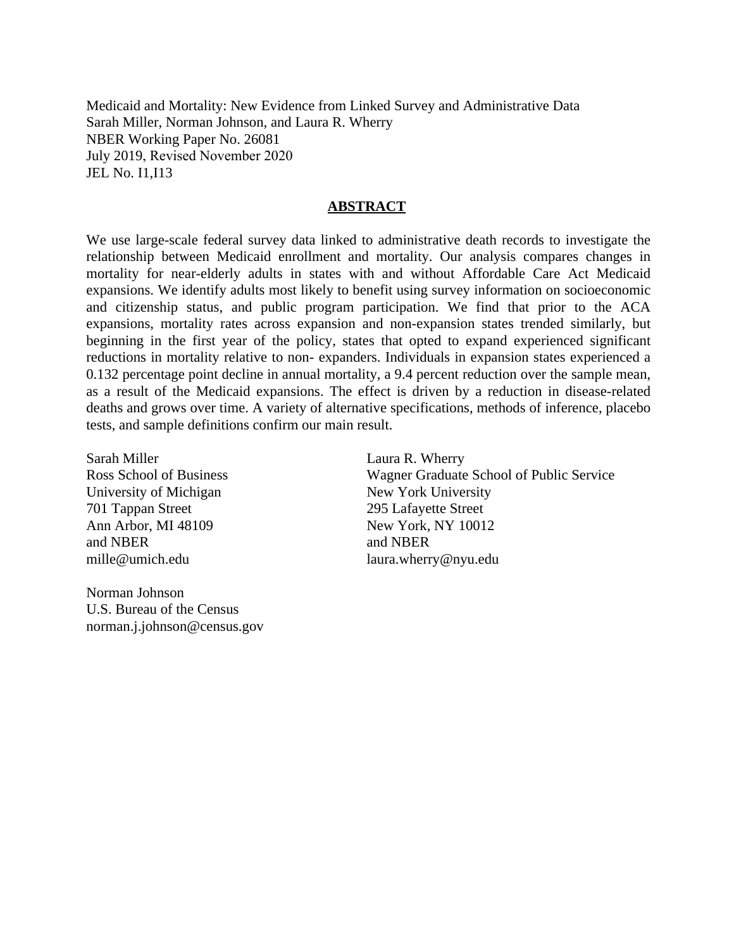Medicaid and Mortality: New Evidence from Linked Survey and Administrative Data Sarah Miller, Norman Johnson, and Laura R. Wherry NBER Working Paper No. 26081 July 2019, Revised November 2020 JEL No. I1,I13

#### **ABSTRACT**

We use large-scale federal survey data linked to administrative death records to investigate the relationship between Medicaid enrollment and mortality. Our analysis compares changes in mortality for near-elderly adults in states with and without Affordable Care Act Medicaid expansions. We identify adults most likely to benefit using survey information on socioeconomic and citizenship status, and public program participation. We find that prior to the ACA expansions, mortality rates across expansion and non-expansion states trended similarly, but beginning in the first year of the policy, states that opted to expand experienced significant reductions in mortality relative to non- expanders. Individuals in expansion states experienced a 0.132 percentage point decline in annual mortality, a 9.4 percent reduction over the sample mean, as a result of the Medicaid expansions. The effect is driven by a reduction in disease-related deaths and grows over time. A variety of alternative specifications, methods of inference, placebo tests, and sample definitions confirm our main result.

Sarah Miller Ross School of Business University of Michigan 701 Tappan Street Ann Arbor, MI 48109 and NBER mille@umich.edu

Norman Johnson U.S. Bureau of the Census norman.j.johnson@census.gov

Laura R. Wherry Wagner Graduate School of Public Service New York University 295 Lafayette Street New York, NY 10012 and NBER laura.wherry@nyu.edu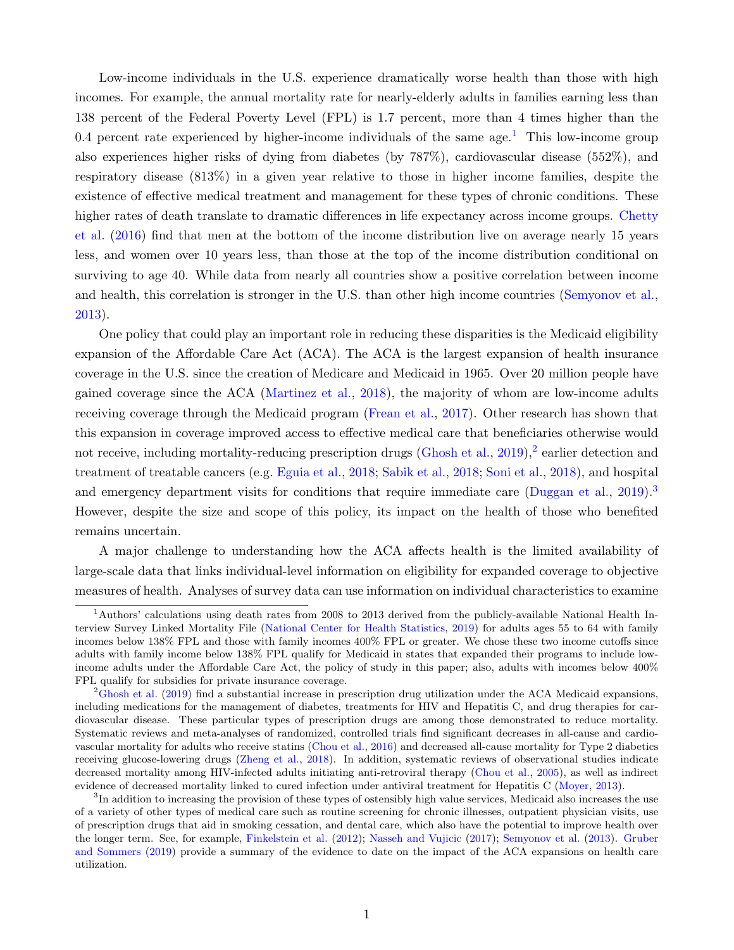Low-income individuals in the U.S. experience dramatically worse health than those with high incomes. For example, the annual mortality rate for nearly-elderly adults in families earning less than 138 percent of the Federal Poverty Level (FPL) is 1.7 percent, more than 4 times higher than the 0.4 percent rate experienced by higher-income individuals of the same age.<sup>[1](#page-3-0)</sup> This low-income group also experiences higher risks of dying from diabetes (by 787%), cardiovascular disease (552%), and respiratory disease (813%) in a given year relative to those in higher income families, despite the existence of effective medical treatment and management for these types of chronic conditions. These higher rates of death translate to dramatic differences in life expectancy across income groups. [Chetty](#page-34-0) [et al.](#page-34-0) [\(2016\)](#page-34-0) find that men at the bottom of the income distribution live on average nearly 15 years less, and women over 10 years less, than those at the top of the income distribution conditional on surviving to age 40. While data from nearly all countries show a positive correlation between income and health, this correlation is stronger in the U.S. than other high income countries [\(Semyonov et al.,](#page-39-0) [2013\)](#page-39-0).

One policy that could play an important role in reducing these disparities is the Medicaid eligibility expansion of the Affordable Care Act (ACA). The ACA is the largest expansion of health insurance coverage in the U.S. since the creation of Medicare and Medicaid in 1965. Over 20 million people have gained coverage since the ACA [\(Martinez et al.,](#page-37-0) [2018\)](#page-37-0), the majority of whom are low-income adults receiving coverage through the Medicaid program [\(Frean et al.,](#page-35-0) [2017\)](#page-35-0). Other research has shown that this expansion in coverage improved access to effective medical care that beneficiaries otherwise would not receive, including mortality-reducing prescription drugs [\(Ghosh et al.,](#page-35-1) [2019\)](#page-35-1),<sup>[2](#page-3-1)</sup> earlier detection and treatment of treatable cancers (e.g. [Eguia et al.,](#page-35-2) [2018;](#page-35-2) [Sabik et al.,](#page-39-1) [2018;](#page-39-1) [Soni et al.,](#page-39-2) [2018\)](#page-39-2), and hospital and emergency department visits for conditions that require immediate care [\(Duggan et al.,](#page-35-3) [2019\)](#page-35-3).<sup>[3](#page-3-2)</sup> However, despite the size and scope of this policy, its impact on the health of those who benefited remains uncertain.

A major challenge to understanding how the ACA affects health is the limited availability of large-scale data that links individual-level information on eligibility for expanded coverage to objective measures of health. Analyses of survey data can use information on individual characteristics to examine

<span id="page-3-0"></span><sup>&</sup>lt;sup>1</sup>Authors' calculations using death rates from 2008 to 2013 derived from the publicly-available National Health Interview Survey Linked Mortality File [\(National Center for Health Statistics,](#page-38-0) [2019\)](#page-38-0) for adults ages 55 to 64 with family incomes below 138% FPL and those with family incomes 400% FPL or greater. We chose these two income cutoffs since adults with family income below 138% FPL qualify for Medicaid in states that expanded their programs to include lowincome adults under the Affordable Care Act, the policy of study in this paper; also, adults with incomes below 400% FPL qualify for subsidies for private insurance coverage.

<span id="page-3-1"></span> ${}^{2}$ [Ghosh et al.](#page-35-1) [\(2019\)](#page-35-1) find a substantial increase in prescription drug utilization under the ACA Medicaid expansions, including medications for the management of diabetes, treatments for HIV and Hepatitis C, and drug therapies for cardiovascular disease. These particular types of prescription drugs are among those demonstrated to reduce mortality. Systematic reviews and meta-analyses of randomized, controlled trials find significant decreases in all-cause and cardiovascular mortality for adults who receive statins [\(Chou et al.,](#page-34-1) [2016\)](#page-34-1) and decreased all-cause mortality for Type 2 diabetics receiving glucose-lowering drugs [\(Zheng et al.,](#page-40-0) [2018\)](#page-40-0). In addition, systematic reviews of observational studies indicate decreased mortality among HIV-infected adults initiating anti-retroviral therapy [\(Chou et al.,](#page-34-2) [2005\)](#page-34-2), as well as indirect evidence of decreased mortality linked to cured infection under antiviral treatment for Hepatitis C [\(Moyer,](#page-38-1) [2013\)](#page-38-1).

<span id="page-3-2"></span><sup>&</sup>lt;sup>3</sup>In addition to increasing the provision of these types of ostensibly high value services, Medicaid also increases the use of a variety of other types of medical care such as routine screening for chronic illnesses, outpatient physician visits, use of prescription drugs that aid in smoking cessation, and dental care, which also have the potential to improve health over the longer term. See, for example, [Finkelstein et al.](#page-35-4) [\(2012\)](#page-35-4); [Nasseh and Vujicic](#page-38-2) [\(2017\)](#page-38-2); [Semyonov et al.](#page-39-0) [\(2013\)](#page-39-0). [Gruber](#page-36-0) [and Sommers](#page-36-0) [\(2019\)](#page-36-0) provide a summary of the evidence to date on the impact of the ACA expansions on health care utilization.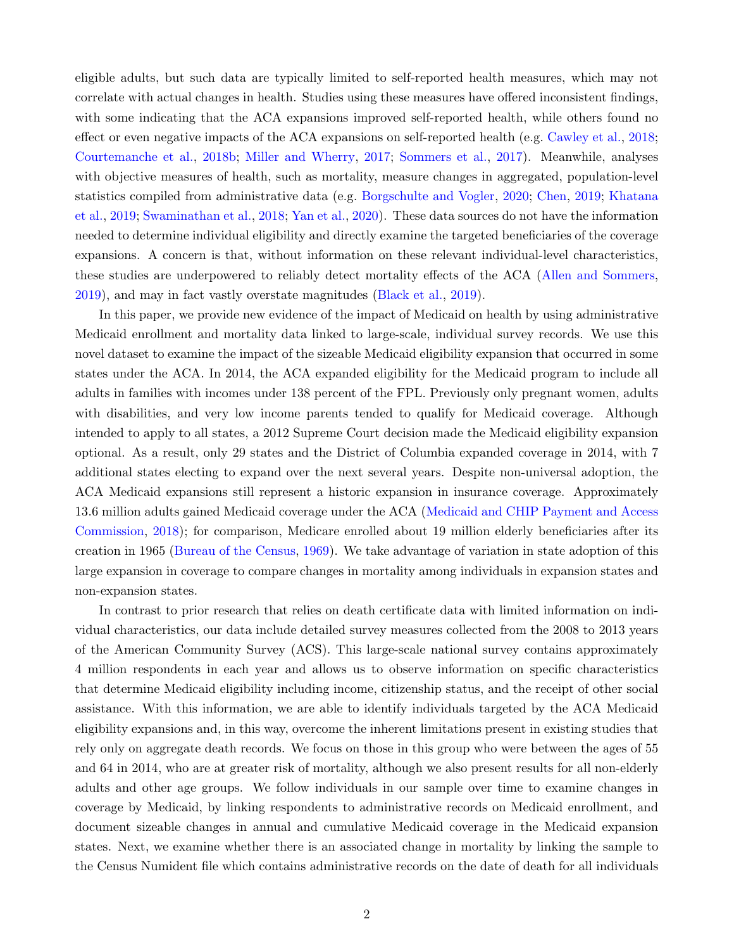eligible adults, but such data are typically limited to self-reported health measures, which may not correlate with actual changes in health. Studies using these measures have offered inconsistent findings, with some indicating that the ACA expansions improved self-reported health, while others found no effect or even negative impacts of the ACA expansions on self-reported health (e.g. [Cawley et al.,](#page-33-0) [2018;](#page-33-0) [Courtemanche et al.,](#page-34-3) [2018b;](#page-34-3) [Miller and Wherry,](#page-38-3) [2017;](#page-38-3) [Sommers et al.,](#page-39-3) [2017\)](#page-39-3). Meanwhile, analyses with objective measures of health, such as mortality, measure changes in aggregated, population-level statistics compiled from administrative data (e.g. [Borgschulte and Vogler,](#page-32-0) [2020;](#page-32-0) [Chen,](#page-33-1) [2019;](#page-33-1) [Khatana](#page-37-1) [et al.,](#page-37-1) [2019;](#page-37-1) [Swaminathan et al.,](#page-40-1) [2018;](#page-40-1) [Yan et al.,](#page-40-2) [2020\)](#page-40-2). These data sources do not have the information needed to determine individual eligibility and directly examine the targeted beneficiaries of the coverage expansions. A concern is that, without information on these relevant individual-level characteristics, these studies are underpowered to reliably detect mortality effects of the ACA [\(Allen and Sommers,](#page-32-1) [2019\)](#page-32-1), and may in fact vastly overstate magnitudes [\(Black et al.,](#page-32-2) [2019\)](#page-32-2).

In this paper, we provide new evidence of the impact of Medicaid on health by using administrative Medicaid enrollment and mortality data linked to large-scale, individual survey records. We use this novel dataset to examine the impact of the sizeable Medicaid eligibility expansion that occurred in some states under the ACA. In 2014, the ACA expanded eligibility for the Medicaid program to include all adults in families with incomes under 138 percent of the FPL. Previously only pregnant women, adults with disabilities, and very low income parents tended to qualify for Medicaid coverage. Although intended to apply to all states, a 2012 Supreme Court decision made the Medicaid eligibility expansion optional. As a result, only 29 states and the District of Columbia expanded coverage in 2014, with 7 additional states electing to expand over the next several years. Despite non-universal adoption, the ACA Medicaid expansions still represent a historic expansion in insurance coverage. Approximately 13.6 million adults gained Medicaid coverage under the ACA [\(Medicaid and CHIP Payment and Access](#page-37-2) [Commission,](#page-37-2) [2018\)](#page-37-2); for comparison, Medicare enrolled about 19 million elderly beneficiaries after its creation in 1965 [\(Bureau of the Census,](#page-33-2) [1969\)](#page-33-2). We take advantage of variation in state adoption of this large expansion in coverage to compare changes in mortality among individuals in expansion states and non-expansion states.

In contrast to prior research that relies on death certificate data with limited information on individual characteristics, our data include detailed survey measures collected from the 2008 to 2013 years of the American Community Survey (ACS). This large-scale national survey contains approximately 4 million respondents in each year and allows us to observe information on specific characteristics that determine Medicaid eligibility including income, citizenship status, and the receipt of other social assistance. With this information, we are able to identify individuals targeted by the ACA Medicaid eligibility expansions and, in this way, overcome the inherent limitations present in existing studies that rely only on aggregate death records. We focus on those in this group who were between the ages of 55 and 64 in 2014, who are at greater risk of mortality, although we also present results for all non-elderly adults and other age groups. We follow individuals in our sample over time to examine changes in coverage by Medicaid, by linking respondents to administrative records on Medicaid enrollment, and document sizeable changes in annual and cumulative Medicaid coverage in the Medicaid expansion states. Next, we examine whether there is an associated change in mortality by linking the sample to the Census Numident file which contains administrative records on the date of death for all individuals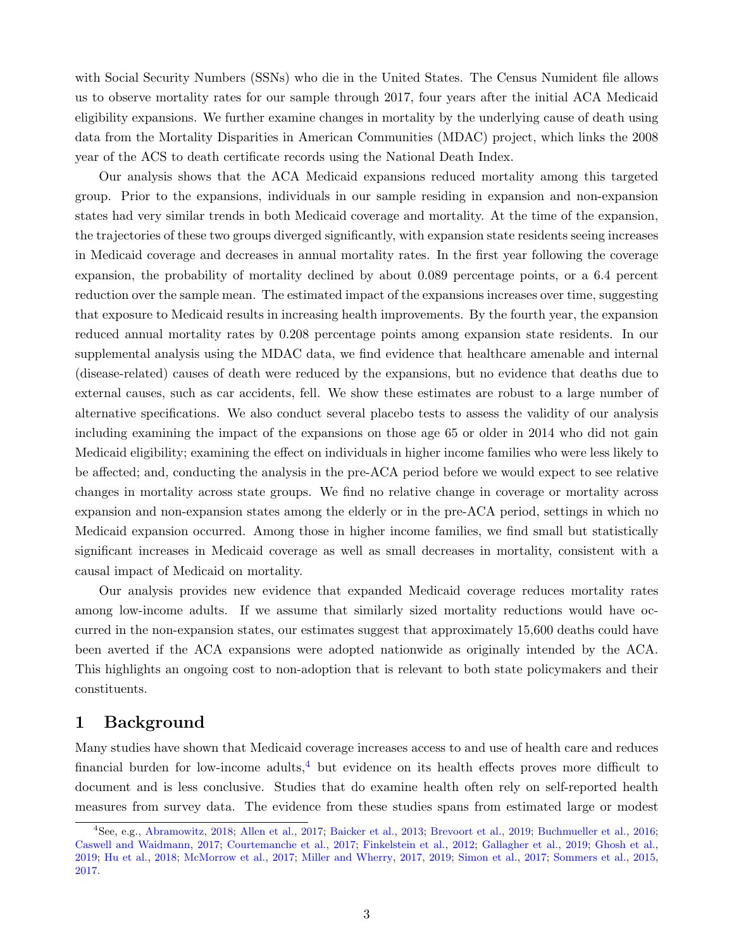with Social Security Numbers (SSNs) who die in the United States. The Census Numident file allows us to observe mortality rates for our sample through 2017, four years after the initial ACA Medicaid eligibility expansions. We further examine changes in mortality by the underlying cause of death using data from the Mortality Disparities in American Communities (MDAC) project, which links the 2008 year of the ACS to death certificate records using the National Death Index.

Our analysis shows that the ACA Medicaid expansions reduced mortality among this targeted group. Prior to the expansions, individuals in our sample residing in expansion and non-expansion states had very similar trends in both Medicaid coverage and mortality. At the time of the expansion, the trajectories of these two groups diverged significantly, with expansion state residents seeing increases in Medicaid coverage and decreases in annual mortality rates. In the first year following the coverage expansion, the probability of mortality declined by about 0.089 percentage points, or a 6.4 percent reduction over the sample mean. The estimated impact of the expansions increases over time, suggesting that exposure to Medicaid results in increasing health improvements. By the fourth year, the expansion reduced annual mortality rates by 0.208 percentage points among expansion state residents. In our supplemental analysis using the MDAC data, we find evidence that healthcare amenable and internal (disease-related) causes of death were reduced by the expansions, but no evidence that deaths due to external causes, such as car accidents, fell. We show these estimates are robust to a large number of alternative specifications. We also conduct several placebo tests to assess the validity of our analysis including examining the impact of the expansions on those age 65 or older in 2014 who did not gain Medicaid eligibility; examining the effect on individuals in higher income families who were less likely to be affected; and, conducting the analysis in the pre-ACA period before we would expect to see relative changes in mortality across state groups. We find no relative change in coverage or mortality across expansion and non-expansion states among the elderly or in the pre-ACA period, settings in which no Medicaid expansion occurred. Among those in higher income families, we find small but statistically significant increases in Medicaid coverage as well as small decreases in mortality, consistent with a causal impact of Medicaid on mortality.

Our analysis provides new evidence that expanded Medicaid coverage reduces mortality rates among low-income adults. If we assume that similarly sized mortality reductions would have occurred in the non-expansion states, our estimates suggest that approximately 15,600 deaths could have been averted if the ACA expansions were adopted nationwide as originally intended by the ACA. This highlights an ongoing cost to non-adoption that is relevant to both state policymakers and their constituents.

### 1 Background

Many studies have shown that Medicaid coverage increases access to and use of health care and reduces financial burden for low-income adults,  $\frac{4}{3}$  $\frac{4}{3}$  $\frac{4}{3}$  but evidence on its health effects proves more difficult to document and is less conclusive. Studies that do examine health often rely on self-reported health measures from survey data. The evidence from these studies spans from estimated large or modest

<span id="page-5-0"></span><sup>4</sup>See, e.g., [Abramowitz,](#page-32-3) [2018;](#page-32-3) [Allen et al.,](#page-32-4) [2017;](#page-32-4) [Baicker et al.,](#page-32-5) [2013;](#page-32-5) [Brevoort et al.,](#page-33-3) [2019;](#page-33-3) [Buchmueller et al.,](#page-33-4) [2016;](#page-33-4) [Caswell and Waidmann,](#page-33-5) [2017;](#page-33-5) [Courtemanche et al.,](#page-34-4) [2017;](#page-34-4) [Finkelstein et al.,](#page-35-4) [2012;](#page-35-4) [Gallagher et al.,](#page-35-5) [2019;](#page-35-5) [Ghosh et al.,](#page-35-1) [2019;](#page-35-1) [Hu et al.,](#page-36-1) [2018;](#page-36-1) [McMorrow et al.,](#page-37-3) [2017;](#page-37-3) [Miller and Wherry,](#page-38-3) [2017,](#page-38-3) [2019;](#page-38-4) [Simon et al.,](#page-39-4) [2017;](#page-39-4) [Sommers et al.,](#page-39-5) [2015,](#page-39-5) [2017.](#page-39-3)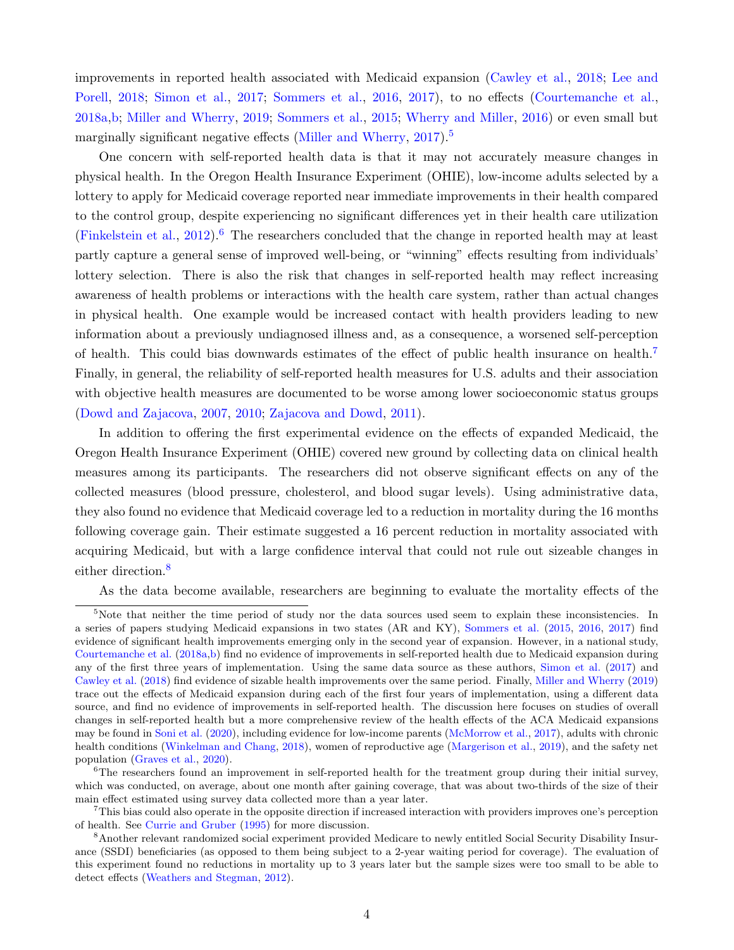improvements in reported health associated with Medicaid expansion [\(Cawley et al.,](#page-33-0) [2018;](#page-33-0) [Lee and](#page-37-4) [Porell,](#page-37-4) [2018;](#page-37-4) [Simon et al.,](#page-39-4) [2017;](#page-39-4) [Sommers et al.,](#page-39-6) [2016,](#page-39-6) [2017\)](#page-39-3), to no effects [\(Courtemanche et al.,](#page-34-5) [2018a,](#page-34-5)[b;](#page-34-3) [Miller and Wherry,](#page-38-4) [2019;](#page-38-4) [Sommers et al.,](#page-39-5) [2015;](#page-39-5) [Wherry and Miller,](#page-40-3) [2016\)](#page-40-3) or even small but marginally significant negative effects [\(Miller and Wherry,](#page-38-3) [2017\)](#page-38-3).<sup>[5](#page-6-0)</sup>

One concern with self-reported health data is that it may not accurately measure changes in physical health. In the Oregon Health Insurance Experiment (OHIE), low-income adults selected by a lottery to apply for Medicaid coverage reported near immediate improvements in their health compared to the control group, despite experiencing no significant differences yet in their health care utilization [\(Finkelstein et al.,](#page-35-4)  $2012$ ).<sup>[6](#page-6-1)</sup> The researchers concluded that the change in reported health may at least partly capture a general sense of improved well-being, or "winning" effects resulting from individuals' lottery selection. There is also the risk that changes in self-reported health may reflect increasing awareness of health problems or interactions with the health care system, rather than actual changes in physical health. One example would be increased contact with health providers leading to new information about a previously undiagnosed illness and, as a consequence, a worsened self-perception of health. This could bias downwards estimates of the effect of public health insurance on health.[7](#page-6-2) Finally, in general, the reliability of self-reported health measures for U.S. adults and their association with objective health measures are documented to be worse among lower socioeconomic status groups [\(Dowd and Zajacova,](#page-35-6) [2007,](#page-35-6) [2010;](#page-35-7) [Zajacova and Dowd,](#page-40-4) [2011\)](#page-40-4).

In addition to offering the first experimental evidence on the effects of expanded Medicaid, the Oregon Health Insurance Experiment (OHIE) covered new ground by collecting data on clinical health measures among its participants. The researchers did not observe significant effects on any of the collected measures (blood pressure, cholesterol, and blood sugar levels). Using administrative data, they also found no evidence that Medicaid coverage led to a reduction in mortality during the 16 months following coverage gain. Their estimate suggested a 16 percent reduction in mortality associated with acquiring Medicaid, but with a large confidence interval that could not rule out sizeable changes in either direction.<sup>[8](#page-6-3)</sup>

<span id="page-6-0"></span>As the data become available, researchers are beginning to evaluate the mortality effects of the

<sup>&</sup>lt;sup>5</sup>Note that neither the time period of study nor the data sources used seem to explain these inconsistencies. In a series of papers studying Medicaid expansions in two states (AR and KY), [Sommers et al.](#page-39-5) [\(2015,](#page-39-5) [2016,](#page-39-6) [2017\)](#page-39-3) find evidence of significant health improvements emerging only in the second year of expansion. However, in a national study, [Courtemanche et al.](#page-34-5) [\(2018a](#page-34-5)[,b\)](#page-34-3) find no evidence of improvements in self-reported health due to Medicaid expansion during any of the first three years of implementation. Using the same data source as these authors, [Simon et al.](#page-39-4) [\(2017\)](#page-39-4) and [Cawley et al.](#page-33-0) [\(2018\)](#page-33-0) find evidence of sizable health improvements over the same period. Finally, [Miller and Wherry](#page-38-4) [\(2019\)](#page-38-4) trace out the effects of Medicaid expansion during each of the first four years of implementation, using a different data source, and find no evidence of improvements in self-reported health. The discussion here focuses on studies of overall changes in self-reported health but a more comprehensive review of the health effects of the ACA Medicaid expansions may be found in [Soni et al.](#page-39-7) [\(2020\)](#page-39-7), including evidence for low-income parents [\(McMorrow et al.,](#page-37-3) [2017\)](#page-37-3), adults with chronic health conditions [\(Winkelman and Chang,](#page-40-5) [2018\)](#page-40-5), women of reproductive age [\(Margerison et al.,](#page-37-5) [2019\)](#page-37-5), and the safety net population [\(Graves et al.,](#page-36-2) [2020\)](#page-36-2).

<span id="page-6-1"></span><sup>&</sup>lt;sup>6</sup>The researchers found an improvement in self-reported health for the treatment group during their initial survey, which was conducted, on average, about one month after gaining coverage, that was about two-thirds of the size of their main effect estimated using survey data collected more than a year later.

<span id="page-6-2"></span><sup>7</sup>This bias could also operate in the opposite direction if increased interaction with providers improves one's perception of health. See [Currie and Gruber](#page-34-6) [\(1995\)](#page-34-6) for more discussion.

<span id="page-6-3"></span><sup>8</sup>Another relevant randomized social experiment provided Medicare to newly entitled Social Security Disability Insurance (SSDI) beneficiaries (as opposed to them being subject to a 2-year waiting period for coverage). The evaluation of this experiment found no reductions in mortality up to 3 years later but the sample sizes were too small to be able to detect effects [\(Weathers and Stegman,](#page-40-6) [2012\)](#page-40-6).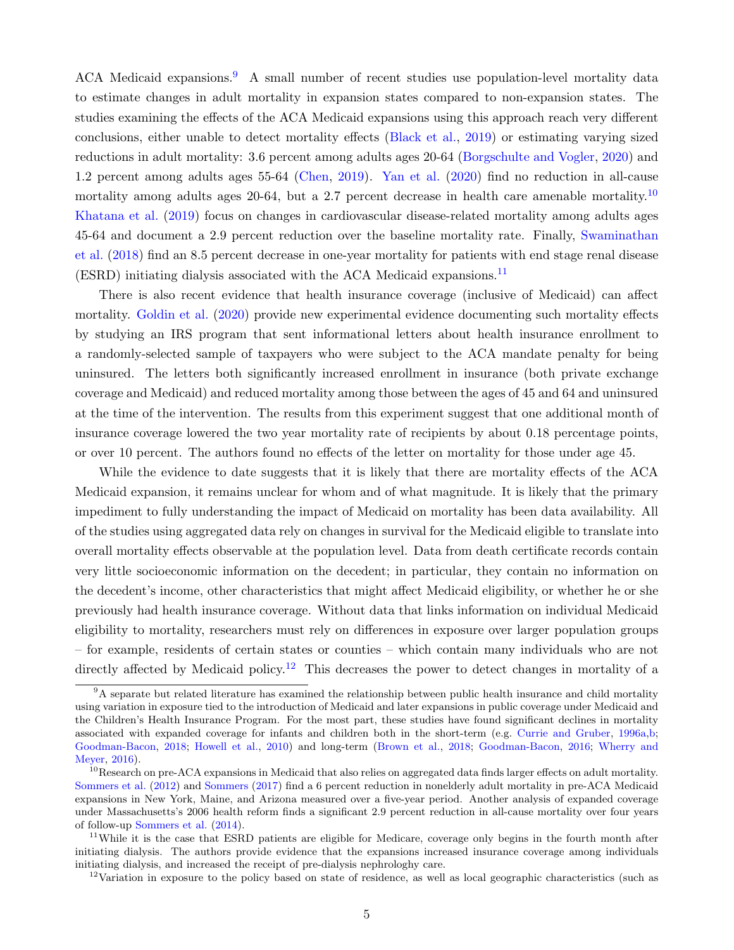ACA Medicaid expansions.<sup>[9](#page-7-0)</sup> A small number of recent studies use population-level mortality data to estimate changes in adult mortality in expansion states compared to non-expansion states. The studies examining the effects of the ACA Medicaid expansions using this approach reach very different conclusions, either unable to detect mortality effects [\(Black et al.,](#page-32-2) [2019\)](#page-32-2) or estimating varying sized reductions in adult mortality: 3.6 percent among adults ages 20-64 [\(Borgschulte and Vogler,](#page-32-0) [2020\)](#page-32-0) and 1.2 percent among adults ages 55-64 [\(Chen,](#page-33-1) [2019\)](#page-33-1). [Yan et al.](#page-40-2) [\(2020\)](#page-40-2) find no reduction in all-cause mortality among adults ages 20-64, but a 2.7 percent decrease in health care amenable mortality.<sup>[10](#page-7-1)</sup> [Khatana et al.](#page-37-1) [\(2019\)](#page-37-1) focus on changes in cardiovascular disease-related mortality among adults ages 45-64 and document a 2.9 percent reduction over the baseline mortality rate. Finally, [Swaminathan](#page-40-1) [et al.](#page-40-1) [\(2018\)](#page-40-1) find an 8.5 percent decrease in one-year mortality for patients with end stage renal disease  $(ESRD)$  initiating dialysis associated with the ACA Medicaid expansions.<sup>[11](#page-7-2)</sup>

There is also recent evidence that health insurance coverage (inclusive of Medicaid) can affect mortality. [Goldin et al.](#page-35-8) [\(2020\)](#page-35-8) provide new experimental evidence documenting such mortality effects by studying an IRS program that sent informational letters about health insurance enrollment to a randomly-selected sample of taxpayers who were subject to the ACA mandate penalty for being uninsured. The letters both significantly increased enrollment in insurance (both private exchange coverage and Medicaid) and reduced mortality among those between the ages of 45 and 64 and uninsured at the time of the intervention. The results from this experiment suggest that one additional month of insurance coverage lowered the two year mortality rate of recipients by about 0.18 percentage points, or over 10 percent. The authors found no effects of the letter on mortality for those under age 45.

While the evidence to date suggests that it is likely that there are mortality effects of the ACA Medicaid expansion, it remains unclear for whom and of what magnitude. It is likely that the primary impediment to fully understanding the impact of Medicaid on mortality has been data availability. All of the studies using aggregated data rely on changes in survival for the Medicaid eligible to translate into overall mortality effects observable at the population level. Data from death certificate records contain very little socioeconomic information on the decedent; in particular, they contain no information on the decedent's income, other characteristics that might affect Medicaid eligibility, or whether he or she previously had health insurance coverage. Without data that links information on individual Medicaid eligibility to mortality, researchers must rely on differences in exposure over larger population groups – for example, residents of certain states or counties – which contain many individuals who are not directly affected by Medicaid policy.<sup>[12](#page-7-3)</sup> This decreases the power to detect changes in mortality of a

<span id="page-7-0"></span><sup>&</sup>lt;sup>9</sup>A separate but related literature has examined the relationship between public health insurance and child mortality using variation in exposure tied to the introduction of Medicaid and later expansions in public coverage under Medicaid and the Children's Health Insurance Program. For the most part, these studies have found significant declines in mortality associated with expanded coverage for infants and children both in the short-term (e.g. [Currie and Gruber,](#page-34-7) [1996a,](#page-34-7)[b;](#page-34-8) [Goodman-Bacon,](#page-36-3) [2018;](#page-36-3) [Howell et al.,](#page-36-4) [2010\)](#page-36-4) and long-term [\(Brown et al.,](#page-33-6) [2018;](#page-33-6) [Goodman-Bacon,](#page-36-5) [2016;](#page-36-5) [Wherry and](#page-40-7) [Meyer,](#page-40-7) [2016\)](#page-40-7).

<span id="page-7-1"></span><sup>&</sup>lt;sup>10</sup>Research on pre-ACA expansions in Medicaid that also relies on aggregated data finds larger effects on adult mortality. [Sommers et al.](#page-39-8) [\(2012\)](#page-39-8) and [Sommers](#page-39-9) [\(2017\)](#page-39-9) find a 6 percent reduction in nonelderly adult mortality in pre-ACA Medicaid expansions in New York, Maine, and Arizona measured over a five-year period. Another analysis of expanded coverage under Massachusetts's 2006 health reform finds a significant 2.9 percent reduction in all-cause mortality over four years of follow-up [Sommers et al.](#page-39-10) [\(2014\)](#page-39-10).

<span id="page-7-2"></span><sup>&</sup>lt;sup>11</sup>While it is the case that ESRD patients are eligible for Medicare, coverage only begins in the fourth month after initiating dialysis. The authors provide evidence that the expansions increased insurance coverage among individuals initiating dialysis, and increased the receipt of pre-dialysis nephrologhy care.

<span id="page-7-3"></span> $12$ Variation in exposure to the policy based on state of residence, as well as local geographic characteristics (such as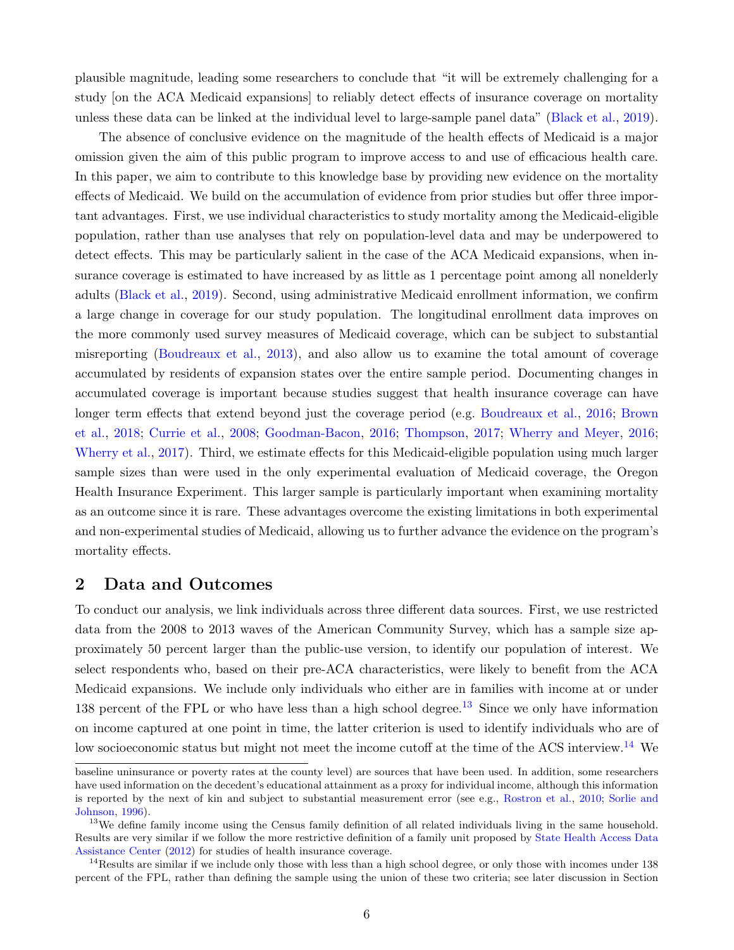plausible magnitude, leading some researchers to conclude that "it will be extremely challenging for a study [on the ACA Medicaid expansions] to reliably detect effects of insurance coverage on mortality unless these data can be linked at the individual level to large-sample panel data" [\(Black et al.,](#page-32-2) [2019\)](#page-32-2).

The absence of conclusive evidence on the magnitude of the health effects of Medicaid is a major omission given the aim of this public program to improve access to and use of efficacious health care. In this paper, we aim to contribute to this knowledge base by providing new evidence on the mortality effects of Medicaid. We build on the accumulation of evidence from prior studies but offer three important advantages. First, we use individual characteristics to study mortality among the Medicaid-eligible population, rather than use analyses that rely on population-level data and may be underpowered to detect effects. This may be particularly salient in the case of the ACA Medicaid expansions, when insurance coverage is estimated to have increased by as little as 1 percentage point among all nonelderly adults [\(Black et al.,](#page-32-2) [2019\)](#page-32-2). Second, using administrative Medicaid enrollment information, we confirm a large change in coverage for our study population. The longitudinal enrollment data improves on the more commonly used survey measures of Medicaid coverage, which can be subject to substantial misreporting [\(Boudreaux et al.,](#page-32-6) [2013\)](#page-32-6), and also allow us to examine the total amount of coverage accumulated by residents of expansion states over the entire sample period. Documenting changes in accumulated coverage is important because studies suggest that health insurance coverage can have longer term effects that extend beyond just the coverage period (e.g. [Boudreaux et al.,](#page-33-7) [2016;](#page-33-7) [Brown](#page-33-6) [et al.,](#page-33-6) [2018;](#page-33-6) [Currie et al.,](#page-34-9) [2008;](#page-34-9) [Goodman-Bacon,](#page-36-5) [2016;](#page-36-5) [Thompson,](#page-40-8) [2017;](#page-40-8) [Wherry and Meyer,](#page-40-7) [2016;](#page-40-7) [Wherry et al.,](#page-40-9) [2017\)](#page-40-9). Third, we estimate effects for this Medicaid-eligible population using much larger sample sizes than were used in the only experimental evaluation of Medicaid coverage, the Oregon Health Insurance Experiment. This larger sample is particularly important when examining mortality as an outcome since it is rare. These advantages overcome the existing limitations in both experimental and non-experimental studies of Medicaid, allowing us to further advance the evidence on the program's mortality effects.

#### 2 Data and Outcomes

To conduct our analysis, we link individuals across three different data sources. First, we use restricted data from the 2008 to 2013 waves of the American Community Survey, which has a sample size approximately 50 percent larger than the public-use version, to identify our population of interest. We select respondents who, based on their pre-ACA characteristics, were likely to benefit from the ACA Medicaid expansions. We include only individuals who either are in families with income at or under [13](#page-8-0)8 percent of the FPL or who have less than a high school degree.<sup>13</sup> Since we only have information on income captured at one point in time, the latter criterion is used to identify individuals who are of low socioeconomic status but might not meet the income cutoff at the time of the ACS interview.<sup>[14](#page-8-1)</sup> We

baseline uninsurance or poverty rates at the county level) are sources that have been used. In addition, some researchers have used information on the decedent's educational attainment as a proxy for individual income, although this information is reported by the next of kin and subject to substantial measurement error (see e.g., [Rostron et al.,](#page-38-5) [2010;](#page-38-5) [Sorlie and](#page-39-11) [Johnson,](#page-39-11) [1996\)](#page-39-11).

<span id="page-8-0"></span><sup>&</sup>lt;sup>13</sup>We define family income using the Census family definition of all related individuals living in the same household. Results are very similar if we follow the more restrictive definition of a family unit proposed by [State Health Access Data](#page-39-12) [Assistance Center](#page-39-12) [\(2012\)](#page-39-12) for studies of health insurance coverage.

<span id="page-8-1"></span><sup>&</sup>lt;sup>14</sup>Results are similar if we include only those with less than a high school degree, or only those with incomes under 138 percent of the FPL, rather than defining the sample using the union of these two criteria; see later discussion in Section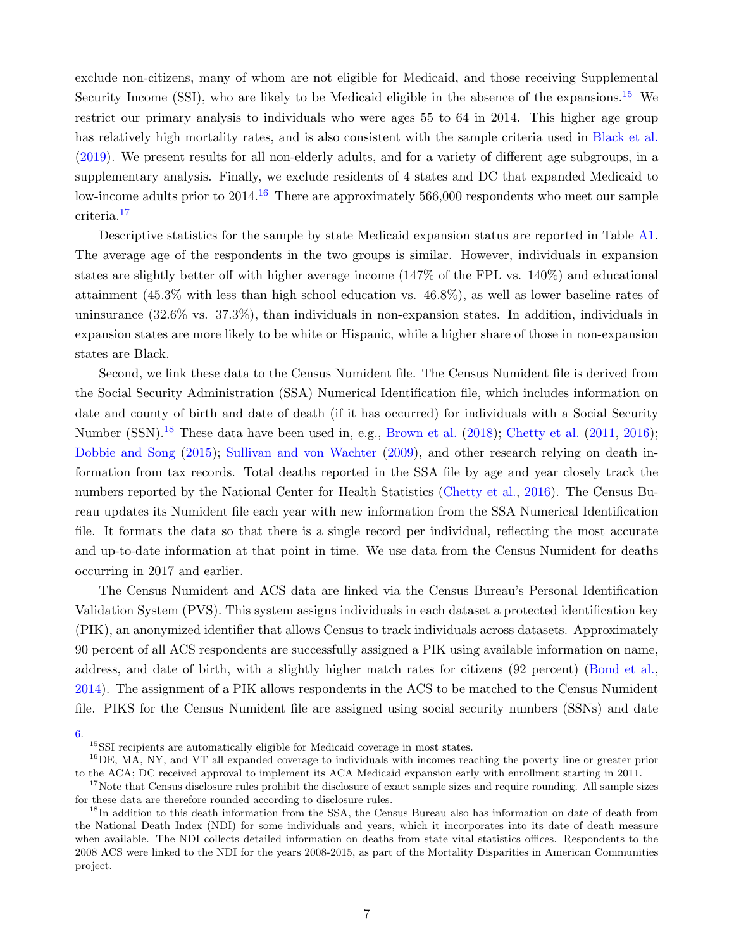exclude non-citizens, many of whom are not eligible for Medicaid, and those receiving Supplemental Security Income (SSI), who are likely to be Medicaid eligible in the absence of the expansions.<sup>[15](#page-9-0)</sup> We restrict our primary analysis to individuals who were ages 55 to 64 in 2014. This higher age group has relatively high mortality rates, and is also consistent with the sample criteria used in [Black et al.](#page-32-2) [\(2019\)](#page-32-2). We present results for all non-elderly adults, and for a variety of different age subgroups, in a supplementary analysis. Finally, we exclude residents of 4 states and DC that expanded Medicaid to low-income adults prior to 2014.<sup>[16](#page-9-1)</sup> There are approximately 566,000 respondents who meet our sample criteria.[17](#page-9-2)

Descriptive statistics for the sample by state Medicaid expansion status are reported in Table [A1.](#page-60-0) The average age of the respondents in the two groups is similar. However, individuals in expansion states are slightly better off with higher average income (147% of the FPL vs. 140%) and educational attainment (45.3% with less than high school education vs. 46.8%), as well as lower baseline rates of uninsurance (32.6% vs. 37.3%), than individuals in non-expansion states. In addition, individuals in expansion states are more likely to be white or Hispanic, while a higher share of those in non-expansion states are Black.

Second, we link these data to the Census Numident file. The Census Numident file is derived from the Social Security Administration (SSA) Numerical Identification file, which includes information on date and county of birth and date of death (if it has occurred) for individuals with a Social Security Number (SSN).<sup>[18](#page-9-3)</sup> These data have been used in, e.g., [Brown et al.](#page-33-6) [\(2018\)](#page-33-6); [Chetty et al.](#page-33-8) [\(2011,](#page-33-8) [2016\)](#page-34-0); [Dobbie and Song](#page-34-10) [\(2015\)](#page-34-10); [Sullivan and von Wachter](#page-39-13) [\(2009\)](#page-39-13), and other research relying on death information from tax records. Total deaths reported in the SSA file by age and year closely track the numbers reported by the National Center for Health Statistics [\(Chetty et al.,](#page-34-0) [2016\)](#page-34-0). The Census Bureau updates its Numident file each year with new information from the SSA Numerical Identification file. It formats the data so that there is a single record per individual, reflecting the most accurate and up-to-date information at that point in time. We use data from the Census Numident for deaths occurring in 2017 and earlier.

The Census Numident and ACS data are linked via the Census Bureau's Personal Identification Validation System (PVS). This system assigns individuals in each dataset a protected identification key (PIK), an anonymized identifier that allows Census to track individuals across datasets. Approximately 90 percent of all ACS respondents are successfully assigned a PIK using available information on name, address, and date of birth, with a slightly higher match rates for citizens (92 percent) [\(Bond et al.,](#page-32-7) [2014\)](#page-32-7). The assignment of a PIK allows respondents in the ACS to be matched to the Census Numident file. PIKS for the Census Numident file are assigned using social security numbers (SSNs) and date

[6.](#page-23-0)

<span id="page-9-1"></span><span id="page-9-0"></span> $^{15}\rm{SSI}$  recipients are automatically eligible for Medicaid coverage in most states.

<sup>&</sup>lt;sup>16</sup>DE, MA, NY, and VT all expanded coverage to individuals with incomes reaching the poverty line or greater prior to the ACA; DC received approval to implement its ACA Medicaid expansion early with enrollment starting in 2011.

<span id="page-9-2"></span><sup>&</sup>lt;sup>17</sup>Note that Census disclosure rules prohibit the disclosure of exact sample sizes and require rounding. All sample sizes for these data are therefore rounded according to disclosure rules.

<span id="page-9-3"></span><sup>&</sup>lt;sup>18</sup>In addition to this death information from the SSA, the Census Bureau also has information on date of death from the National Death Index (NDI) for some individuals and years, which it incorporates into its date of death measure when available. The NDI collects detailed information on deaths from state vital statistics offices. Respondents to the 2008 ACS were linked to the NDI for the years 2008-2015, as part of the Mortality Disparities in American Communities project.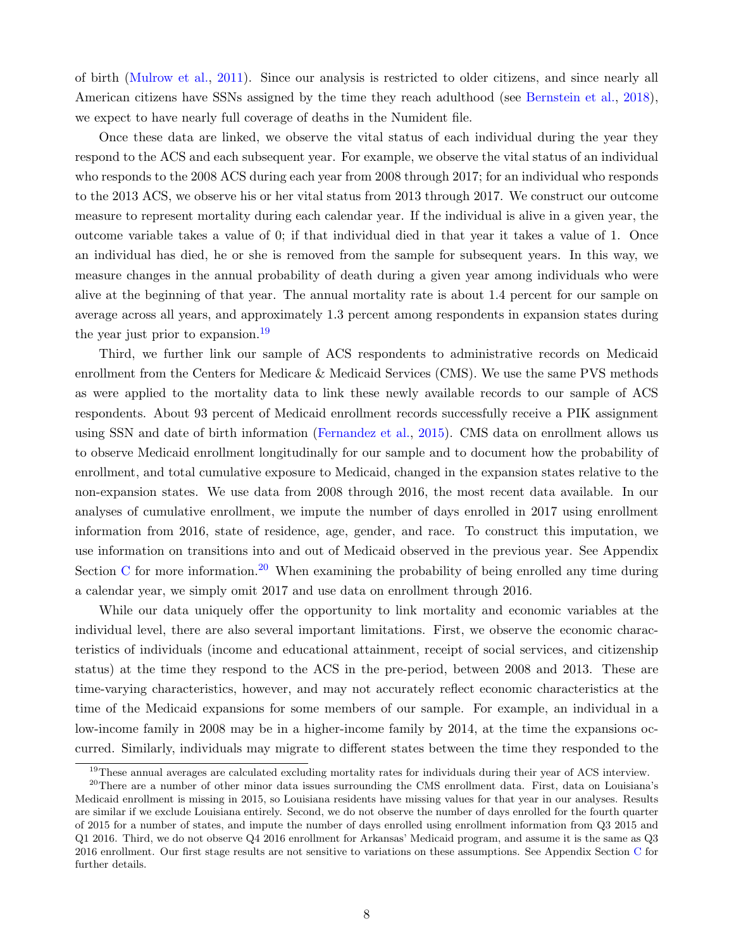of birth [\(Mulrow et al.,](#page-38-6) [2011\)](#page-38-6). Since our analysis is restricted to older citizens, and since nearly all American citizens have SSNs assigned by the time they reach adulthood (see [Bernstein et al.,](#page-32-8) [2018\)](#page-32-8), we expect to have nearly full coverage of deaths in the Numident file.

Once these data are linked, we observe the vital status of each individual during the year they respond to the ACS and each subsequent year. For example, we observe the vital status of an individual who responds to the 2008 ACS during each year from 2008 through 2017; for an individual who responds to the 2013 ACS, we observe his or her vital status from 2013 through 2017. We construct our outcome measure to represent mortality during each calendar year. If the individual is alive in a given year, the outcome variable takes a value of 0; if that individual died in that year it takes a value of 1. Once an individual has died, he or she is removed from the sample for subsequent years. In this way, we measure changes in the annual probability of death during a given year among individuals who were alive at the beginning of that year. The annual mortality rate is about 1.4 percent for our sample on average across all years, and approximately 1.3 percent among respondents in expansion states during the year just prior to expansion.<sup>[19](#page-10-0)</sup>

Third, we further link our sample of ACS respondents to administrative records on Medicaid enrollment from the Centers for Medicare & Medicaid Services (CMS). We use the same PVS methods as were applied to the mortality data to link these newly available records to our sample of ACS respondents. About 93 percent of Medicaid enrollment records successfully receive a PIK assignment using SSN and date of birth information [\(Fernandez et al.,](#page-35-9) [2015\)](#page-35-9). CMS data on enrollment allows us to observe Medicaid enrollment longitudinally for our sample and to document how the probability of enrollment, and total cumulative exposure to Medicaid, changed in the expansion states relative to the non-expansion states. We use data from 2008 through 2016, the most recent data available. In our analyses of cumulative enrollment, we impute the number of days enrolled in 2017 using enrollment information from 2016, state of residence, age, gender, and race. To construct this imputation, we use information on transitions into and out of Medicaid observed in the previous year. See Appendix Section [C](#page-46-0) for more information.<sup>[20](#page-10-1)</sup> When examining the probability of being enrolled any time during a calendar year, we simply omit 2017 and use data on enrollment through 2016.

While our data uniquely offer the opportunity to link mortality and economic variables at the individual level, there are also several important limitations. First, we observe the economic characteristics of individuals (income and educational attainment, receipt of social services, and citizenship status) at the time they respond to the ACS in the pre-period, between 2008 and 2013. These are time-varying characteristics, however, and may not accurately reflect economic characteristics at the time of the Medicaid expansions for some members of our sample. For example, an individual in a low-income family in 2008 may be in a higher-income family by 2014, at the time the expansions occurred. Similarly, individuals may migrate to different states between the time they responded to the

<span id="page-10-1"></span><span id="page-10-0"></span><sup>&</sup>lt;sup>19</sup>These annual averages are calculated excluding mortality rates for individuals during their year of ACS interview.

<sup>&</sup>lt;sup>20</sup>There are a number of other minor data issues surrounding the CMS enrollment data. First, data on Louisiana's Medicaid enrollment is missing in 2015, so Louisiana residents have missing values for that year in our analyses. Results are similar if we exclude Louisiana entirely. Second, we do not observe the number of days enrolled for the fourth quarter of 2015 for a number of states, and impute the number of days enrolled using enrollment information from Q3 2015 and Q1 2016. Third, we do not observe Q4 2016 enrollment for Arkansas' Medicaid program, and assume it is the same as Q3 2016 enrollment. Our first stage results are not sensitive to variations on these assumptions. See Appendix Section [C](#page-46-0) for further details.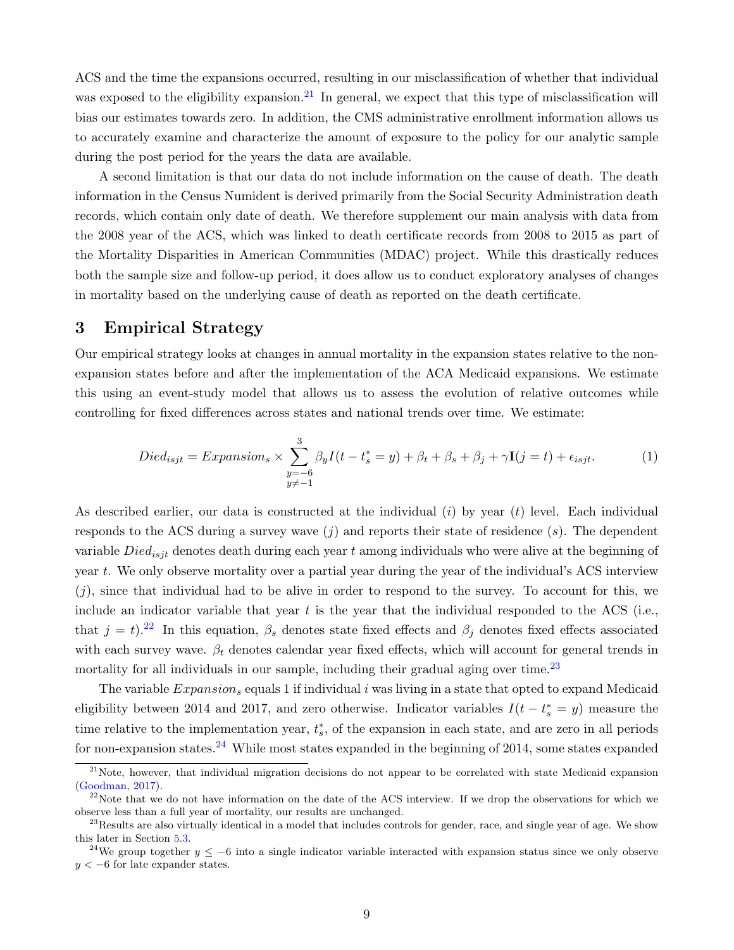ACS and the time the expansions occurred, resulting in our misclassification of whether that individual was exposed to the eligibility expansion.<sup>[21](#page-11-0)</sup> In general, we expect that this type of misclassification will bias our estimates towards zero. In addition, the CMS administrative enrollment information allows us to accurately examine and characterize the amount of exposure to the policy for our analytic sample during the post period for the years the data are available.

A second limitation is that our data do not include information on the cause of death. The death information in the Census Numident is derived primarily from the Social Security Administration death records, which contain only date of death. We therefore supplement our main analysis with data from the 2008 year of the ACS, which was linked to death certificate records from 2008 to 2015 as part of the Mortality Disparities in American Communities (MDAC) project. While this drastically reduces both the sample size and follow-up period, it does allow us to conduct exploratory analyses of changes in mortality based on the underlying cause of death as reported on the death certificate.

### 3 Empirical Strategy

Our empirical strategy looks at changes in annual mortality in the expansion states relative to the nonexpansion states before and after the implementation of the ACA Medicaid expansions. We estimate this using an event-study model that allows us to assess the evolution of relative outcomes while controlling for fixed differences across states and national trends over time. We estimate:

<span id="page-11-4"></span>
$$
Died_{isjt} = Expansion_s \times \sum_{\substack{y=-6\\y \neq -1}}^{3} \beta_y I(t - t_s^* = y) + \beta_t + \beta_s + \beta_j + \gamma \mathbf{I}(j = t) + \epsilon_{isjt}.
$$
 (1)

As described earlier, our data is constructed at the individual  $(i)$  by year  $(t)$  level. Each individual responds to the ACS during a survey wave  $(i)$  and reports their state of residence  $(s)$ . The dependent variable  $Died_{isjt}$  denotes death during each year t among individuals who were alive at the beginning of year t. We only observe mortality over a partial year during the year of the individual's ACS interview  $(j)$ , since that individual had to be alive in order to respond to the survey. To account for this, we include an indicator variable that year  $t$  is the year that the individual responded to the ACS (i.e., that  $j = t$ .<sup>[22](#page-11-1)</sup> In this equation,  $\beta_s$  denotes state fixed effects and  $\beta_j$  denotes fixed effects associated with each survey wave.  $\beta_t$  denotes calendar year fixed effects, which will account for general trends in mortality for all individuals in our sample, including their gradual aging over time.<sup>[23](#page-11-2)</sup>

The variable  $Expansion_s$  equals 1 if individual i was living in a state that opted to expand Medicaid eligibility between 2014 and 2017, and zero otherwise. Indicator variables  $I(t - t_s^* = y)$  measure the time relative to the implementation year,  $t_s^*$ , of the expansion in each state, and are zero in all periods for non-expansion states.<sup>[24](#page-11-3)</sup> While most states expanded in the beginning of 2014, some states expanded

<span id="page-11-0"></span> $21$ Note, however, that individual migration decisions do not appear to be correlated with state Medicaid expansion [\(Goodman,](#page-35-10) [2017\)](#page-35-10).

<span id="page-11-1"></span> $^{22}$ Note that we do not have information on the date of the ACS interview. If we drop the observations for which we observe less than a full year of mortality, our results are unchanged.

<span id="page-11-2"></span> $^{23}$ Results are also virtually identical in a model that includes controls for gender, race, and single year of age. We show this later in Section [5.3.](#page-20-0)

<span id="page-11-3"></span><sup>&</sup>lt;sup>24</sup>We group together  $y \le -6$  into a single indicator variable interacted with expansion status since we only observe  $y < -6$  for late expander states.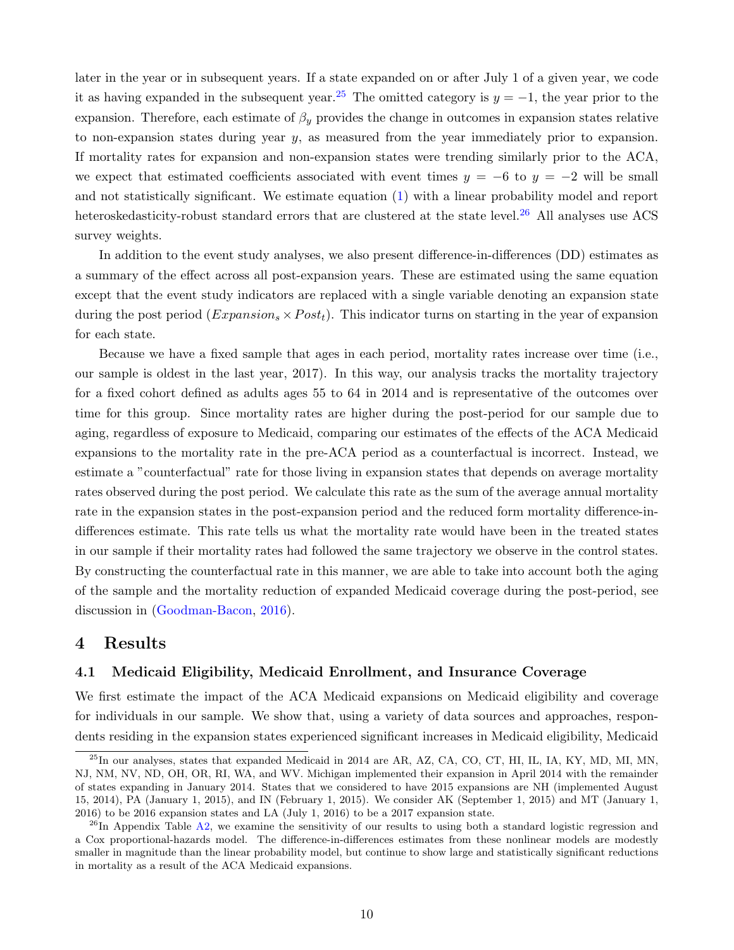later in the year or in subsequent years. If a state expanded on or after July 1 of a given year, we code it as having expanded in the subsequent year.<sup>[25](#page-12-0)</sup> The omitted category is  $y = -1$ , the year prior to the expansion. Therefore, each estimate of  $\beta_y$  provides the change in outcomes in expansion states relative to non-expansion states during year y, as measured from the year immediately prior to expansion. If mortality rates for expansion and non-expansion states were trending similarly prior to the ACA, we expect that estimated coefficients associated with event times  $y = -6$  to  $y = -2$  will be small and not statistically significant. We estimate equation [\(1\)](#page-11-4) with a linear probability model and report heteroskedasticity-robust standard errors that are clustered at the state level.<sup>[26](#page-12-1)</sup> All analyses use ACS survey weights.

In addition to the event study analyses, we also present difference-in-differences (DD) estimates as a summary of the effect across all post-expansion years. These are estimated using the same equation except that the event study indicators are replaced with a single variable denoting an expansion state during the post period  $(Expansion_s \times Post_t)$ . This indicator turns on starting in the year of expansion for each state.

Because we have a fixed sample that ages in each period, mortality rates increase over time (i.e., our sample is oldest in the last year, 2017). In this way, our analysis tracks the mortality trajectory for a fixed cohort defined as adults ages 55 to 64 in 2014 and is representative of the outcomes over time for this group. Since mortality rates are higher during the post-period for our sample due to aging, regardless of exposure to Medicaid, comparing our estimates of the effects of the ACA Medicaid expansions to the mortality rate in the pre-ACA period as a counterfactual is incorrect. Instead, we estimate a "counterfactual" rate for those living in expansion states that depends on average mortality rates observed during the post period. We calculate this rate as the sum of the average annual mortality rate in the expansion states in the post-expansion period and the reduced form mortality difference-indifferences estimate. This rate tells us what the mortality rate would have been in the treated states in our sample if their mortality rates had followed the same trajectory we observe in the control states. By constructing the counterfactual rate in this manner, we are able to take into account both the aging of the sample and the mortality reduction of expanded Medicaid coverage during the post-period, see discussion in [\(Goodman-Bacon,](#page-36-5) [2016\)](#page-36-5).

#### 4 Results

#### <span id="page-12-2"></span>4.1 Medicaid Eligibility, Medicaid Enrollment, and Insurance Coverage

We first estimate the impact of the ACA Medicaid expansions on Medicaid eligibility and coverage for individuals in our sample. We show that, using a variety of data sources and approaches, respondents residing in the expansion states experienced significant increases in Medicaid eligibility, Medicaid

<span id="page-12-0"></span><sup>25</sup>In our analyses, states that expanded Medicaid in 2014 are AR, AZ, CA, CO, CT, HI, IL, IA, KY, MD, MI, MN, NJ, NM, NV, ND, OH, OR, RI, WA, and WV. Michigan implemented their expansion in April 2014 with the remainder of states expanding in January 2014. States that we considered to have 2015 expansions are NH (implemented August 15, 2014), PA (January 1, 2015), and IN (February 1, 2015). We consider AK (September 1, 2015) and MT (January 1, 2016) to be 2016 expansion states and LA (July 1, 2016) to be a 2017 expansion state.

<span id="page-12-1"></span> $^{26}$ In Appendix Table [A2,](#page-60-1) we examine the sensitivity of our results to using both a standard logistic regression and a Cox proportional-hazards model. The difference-in-differences estimates from these nonlinear models are modestly smaller in magnitude than the linear probability model, but continue to show large and statistically significant reductions in mortality as a result of the ACA Medicaid expansions.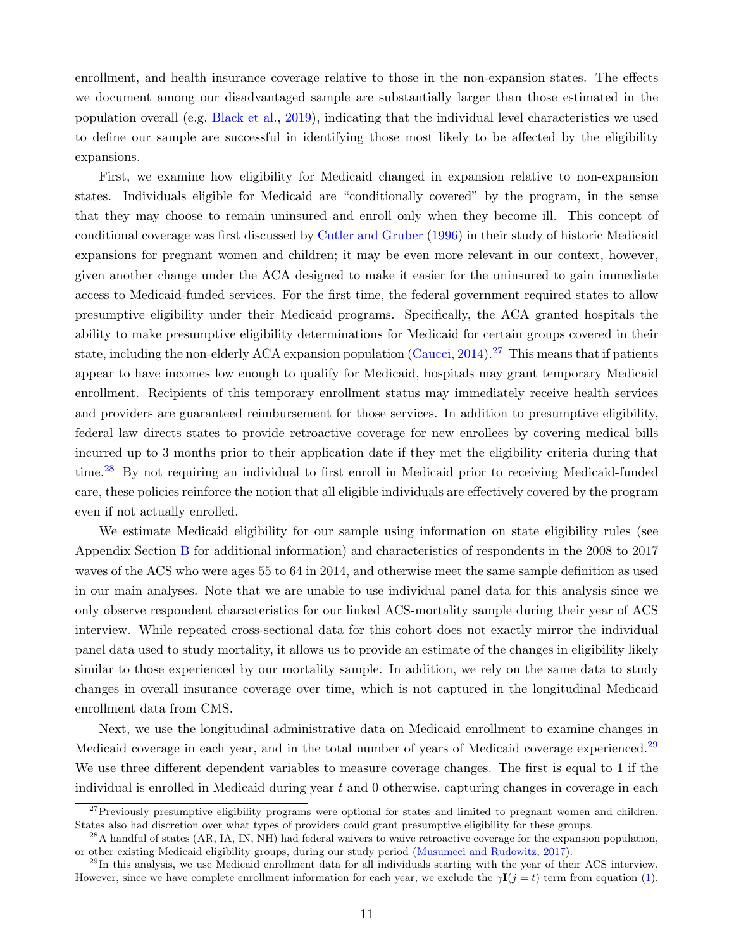enrollment, and health insurance coverage relative to those in the non-expansion states. The effects we document among our disadvantaged sample are substantially larger than those estimated in the population overall (e.g. [Black et al.,](#page-32-2) [2019\)](#page-32-2), indicating that the individual level characteristics we used to define our sample are successful in identifying those most likely to be affected by the eligibility expansions.

First, we examine how eligibility for Medicaid changed in expansion relative to non-expansion states. Individuals eligible for Medicaid are "conditionally covered" by the program, in the sense that they may choose to remain uninsured and enroll only when they become ill. This concept of conditional coverage was first discussed by [Cutler and Gruber](#page-34-11) [\(1996\)](#page-34-11) in their study of historic Medicaid expansions for pregnant women and children; it may be even more relevant in our context, however, given another change under the ACA designed to make it easier for the uninsured to gain immediate access to Medicaid-funded services. For the first time, the federal government required states to allow presumptive eligibility under their Medicaid programs. Specifically, the ACA granted hospitals the ability to make presumptive eligibility determinations for Medicaid for certain groups covered in their state, including the non-elderly ACA expansion population  $(Caucci, 2014).$  $(Caucci, 2014).$  $(Caucci, 2014).$  $(Caucci, 2014).$ <sup>[27](#page-13-0)</sup> This means that if patients appear to have incomes low enough to qualify for Medicaid, hospitals may grant temporary Medicaid enrollment. Recipients of this temporary enrollment status may immediately receive health services and providers are guaranteed reimbursement for those services. In addition to presumptive eligibility, federal law directs states to provide retroactive coverage for new enrollees by covering medical bills incurred up to 3 months prior to their application date if they met the eligibility criteria during that time.<sup>[28](#page-13-1)</sup> By not requiring an individual to first enroll in Medicaid prior to receiving Medicaid-funded care, these policies reinforce the notion that all eligible individuals are effectively covered by the program even if not actually enrolled.

We estimate Medicaid eligibility for our sample using information on state eligibility rules (see Appendix Section [B](#page-46-1) for additional information) and characteristics of respondents in the 2008 to 2017 waves of the ACS who were ages 55 to 64 in 2014, and otherwise meet the same sample definition as used in our main analyses. Note that we are unable to use individual panel data for this analysis since we only observe respondent characteristics for our linked ACS-mortality sample during their year of ACS interview. While repeated cross-sectional data for this cohort does not exactly mirror the individual panel data used to study mortality, it allows us to provide an estimate of the changes in eligibility likely similar to those experienced by our mortality sample. In addition, we rely on the same data to study changes in overall insurance coverage over time, which is not captured in the longitudinal Medicaid enrollment data from CMS.

Next, we use the longitudinal administrative data on Medicaid enrollment to examine changes in Medicaid coverage in each year, and in the total number of years of Medicaid coverage experienced.<sup>[29](#page-13-2)</sup> We use three different dependent variables to measure coverage changes. The first is equal to 1 if the individual is enrolled in Medicaid during year  $t$  and  $0$  otherwise, capturing changes in coverage in each

<span id="page-13-0"></span><sup>&</sup>lt;sup>27</sup>Previously presumptive eligibility programs were optional for states and limited to pregnant women and children. States also had discretion over what types of providers could grant presumptive eligibility for these groups.

<span id="page-13-1"></span><sup>&</sup>lt;sup>28</sup>A handful of states (AR, IA, IN, NH) had federal waivers to waive retroactive coverage for the expansion population, or other existing Medicaid eligibility groups, during our study period [\(Musumeci and Rudowitz,](#page-38-7) [2017\)](#page-38-7).

<span id="page-13-2"></span> $^{29}$ In this analysis, we use Medicaid enrollment data for all individuals starting with the year of their ACS interview. However, since we have complete enrollment information for each year, we exclude the  $\gamma I(j = t)$  term from equation [\(1\)](#page-11-4).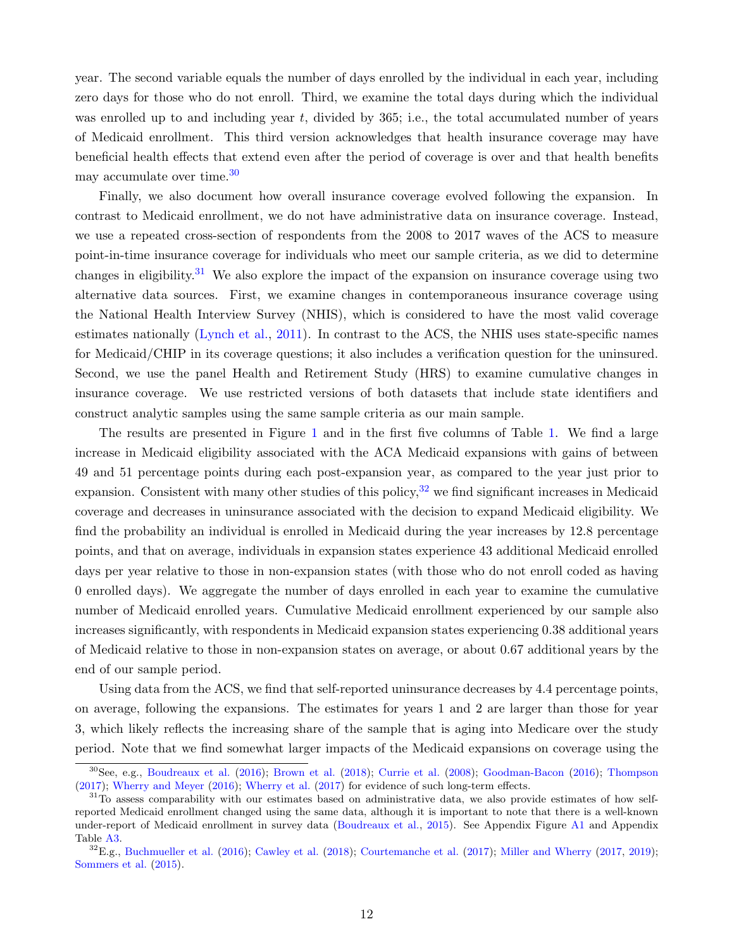year. The second variable equals the number of days enrolled by the individual in each year, including zero days for those who do not enroll. Third, we examine the total days during which the individual was enrolled up to and including year  $t$ , divided by 365; i.e., the total accumulated number of years of Medicaid enrollment. This third version acknowledges that health insurance coverage may have beneficial health effects that extend even after the period of coverage is over and that health benefits may accumulate over time.[30](#page-14-0)

Finally, we also document how overall insurance coverage evolved following the expansion. In contrast to Medicaid enrollment, we do not have administrative data on insurance coverage. Instead, we use a repeated cross-section of respondents from the 2008 to 2017 waves of the ACS to measure point-in-time insurance coverage for individuals who meet our sample criteria, as we did to determine changes in eligibility.<sup>[31](#page-14-1)</sup> We also explore the impact of the expansion on insurance coverage using two alternative data sources. First, we examine changes in contemporaneous insurance coverage using the National Health Interview Survey (NHIS), which is considered to have the most valid coverage estimates nationally [\(Lynch et al.,](#page-37-6) [2011\)](#page-37-6). In contrast to the ACS, the NHIS uses state-specific names for Medicaid/CHIP in its coverage questions; it also includes a verification question for the uninsured. Second, we use the panel Health and Retirement Study (HRS) to examine cumulative changes in insurance coverage. We use restricted versions of both datasets that include state identifiers and construct analytic samples using the same sample criteria as our main sample.

The results are presented in Figure [1](#page-41-0) and in the first five columns of Table [1.](#page-44-0) We find a large increase in Medicaid eligibility associated with the ACA Medicaid expansions with gains of between 49 and 51 percentage points during each post-expansion year, as compared to the year just prior to expansion. Consistent with many other studies of this policy,  $3^2$  we find significant increases in Medicaid coverage and decreases in uninsurance associated with the decision to expand Medicaid eligibility. We find the probability an individual is enrolled in Medicaid during the year increases by 12.8 percentage points, and that on average, individuals in expansion states experience 43 additional Medicaid enrolled days per year relative to those in non-expansion states (with those who do not enroll coded as having 0 enrolled days). We aggregate the number of days enrolled in each year to examine the cumulative number of Medicaid enrolled years. Cumulative Medicaid enrollment experienced by our sample also increases significantly, with respondents in Medicaid expansion states experiencing 0.38 additional years of Medicaid relative to those in non-expansion states on average, or about 0.67 additional years by the end of our sample period.

Using data from the ACS, we find that self-reported uninsurance decreases by 4.4 percentage points, on average, following the expansions. The estimates for years 1 and 2 are larger than those for year 3, which likely reflects the increasing share of the sample that is aging into Medicare over the study period. Note that we find somewhat larger impacts of the Medicaid expansions on coverage using the

<span id="page-14-0"></span><sup>30</sup>See, e.g., [Boudreaux et al.](#page-33-7) [\(2016\)](#page-33-7); [Brown et al.](#page-33-6) [\(2018\)](#page-33-6); [Currie et al.](#page-34-9) [\(2008\)](#page-34-9); [Goodman-Bacon](#page-36-5) [\(2016\)](#page-36-5); [Thompson](#page-40-8) [\(2017\)](#page-40-8); [Wherry and Meyer](#page-40-7) [\(2016\)](#page-40-7); [Wherry et al.](#page-40-9) [\(2017\)](#page-40-9) for evidence of such long-term effects.

<span id="page-14-1"></span><sup>&</sup>lt;sup>31</sup>To assess comparability with our estimates based on administrative data, we also provide estimates of how selfreported Medicaid enrollment changed using the same data, although it is important to note that there is a well-known under-report of Medicaid enrollment in survey data [\(Boudreaux et al.,](#page-32-9) [2015\)](#page-32-9). See Appendix Figure [A1](#page-53-0) and Appendix Table [A3.](#page-61-0)

<span id="page-14-2"></span> $32E.g., Buchmueller et al. (2016); Cawley et al. (2018), Courtemanche et al. (2017); Miller and Wherry (2017, 2019);$  $32E.g., Buchmueller et al. (2016); Cawley et al. (2018), Courtemanche et al. (2017); Miller and Wherry (2017, 2019);$  $32E.g., Buchmueller et al. (2016); Cawley et al. (2018), Courtemanche et al. (2017); Miller and Wherry (2017, 2019);$  $32E.g., Buchmueller et al. (2016); Cawley et al. (2018), Courtemanche et al. (2017); Miller and Wherry (2017, 2019);$  $32E.g., Buchmueller et al. (2016); Cawley et al. (2018), Courtemanche et al. (2017); Miller and Wherry (2017, 2019);$  $32E.g., Buchmueller et al. (2016); Cawley et al. (2018), Courtemanche et al. (2017); Miller and Wherry (2017, 2019);$  $32E.g., Buchmueller et al. (2016); Cawley et al. (2018), Courtemanche et al. (2017); Miller and Wherry (2017, 2019);$  $32E.g., Buchmueller et al. (2016); Cawley et al. (2018), Courtemanche et al. (2017); Miller and Wherry (2017, 2019);$  $32E.g., Buchmueller et al. (2016); Cawley et al. (2018), Courtemanche et al. (2017); Miller and Wherry (2017, 2019);$  $32E.g., Buchmueller et al. (2016); Cawley et al. (2018), Courtemanche et al. (2017); Miller and Wherry (2017, 2019);$  $32E.g., Buchmueller et al. (2016); Cawley et al. (2018), Courtemanche et al. (2017); Miller and Wherry (2017, 2019);$  $32E.g., Buchmueller et al. (2016); Cawley et al. (2018), Courtemanche et al. (2017); Miller and Wherry (2017, 2019);$  $32E.g., Buchmueller et al. (2016); Cawley et al. (2018), Courtemanche et al. (2017); Miller and Wherry (2017, 2019);$  $32E.g., Buchmueller et al. (2016); Cawley et al. (2018), Courtemanche et al. (2017); Miller and Wherry (2017, 2019);$  $32E.g., Buchmueller et al. (2016); Cawley et al. (2018), Courtemanche et al. (2017); Miller and Wherry (2017, 2019);$  $32E.g., Buchmueller et al. (2016); Cawley et al. (2018), Courtemanche et al. (2017); Miller and Wherry (2017, 2019);$  $32E.g., Buchmueller et al. (2016); Cawley et al. (2018), Courtemanche et al. (2017); Miller and Wherry (2017, 2019);$  $32E.g., Buchmueller et al. (2016); Cawley et al. (2018), Courtemanche et al. (2017); Miller and Wherry (2017, 2019);$  $32E.g., Buchmueller et al. (2016); Cawley et al. (2018), Courtemanche et al. (2017); Miller and Wherry (2017, 2019);$ [Sommers et al.](#page-39-5) [\(2015\)](#page-39-5).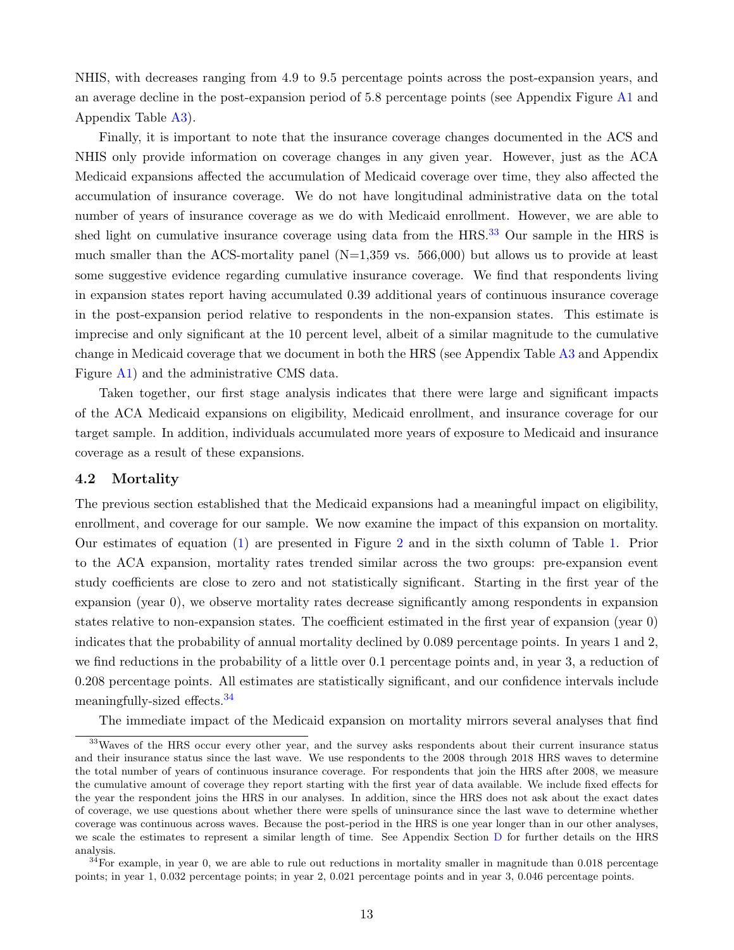NHIS, with decreases ranging from 4.9 to 9.5 percentage points across the post-expansion years, and an average decline in the post-expansion period of 5.8 percentage points (see Appendix Figure [A1](#page-53-0) and Appendix Table [A3\)](#page-61-0).

Finally, it is important to note that the insurance coverage changes documented in the ACS and NHIS only provide information on coverage changes in any given year. However, just as the ACA Medicaid expansions affected the accumulation of Medicaid coverage over time, they also affected the accumulation of insurance coverage. We do not have longitudinal administrative data on the total number of years of insurance coverage as we do with Medicaid enrollment. However, we are able to shed light on cumulative insurance coverage using data from the HRS.<sup>[33](#page-15-0)</sup> Our sample in the HRS is much smaller than the ACS-mortality panel  $(N=1,359 \text{ vs. } 566,000)$  but allows us to provide at least some suggestive evidence regarding cumulative insurance coverage. We find that respondents living in expansion states report having accumulated 0.39 additional years of continuous insurance coverage in the post-expansion period relative to respondents in the non-expansion states. This estimate is imprecise and only significant at the 10 percent level, albeit of a similar magnitude to the cumulative change in Medicaid coverage that we document in both the HRS (see Appendix Table [A3](#page-61-0) and Appendix Figure [A1\)](#page-53-0) and the administrative CMS data.

Taken together, our first stage analysis indicates that there were large and significant impacts of the ACA Medicaid expansions on eligibility, Medicaid enrollment, and insurance coverage for our target sample. In addition, individuals accumulated more years of exposure to Medicaid and insurance coverage as a result of these expansions.

#### 4.2 Mortality

The previous section established that the Medicaid expansions had a meaningful impact on eligibility, enrollment, and coverage for our sample. We now examine the impact of this expansion on mortality. Our estimates of equation [\(1\)](#page-11-4) are presented in Figure [2](#page-42-0) and in the sixth column of Table [1.](#page-44-0) Prior to the ACA expansion, mortality rates trended similar across the two groups: pre-expansion event study coefficients are close to zero and not statistically significant. Starting in the first year of the expansion (year 0), we observe mortality rates decrease significantly among respondents in expansion states relative to non-expansion states. The coefficient estimated in the first year of expansion (year 0) indicates that the probability of annual mortality declined by 0.089 percentage points. In years 1 and 2, we find reductions in the probability of a little over 0.1 percentage points and, in year 3, a reduction of 0.208 percentage points. All estimates are statistically significant, and our confidence intervals include meaningfully-sized effects.[34](#page-15-1)

<span id="page-15-0"></span>The immediate impact of the Medicaid expansion on mortality mirrors several analyses that find

<sup>&</sup>lt;sup>33</sup>Waves of the HRS occur every other year, and the survey asks respondents about their current insurance status and their insurance status since the last wave. We use respondents to the 2008 through 2018 HRS waves to determine the total number of years of continuous insurance coverage. For respondents that join the HRS after 2008, we measure the cumulative amount of coverage they report starting with the first year of data available. We include fixed effects for the year the respondent joins the HRS in our analyses. In addition, since the HRS does not ask about the exact dates of coverage, we use questions about whether there were spells of uninsurance since the last wave to determine whether coverage was continuous across waves. Because the post-period in the HRS is one year longer than in our other analyses, we scale the estimates to represent a similar length of time. See Appendix Section [D](#page-48-0) for further details on the HRS analysis.

<span id="page-15-1"></span> $34$ For example, in year 0, we are able to rule out reductions in mortality smaller in magnitude than 0.018 percentage points; in year 1, 0.032 percentage points; in year 2, 0.021 percentage points and in year 3, 0.046 percentage points.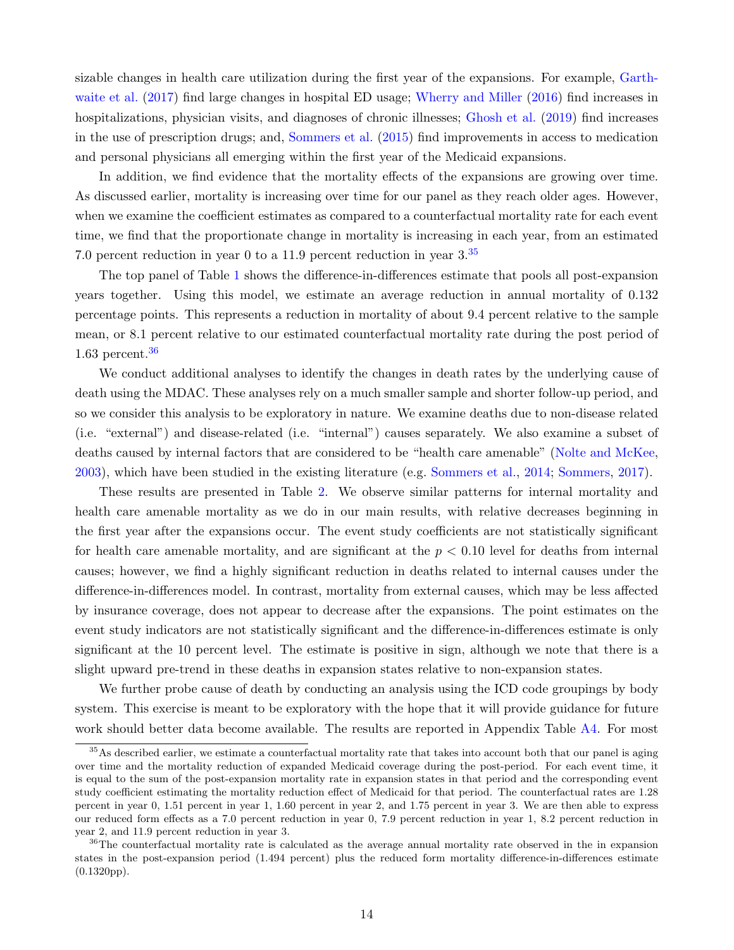sizable changes in health care utilization during the first year of the expansions. For example, [Garth](#page-35-11)[waite et al.](#page-35-11) [\(2017\)](#page-35-11) find large changes in hospital ED usage; [Wherry and Miller](#page-40-3) [\(2016\)](#page-40-3) find increases in hospitalizations, physician visits, and diagnoses of chronic illnesses; [Ghosh et al.](#page-35-1) [\(2019\)](#page-35-1) find increases in the use of prescription drugs; and, [Sommers et al.](#page-39-5) [\(2015\)](#page-39-5) find improvements in access to medication and personal physicians all emerging within the first year of the Medicaid expansions.

In addition, we find evidence that the mortality effects of the expansions are growing over time. As discussed earlier, mortality is increasing over time for our panel as they reach older ages. However, when we examine the coefficient estimates as compared to a counterfactual mortality rate for each event time, we find that the proportionate change in mortality is increasing in each year, from an estimated 7.0 percent reduction in year 0 to a 11.9 percent reduction in year 3.[35](#page-16-0)

The top panel of Table [1](#page-44-0) shows the difference-in-differences estimate that pools all post-expansion years together. Using this model, we estimate an average reduction in annual mortality of 0.132 percentage points. This represents a reduction in mortality of about 9.4 percent relative to the sample mean, or 8.1 percent relative to our estimated counterfactual mortality rate during the post period of 1.63 percent. $36$ 

We conduct additional analyses to identify the changes in death rates by the underlying cause of death using the MDAC. These analyses rely on a much smaller sample and shorter follow-up period, and so we consider this analysis to be exploratory in nature. We examine deaths due to non-disease related (i.e. "external") and disease-related (i.e. "internal") causes separately. We also examine a subset of deaths caused by internal factors that are considered to be "health care amenable" [\(Nolte and McKee,](#page-38-8) [2003\)](#page-38-8), which have been studied in the existing literature (e.g. [Sommers et al.,](#page-39-10) [2014;](#page-39-10) [Sommers,](#page-39-9) [2017\)](#page-39-9).

These results are presented in Table [2.](#page-45-0) We observe similar patterns for internal mortality and health care amenable mortality as we do in our main results, with relative decreases beginning in the first year after the expansions occur. The event study coefficients are not statistically significant for health care amenable mortality, and are significant at the  $p < 0.10$  level for deaths from internal causes; however, we find a highly significant reduction in deaths related to internal causes under the difference-in-differences model. In contrast, mortality from external causes, which may be less affected by insurance coverage, does not appear to decrease after the expansions. The point estimates on the event study indicators are not statistically significant and the difference-in-differences estimate is only significant at the 10 percent level. The estimate is positive in sign, although we note that there is a slight upward pre-trend in these deaths in expansion states relative to non-expansion states.

We further probe cause of death by conducting an analysis using the ICD code groupings by body system. This exercise is meant to be exploratory with the hope that it will provide guidance for future work should better data become available. The results are reported in Appendix Table [A4.](#page-62-0) For most

<span id="page-16-0"></span><sup>&</sup>lt;sup>35</sup>As described earlier, we estimate a counterfactual mortality rate that takes into account both that our panel is aging over time and the mortality reduction of expanded Medicaid coverage during the post-period. For each event time, it is equal to the sum of the post-expansion mortality rate in expansion states in that period and the corresponding event study coefficient estimating the mortality reduction effect of Medicaid for that period. The counterfactual rates are 1.28 percent in year 0, 1.51 percent in year 1, 1.60 percent in year 2, and 1.75 percent in year 3. We are then able to express our reduced form effects as a 7.0 percent reduction in year 0, 7.9 percent reduction in year 1, 8.2 percent reduction in year 2, and 11.9 percent reduction in year 3.

<span id="page-16-1"></span><sup>36</sup>The counterfactual mortality rate is calculated as the average annual mortality rate observed in the in expansion states in the post-expansion period (1.494 percent) plus the reduced form mortality difference-in-differences estimate (0.1320pp).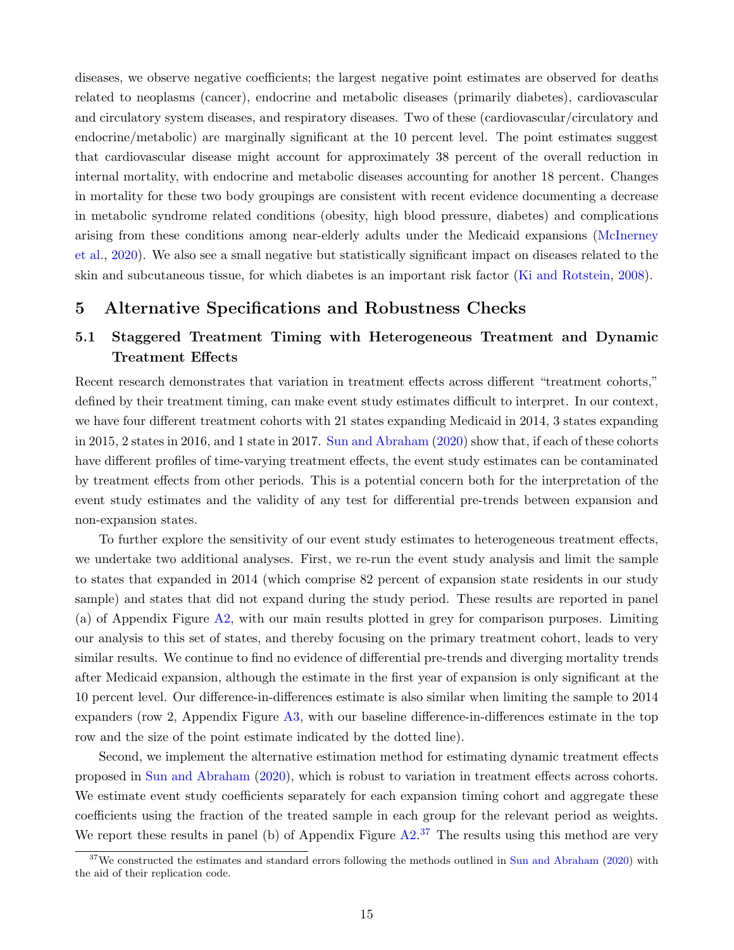diseases, we observe negative coefficients; the largest negative point estimates are observed for deaths related to neoplasms (cancer), endocrine and metabolic diseases (primarily diabetes), cardiovascular and circulatory system diseases, and respiratory diseases. Two of these (cardiovascular/circulatory and endocrine/metabolic) are marginally significant at the 10 percent level. The point estimates suggest that cardiovascular disease might account for approximately 38 percent of the overall reduction in internal mortality, with endocrine and metabolic diseases accounting for another 18 percent. Changes in mortality for these two body groupings are consistent with recent evidence documenting a decrease in metabolic syndrome related conditions (obesity, high blood pressure, diabetes) and complications arising from these conditions among near-elderly adults under the Medicaid expansions [\(McInerney](#page-37-7) [et al.,](#page-37-7) [2020\)](#page-37-7). We also see a small negative but statistically significant impact on diseases related to the skin and subcutaneous tissue, for which diabetes is an important risk factor [\(Ki and Rotstein,](#page-37-8) [2008\)](#page-37-8).

#### 5 Alternative Specifications and Robustness Checks

## <span id="page-17-1"></span>5.1 Staggered Treatment Timing with Heterogeneous Treatment and Dynamic Treatment Effects

Recent research demonstrates that variation in treatment effects across different "treatment cohorts," defined by their treatment timing, can make event study estimates difficult to interpret. In our context, we have four different treatment cohorts with 21 states expanding Medicaid in 2014, 3 states expanding in 2015, 2 states in 2016, and 1 state in 2017. [Sun and Abraham](#page-39-14) [\(2020\)](#page-39-14) show that, if each of these cohorts have different profiles of time-varying treatment effects, the event study estimates can be contaminated by treatment effects from other periods. This is a potential concern both for the interpretation of the event study estimates and the validity of any test for differential pre-trends between expansion and non-expansion states.

To further explore the sensitivity of our event study estimates to heterogeneous treatment effects, we undertake two additional analyses. First, we re-run the event study analysis and limit the sample to states that expanded in 2014 (which comprise 82 percent of expansion state residents in our study sample) and states that did not expand during the study period. These results are reported in panel (a) of Appendix Figure [A2,](#page-54-0) with our main results plotted in grey for comparison purposes. Limiting our analysis to this set of states, and thereby focusing on the primary treatment cohort, leads to very similar results. We continue to find no evidence of differential pre-trends and diverging mortality trends after Medicaid expansion, although the estimate in the first year of expansion is only significant at the 10 percent level. Our difference-in-differences estimate is also similar when limiting the sample to 2014 expanders (row 2, Appendix Figure [A3,](#page-55-0) with our baseline difference-in-differences estimate in the top row and the size of the point estimate indicated by the dotted line).

Second, we implement the alternative estimation method for estimating dynamic treatment effects proposed in [Sun and Abraham](#page-39-14) [\(2020\)](#page-39-14), which is robust to variation in treatment effects across cohorts. We estimate event study coefficients separately for each expansion timing cohort and aggregate these coefficients using the fraction of the treated sample in each group for the relevant period as weights. We report these results in panel (b) of Appendix Figure  $A2<sup>37</sup>$  $A2<sup>37</sup>$  $A2<sup>37</sup>$  The results using this method are very

<span id="page-17-0"></span><sup>&</sup>lt;sup>37</sup>We constructed the estimates and standard errors following the methods outlined in [Sun and Abraham](#page-39-14) [\(2020\)](#page-39-14) with the aid of their replication code.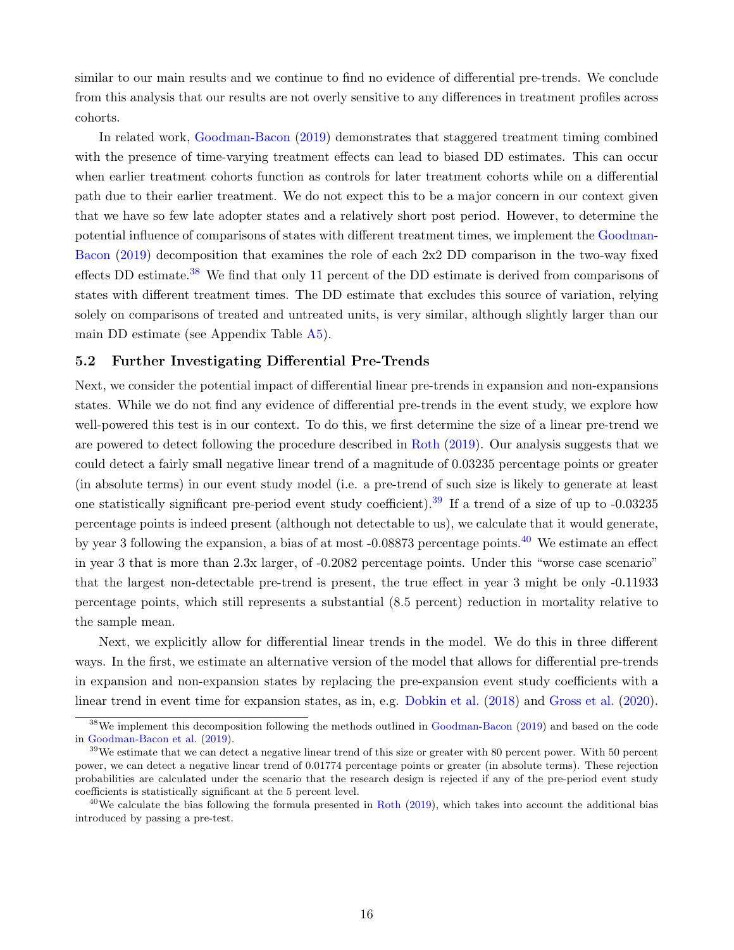similar to our main results and we continue to find no evidence of differential pre-trends. We conclude from this analysis that our results are not overly sensitive to any differences in treatment profiles across cohorts.

In related work, [Goodman-Bacon](#page-36-6) [\(2019\)](#page-36-6) demonstrates that staggered treatment timing combined with the presence of time-varying treatment effects can lead to biased DD estimates. This can occur when earlier treatment cohorts function as controls for later treatment cohorts while on a differential path due to their earlier treatment. We do not expect this to be a major concern in our context given that we have so few late adopter states and a relatively short post period. However, to determine the potential influence of comparisons of states with different treatment times, we implement the [Goodman-](#page-36-6)[Bacon](#page-36-6) [\(2019\)](#page-36-6) decomposition that examines the role of each 2x2 DD comparison in the two-way fixed effects DD estimate.<sup>[38](#page-18-0)</sup> We find that only 11 percent of the DD estimate is derived from comparisons of states with different treatment times. The DD estimate that excludes this source of variation, relying solely on comparisons of treated and untreated units, is very similar, although slightly larger than our main DD estimate (see Appendix Table [A5\)](#page-63-0).

#### <span id="page-18-3"></span>5.2 Further Investigating Differential Pre-Trends

Next, we consider the potential impact of differential linear pre-trends in expansion and non-expansions states. While we do not find any evidence of differential pre-trends in the event study, we explore how well-powered this test is in our context. To do this, we first determine the size of a linear pre-trend we are powered to detect following the procedure described in [Roth](#page-38-9) [\(2019\)](#page-38-9). Our analysis suggests that we could detect a fairly small negative linear trend of a magnitude of 0.03235 percentage points or greater (in absolute terms) in our event study model (i.e. a pre-trend of such size is likely to generate at least one statistically significant pre-period event study coefficient).<sup>[39](#page-18-1)</sup> If a trend of a size of up to  $-0.03235$ percentage points is indeed present (although not detectable to us), we calculate that it would generate, by year 3 following the expansion, a bias of at most -0.08873 percentage points.[40](#page-18-2) We estimate an effect in year 3 that is more than 2.3x larger, of -0.2082 percentage points. Under this "worse case scenario" that the largest non-detectable pre-trend is present, the true effect in year 3 might be only -0.11933 percentage points, which still represents a substantial (8.5 percent) reduction in mortality relative to the sample mean.

Next, we explicitly allow for differential linear trends in the model. We do this in three different ways. In the first, we estimate an alternative version of the model that allows for differential pre-trends in expansion and non-expansion states by replacing the pre-expansion event study coefficients with a linear trend in event time for expansion states, as in, e.g. [Dobkin et al.](#page-34-12) [\(2018\)](#page-34-12) and [Gross et al.](#page-36-7) [\(2020\)](#page-36-7).

<span id="page-18-0"></span><sup>&</sup>lt;sup>38</sup>We implement this decomposition following the methods outlined in [Goodman-Bacon](#page-36-6) [\(2019\)](#page-36-6) and based on the code in [Goodman-Bacon et al.](#page-36-8) [\(2019\)](#page-36-8).

<span id="page-18-1"></span><sup>&</sup>lt;sup>39</sup>We estimate that we can detect a negative linear trend of this size or greater with 80 percent power. With 50 percent power, we can detect a negative linear trend of 0.01774 percentage points or greater (in absolute terms). These rejection probabilities are calculated under the scenario that the research design is rejected if any of the pre-period event study coefficients is statistically significant at the 5 percent level.

<span id="page-18-2"></span> $^{40}$ We calculate the bias following the formula presented in [Roth](#page-38-9) [\(2019\)](#page-38-9), which takes into account the additional bias introduced by passing a pre-test.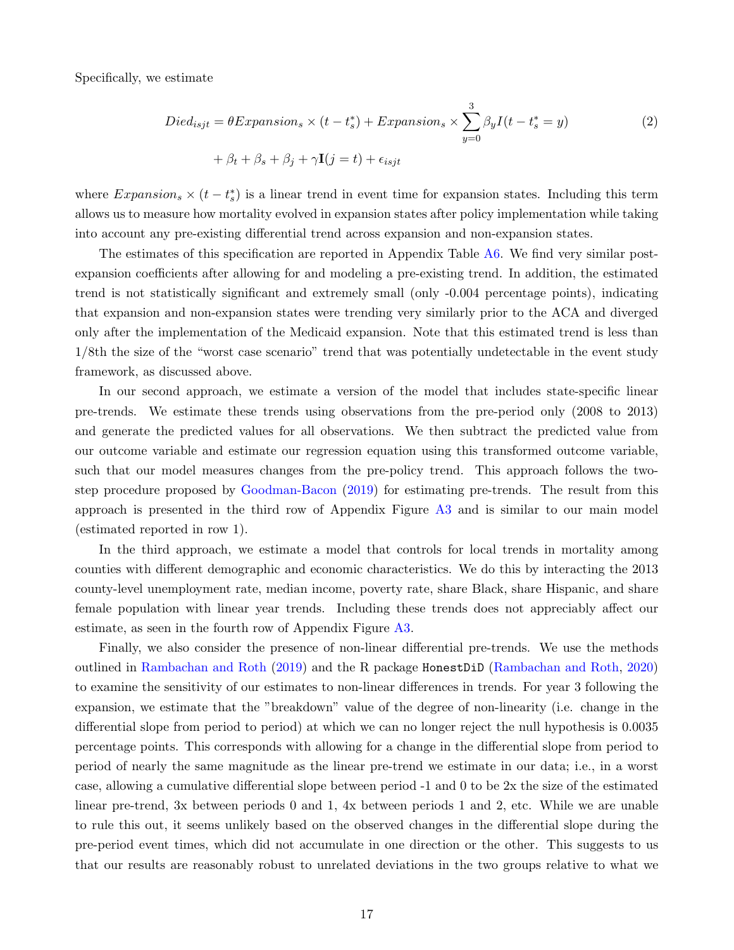Specifically, we estimate

$$
Died_{isjt} = \theta Expansion_s \times (t - t_s^*) + Expansion_s \times \sum_{y=0}^{3} \beta_y I(t - t_s^* = y)
$$
  
+  $\beta_t + \beta_s + \beta_j + \gamma \mathbf{I}(j = t) + \epsilon_{isjt}$  (2)

where  $Expansion_s \times (t - t_s^*)$  is a linear trend in event time for expansion states. Including this term allows us to measure how mortality evolved in expansion states after policy implementation while taking into account any pre-existing differential trend across expansion and non-expansion states.

The estimates of this specification are reported in Appendix Table [A6.](#page-63-1) We find very similar postexpansion coefficients after allowing for and modeling a pre-existing trend. In addition, the estimated trend is not statistically significant and extremely small (only -0.004 percentage points), indicating that expansion and non-expansion states were trending very similarly prior to the ACA and diverged only after the implementation of the Medicaid expansion. Note that this estimated trend is less than 1/8th the size of the "worst case scenario" trend that was potentially undetectable in the event study framework, as discussed above.

In our second approach, we estimate a version of the model that includes state-specific linear pre-trends. We estimate these trends using observations from the pre-period only (2008 to 2013) and generate the predicted values for all observations. We then subtract the predicted value from our outcome variable and estimate our regression equation using this transformed outcome variable, such that our model measures changes from the pre-policy trend. This approach follows the twostep procedure proposed by [Goodman-Bacon](#page-36-6) [\(2019\)](#page-36-6) for estimating pre-trends. The result from this approach is presented in the third row of Appendix Figure [A3](#page-55-0) and is similar to our main model (estimated reported in row 1).

In the third approach, we estimate a model that controls for local trends in mortality among counties with different demographic and economic characteristics. We do this by interacting the 2013 county-level unemployment rate, median income, poverty rate, share Black, share Hispanic, and share female population with linear year trends. Including these trends does not appreciably affect our estimate, as seen in the fourth row of Appendix Figure [A3.](#page-55-0)

Finally, we also consider the presence of non-linear differential pre-trends. We use the methods outlined in [Rambachan and Roth](#page-38-10) [\(2019\)](#page-38-10) and the R package HonestDiD [\(Rambachan and Roth,](#page-38-11) [2020\)](#page-38-11) to examine the sensitivity of our estimates to non-linear differences in trends. For year 3 following the expansion, we estimate that the "breakdown" value of the degree of non-linearity (i.e. change in the differential slope from period to period) at which we can no longer reject the null hypothesis is 0.0035 percentage points. This corresponds with allowing for a change in the differential slope from period to period of nearly the same magnitude as the linear pre-trend we estimate in our data; i.e., in a worst case, allowing a cumulative differential slope between period -1 and 0 to be 2x the size of the estimated linear pre-trend, 3x between periods 0 and 1, 4x between periods 1 and 2, etc. While we are unable to rule this out, it seems unlikely based on the observed changes in the differential slope during the pre-period event times, which did not accumulate in one direction or the other. This suggests to us that our results are reasonably robust to unrelated deviations in the two groups relative to what we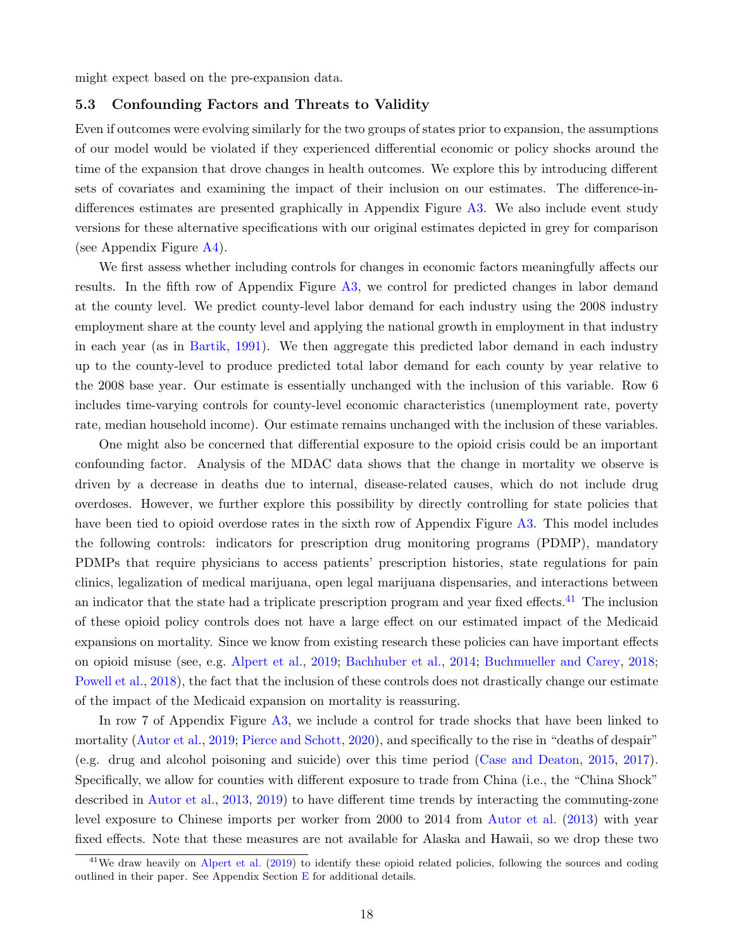<span id="page-20-0"></span>might expect based on the pre-expansion data.

#### 5.3 Confounding Factors and Threats to Validity

Even if outcomes were evolving similarly for the two groups of states prior to expansion, the assumptions of our model would be violated if they experienced differential economic or policy shocks around the time of the expansion that drove changes in health outcomes. We explore this by introducing different sets of covariates and examining the impact of their inclusion on our estimates. The difference-indifferences estimates are presented graphically in Appendix Figure [A3.](#page-55-0) We also include event study versions for these alternative specifications with our original estimates depicted in grey for comparison (see Appendix Figure [A4\)](#page-56-0).

We first assess whether including controls for changes in economic factors meaningfully affects our results. In the fifth row of Appendix Figure [A3,](#page-55-0) we control for predicted changes in labor demand at the county level. We predict county-level labor demand for each industry using the 2008 industry employment share at the county level and applying the national growth in employment in that industry in each year (as in [Bartik,](#page-32-10) [1991\)](#page-32-10). We then aggregate this predicted labor demand in each industry up to the county-level to produce predicted total labor demand for each county by year relative to the 2008 base year. Our estimate is essentially unchanged with the inclusion of this variable. Row 6 includes time-varying controls for county-level economic characteristics (unemployment rate, poverty rate, median household income). Our estimate remains unchanged with the inclusion of these variables.

One might also be concerned that differential exposure to the opioid crisis could be an important confounding factor. Analysis of the MDAC data shows that the change in mortality we observe is driven by a decrease in deaths due to internal, disease-related causes, which do not include drug overdoses. However, we further explore this possibility by directly controlling for state policies that have been tied to opioid overdose rates in the sixth row of Appendix Figure [A3.](#page-55-0) This model includes the following controls: indicators for prescription drug monitoring programs (PDMP), mandatory PDMPs that require physicians to access patients' prescription histories, state regulations for pain clinics, legalization of medical marijuana, open legal marijuana dispensaries, and interactions between an indicator that the state had a triplicate prescription program and year fixed effects.<sup>[41](#page-20-1)</sup> The inclusion of these opioid policy controls does not have a large effect on our estimated impact of the Medicaid expansions on mortality. Since we know from existing research these policies can have important effects on opioid misuse (see, e.g. [Alpert et al.,](#page-32-11) [2019;](#page-32-11) [Bachhuber et al.,](#page-32-12) [2014;](#page-32-12) [Buchmueller and Carey,](#page-33-10) [2018;](#page-33-10) [Powell et al.,](#page-38-12) [2018\)](#page-38-12), the fact that the inclusion of these controls does not drastically change our estimate of the impact of the Medicaid expansion on mortality is reassuring.

In row 7 of Appendix Figure [A3,](#page-55-0) we include a control for trade shocks that have been linked to mortality [\(Autor et al.,](#page-32-13) [2019;](#page-32-13) [Pierce and Schott,](#page-38-13) [2020\)](#page-38-13), and specifically to the rise in "deaths of despair" (e.g. drug and alcohol poisoning and suicide) over this time period [\(Case and Deaton,](#page-33-11) [2015,](#page-33-11) [2017\)](#page-33-12). Specifically, we allow for counties with different exposure to trade from China (i.e., the "China Shock" described in [Autor et al.,](#page-32-14) [2013,](#page-32-14) [2019\)](#page-32-13) to have different time trends by interacting the commuting-zone level exposure to Chinese imports per worker from 2000 to 2014 from [Autor et al.](#page-32-14) [\(2013\)](#page-32-14) with year fixed effects. Note that these measures are not available for Alaska and Hawaii, so we drop these two

<span id="page-20-1"></span><sup>&</sup>lt;sup>41</sup>We draw heavily on [Alpert et al.](#page-32-11) [\(2019\)](#page-32-11) to identify these opioid related policies, following the sources and coding outlined in their paper. See Appendix Section  $E$  for additional details.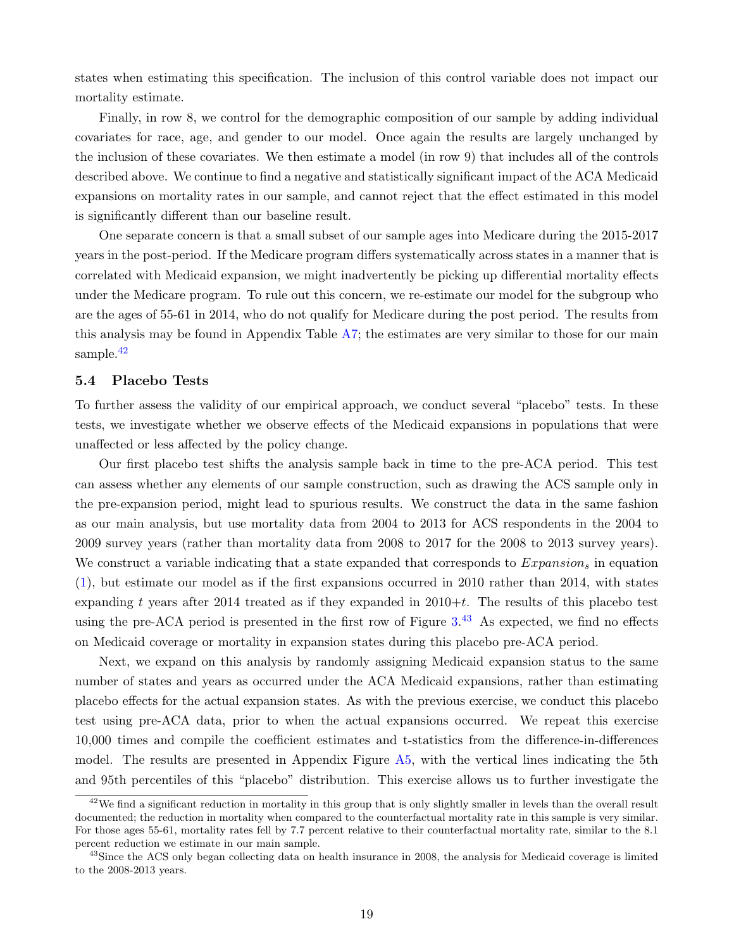states when estimating this specification. The inclusion of this control variable does not impact our mortality estimate.

Finally, in row 8, we control for the demographic composition of our sample by adding individual covariates for race, age, and gender to our model. Once again the results are largely unchanged by the inclusion of these covariates. We then estimate a model (in row 9) that includes all of the controls described above. We continue to find a negative and statistically significant impact of the ACA Medicaid expansions on mortality rates in our sample, and cannot reject that the effect estimated in this model is significantly different than our baseline result.

One separate concern is that a small subset of our sample ages into Medicare during the 2015-2017 years in the post-period. If the Medicare program differs systematically across states in a manner that is correlated with Medicaid expansion, we might inadvertently be picking up differential mortality effects under the Medicare program. To rule out this concern, we re-estimate our model for the subgroup who are the ages of 55-61 in 2014, who do not qualify for Medicare during the post period. The results from this analysis may be found in Appendix Table [A7;](#page-64-0) the estimates are very similar to those for our main sample.<sup>[42](#page-21-0)</sup>

#### <span id="page-21-2"></span>5.4 Placebo Tests

To further assess the validity of our empirical approach, we conduct several "placebo" tests. In these tests, we investigate whether we observe effects of the Medicaid expansions in populations that were unaffected or less affected by the policy change.

Our first placebo test shifts the analysis sample back in time to the pre-ACA period. This test can assess whether any elements of our sample construction, such as drawing the ACS sample only in the pre-expansion period, might lead to spurious results. We construct the data in the same fashion as our main analysis, but use mortality data from 2004 to 2013 for ACS respondents in the 2004 to 2009 survey years (rather than mortality data from 2008 to 2017 for the 2008 to 2013 survey years). We construct a variable indicating that a state expanded that corresponds to  $Expansion<sub>s</sub>$  in equation [\(1\)](#page-11-4), but estimate our model as if the first expansions occurred in 2010 rather than 2014, with states expanding t years after 2014 treated as if they expanded in  $2010+t$ . The results of this placebo test using the pre-ACA period is presented in the first row of Figure  $3<sup>43</sup>$  $3<sup>43</sup>$  $3<sup>43</sup>$  As expected, we find no effects on Medicaid coverage or mortality in expansion states during this placebo pre-ACA period.

Next, we expand on this analysis by randomly assigning Medicaid expansion status to the same number of states and years as occurred under the ACA Medicaid expansions, rather than estimating placebo effects for the actual expansion states. As with the previous exercise, we conduct this placebo test using pre-ACA data, prior to when the actual expansions occurred. We repeat this exercise 10,000 times and compile the coefficient estimates and t-statistics from the difference-in-differences model. The results are presented in Appendix Figure [A5,](#page-57-0) with the vertical lines indicating the 5th and 95th percentiles of this "placebo" distribution. This exercise allows us to further investigate the

<span id="page-21-0"></span> $42$ We find a significant reduction in mortality in this group that is only slightly smaller in levels than the overall result documented; the reduction in mortality when compared to the counterfactual mortality rate in this sample is very similar. For those ages 55-61, mortality rates fell by 7.7 percent relative to their counterfactual mortality rate, similar to the 8.1 percent reduction we estimate in our main sample.

<span id="page-21-1"></span> $43$ Since the ACS only began collecting data on health insurance in 2008, the analysis for Medicaid coverage is limited to the 2008-2013 years.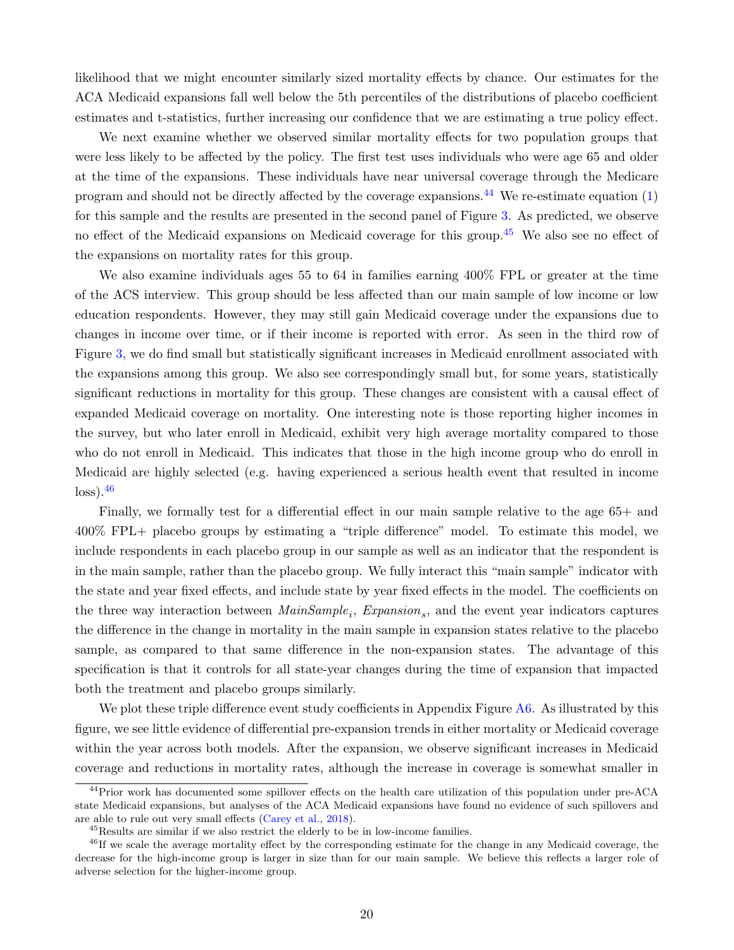likelihood that we might encounter similarly sized mortality effects by chance. Our estimates for the ACA Medicaid expansions fall well below the 5th percentiles of the distributions of placebo coefficient estimates and t-statistics, further increasing our confidence that we are estimating a true policy effect.

We next examine whether we observed similar mortality effects for two population groups that were less likely to be affected by the policy. The first test uses individuals who were age 65 and older at the time of the expansions. These individuals have near universal coverage through the Medicare program and should not be directly affected by the coverage expansions.<sup>[44](#page-22-0)</sup> We re-estimate equation  $(1)$ for this sample and the results are presented in the second panel of Figure [3.](#page-43-0) As predicted, we observe no effect of the Medicaid expansions on Medicaid coverage for this group.<sup>[45](#page-22-1)</sup> We also see no effect of the expansions on mortality rates for this group.

We also examine individuals ages 55 to 64 in families earning 400% FPL or greater at the time of the ACS interview. This group should be less affected than our main sample of low income or low education respondents. However, they may still gain Medicaid coverage under the expansions due to changes in income over time, or if their income is reported with error. As seen in the third row of Figure [3,](#page-43-0) we do find small but statistically significant increases in Medicaid enrollment associated with the expansions among this group. We also see correspondingly small but, for some years, statistically significant reductions in mortality for this group. These changes are consistent with a causal effect of expanded Medicaid coverage on mortality. One interesting note is those reporting higher incomes in the survey, but who later enroll in Medicaid, exhibit very high average mortality compared to those who do not enroll in Medicaid. This indicates that those in the high income group who do enroll in Medicaid are highly selected (e.g. having experienced a serious health event that resulted in income  $\log s$ ).  $46$ 

Finally, we formally test for a differential effect in our main sample relative to the age 65+ and 400% FPL+ placebo groups by estimating a "triple difference" model. To estimate this model, we include respondents in each placebo group in our sample as well as an indicator that the respondent is in the main sample, rather than the placebo group. We fully interact this "main sample" indicator with the state and year fixed effects, and include state by year fixed effects in the model. The coefficients on the three way interaction between  $MainSample_i$ ,  $Expansion_s$ , and the event year indicators captures the difference in the change in mortality in the main sample in expansion states relative to the placebo sample, as compared to that same difference in the non-expansion states. The advantage of this specification is that it controls for all state-year changes during the time of expansion that impacted both the treatment and placebo groups similarly.

We plot these triple difference event study coefficients in Appendix Figure [A6.](#page-58-0) As illustrated by this figure, we see little evidence of differential pre-expansion trends in either mortality or Medicaid coverage within the year across both models. After the expansion, we observe significant increases in Medicaid coverage and reductions in mortality rates, although the increase in coverage is somewhat smaller in

<span id="page-22-0"></span><sup>&</sup>lt;sup>44</sup>Prior work has documented some spillover effects on the health care utilization of this population under pre-ACA state Medicaid expansions, but analyses of the ACA Medicaid expansions have found no evidence of such spillovers and are able to rule out very small effects [\(Carey et al.,](#page-33-13) [2018\)](#page-33-13).

<span id="page-22-2"></span><span id="page-22-1"></span><sup>45</sup>Results are similar if we also restrict the elderly to be in low-income families.

<sup>&</sup>lt;sup>46</sup>If we scale the average mortality effect by the corresponding estimate for the change in any Medicaid coverage, the decrease for the high-income group is larger in size than for our main sample. We believe this reflects a larger role of adverse selection for the higher-income group.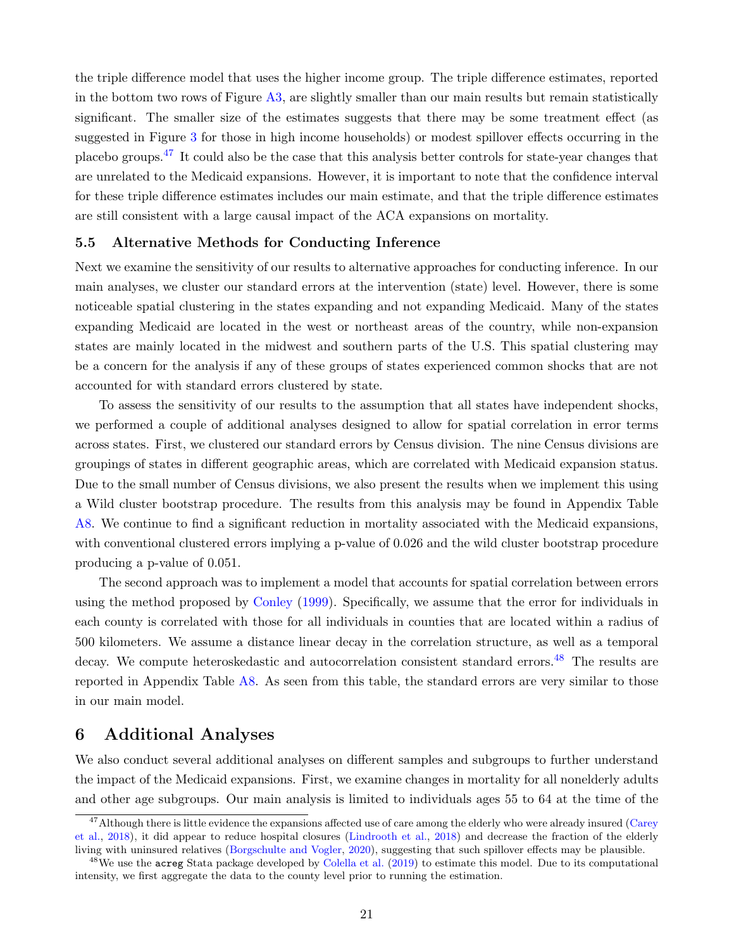the triple difference model that uses the higher income group. The triple difference estimates, reported in the bottom two rows of Figure [A3,](#page-55-0) are slightly smaller than our main results but remain statistically significant. The smaller size of the estimates suggests that there may be some treatment effect (as suggested in Figure [3](#page-43-0) for those in high income households) or modest spillover effects occurring in the placebo groups.[47](#page-23-1) It could also be the case that this analysis better controls for state-year changes that are unrelated to the Medicaid expansions. However, it is important to note that the confidence interval for these triple difference estimates includes our main estimate, and that the triple difference estimates are still consistent with a large causal impact of the ACA expansions on mortality.

#### <span id="page-23-3"></span>5.5 Alternative Methods for Conducting Inference

Next we examine the sensitivity of our results to alternative approaches for conducting inference. In our main analyses, we cluster our standard errors at the intervention (state) level. However, there is some noticeable spatial clustering in the states expanding and not expanding Medicaid. Many of the states expanding Medicaid are located in the west or northeast areas of the country, while non-expansion states are mainly located in the midwest and southern parts of the U.S. This spatial clustering may be a concern for the analysis if any of these groups of states experienced common shocks that are not accounted for with standard errors clustered by state.

To assess the sensitivity of our results to the assumption that all states have independent shocks, we performed a couple of additional analyses designed to allow for spatial correlation in error terms across states. First, we clustered our standard errors by Census division. The nine Census divisions are groupings of states in different geographic areas, which are correlated with Medicaid expansion status. Due to the small number of Census divisions, we also present the results when we implement this using a Wild cluster bootstrap procedure. The results from this analysis may be found in Appendix Table [A8.](#page-65-0) We continue to find a significant reduction in mortality associated with the Medicaid expansions, with conventional clustered errors implying a p-value of 0.026 and the wild cluster bootstrap procedure producing a p-value of 0.051.

The second approach was to implement a model that accounts for spatial correlation between errors using the method proposed by [Conley](#page-34-13) [\(1999\)](#page-34-13). Specifically, we assume that the error for individuals in each county is correlated with those for all individuals in counties that are located within a radius of 500 kilometers. We assume a distance linear decay in the correlation structure, as well as a temporal decay. We compute heteroskedastic and autocorrelation consistent standard errors.<sup>[48](#page-23-2)</sup> The results are reported in Appendix Table [A8.](#page-65-0) As seen from this table, the standard errors are very similar to those in our main model.

### <span id="page-23-0"></span>6 Additional Analyses

We also conduct several additional analyses on different samples and subgroups to further understand the impact of the Medicaid expansions. First, we examine changes in mortality for all nonelderly adults and other age subgroups. Our main analysis is limited to individuals ages 55 to 64 at the time of the

<span id="page-23-1"></span><sup>&</sup>lt;sup>47</sup>Although there is little evidence the expansions affected use of care among the elderly who were already insured [\(Carey](#page-33-13) [et al.,](#page-33-13) [2018\)](#page-33-13), it did appear to reduce hospital closures [\(Lindrooth et al.,](#page-37-9) [2018\)](#page-37-9) and decrease the fraction of the elderly living with uninsured relatives [\(Borgschulte and Vogler,](#page-32-0) [2020\)](#page-32-0), suggesting that such spillover effects may be plausible.

<span id="page-23-2"></span><sup>&</sup>lt;sup>48</sup>We use the acreg Stata package developed by [Colella et al.](#page-34-14) [\(2019\)](#page-34-14) to estimate this model. Due to its computational intensity, we first aggregate the data to the county level prior to running the estimation.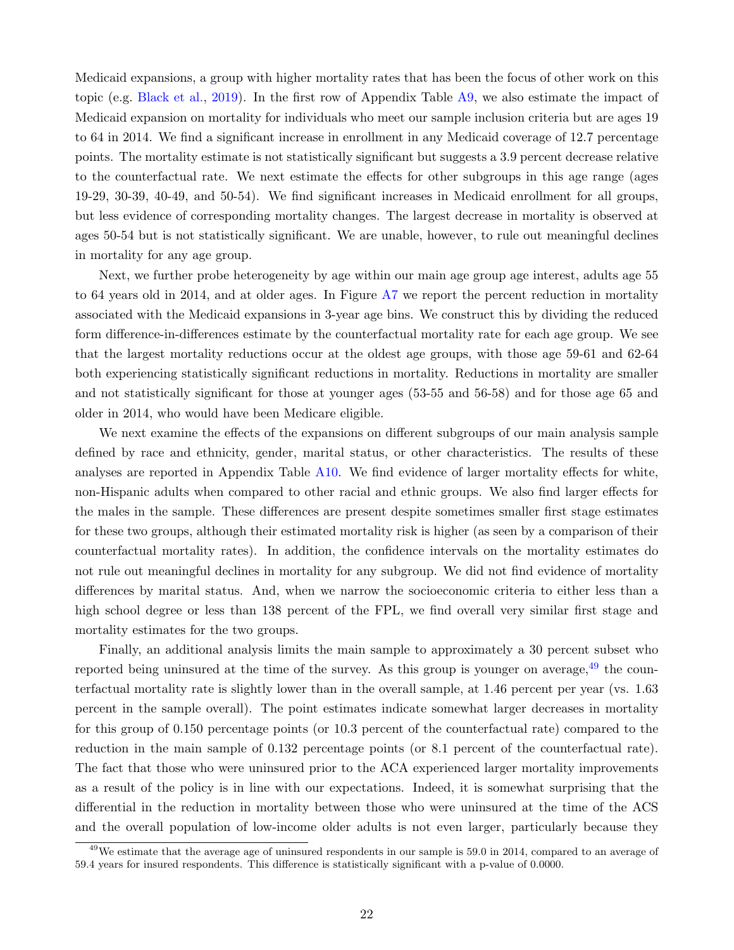Medicaid expansions, a group with higher mortality rates that has been the focus of other work on this topic (e.g. [Black et al.,](#page-32-2) [2019\)](#page-32-2). In the first row of Appendix Table [A9,](#page-65-1) we also estimate the impact of Medicaid expansion on mortality for individuals who meet our sample inclusion criteria but are ages 19 to 64 in 2014. We find a significant increase in enrollment in any Medicaid coverage of 12.7 percentage points. The mortality estimate is not statistically significant but suggests a 3.9 percent decrease relative to the counterfactual rate. We next estimate the effects for other subgroups in this age range (ages 19-29, 30-39, 40-49, and 50-54). We find significant increases in Medicaid enrollment for all groups, but less evidence of corresponding mortality changes. The largest decrease in mortality is observed at ages 50-54 but is not statistically significant. We are unable, however, to rule out meaningful declines in mortality for any age group.

Next, we further probe heterogeneity by age within our main age group age interest, adults age 55 to 64 years old in 2014, and at older ages. In Figure [A7](#page-59-0) we report the percent reduction in mortality associated with the Medicaid expansions in 3-year age bins. We construct this by dividing the reduced form difference-in-differences estimate by the counterfactual mortality rate for each age group. We see that the largest mortality reductions occur at the oldest age groups, with those age 59-61 and 62-64 both experiencing statistically significant reductions in mortality. Reductions in mortality are smaller and not statistically significant for those at younger ages (53-55 and 56-58) and for those age 65 and older in 2014, who would have been Medicare eligible.

We next examine the effects of the expansions on different subgroups of our main analysis sample defined by race and ethnicity, gender, marital status, or other characteristics. The results of these analyses are reported in Appendix Table [A10.](#page-66-0) We find evidence of larger mortality effects for white, non-Hispanic adults when compared to other racial and ethnic groups. We also find larger effects for the males in the sample. These differences are present despite sometimes smaller first stage estimates for these two groups, although their estimated mortality risk is higher (as seen by a comparison of their counterfactual mortality rates). In addition, the confidence intervals on the mortality estimates do not rule out meaningful declines in mortality for any subgroup. We did not find evidence of mortality differences by marital status. And, when we narrow the socioeconomic criteria to either less than a high school degree or less than 138 percent of the FPL, we find overall very similar first stage and mortality estimates for the two groups.

Finally, an additional analysis limits the main sample to approximately a 30 percent subset who reported being uninsured at the time of the survey. As this group is younger on average,  $^{49}$  $^{49}$  $^{49}$  the counterfactual mortality rate is slightly lower than in the overall sample, at 1.46 percent per year (vs. 1.63 percent in the sample overall). The point estimates indicate somewhat larger decreases in mortality for this group of 0.150 percentage points (or 10.3 percent of the counterfactual rate) compared to the reduction in the main sample of 0.132 percentage points (or 8.1 percent of the counterfactual rate). The fact that those who were uninsured prior to the ACA experienced larger mortality improvements as a result of the policy is in line with our expectations. Indeed, it is somewhat surprising that the differential in the reduction in mortality between those who were uninsured at the time of the ACS and the overall population of low-income older adults is not even larger, particularly because they

<span id="page-24-0"></span><sup>49</sup>We estimate that the average age of uninsured respondents in our sample is 59.0 in 2014, compared to an average of 59.4 years for insured respondents. This difference is statistically significant with a p-value of 0.0000.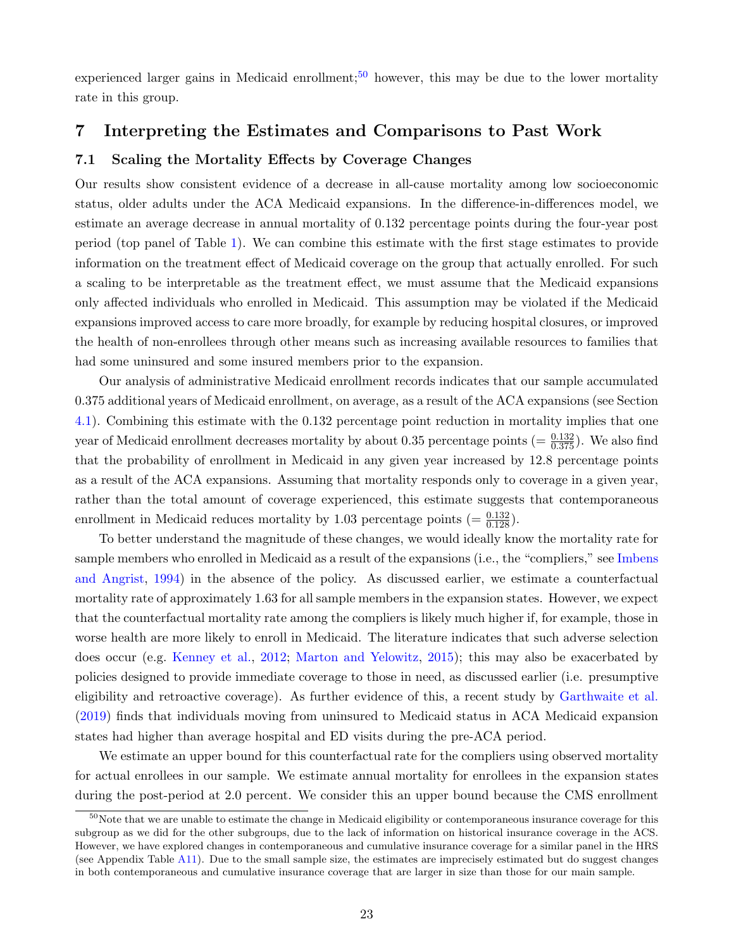experienced larger gains in Medicaid enrollment;<sup>[50](#page-25-0)</sup> however, this may be due to the lower mortality rate in this group.

#### <span id="page-25-1"></span>7 Interpreting the Estimates and Comparisons to Past Work

#### 7.1 Scaling the Mortality Effects by Coverage Changes

Our results show consistent evidence of a decrease in all-cause mortality among low socioeconomic status, older adults under the ACA Medicaid expansions. In the difference-in-differences model, we estimate an average decrease in annual mortality of 0.132 percentage points during the four-year post period (top panel of Table [1\)](#page-44-0). We can combine this estimate with the first stage estimates to provide information on the treatment effect of Medicaid coverage on the group that actually enrolled. For such a scaling to be interpretable as the treatment effect, we must assume that the Medicaid expansions only affected individuals who enrolled in Medicaid. This assumption may be violated if the Medicaid expansions improved access to care more broadly, for example by reducing hospital closures, or improved the health of non-enrollees through other means such as increasing available resources to families that had some uninsured and some insured members prior to the expansion.

Our analysis of administrative Medicaid enrollment records indicates that our sample accumulated 0.375 additional years of Medicaid enrollment, on average, as a result of the ACA expansions (see Section [4.1\)](#page-12-2). Combining this estimate with the 0.132 percentage point reduction in mortality implies that one year of Medicaid enrollment decreases mortality by about 0.35 percentage points  $(=\frac{0.132}{0.375})$ . We also find that the probability of enrollment in Medicaid in any given year increased by 12.8 percentage points as a result of the ACA expansions. Assuming that mortality responds only to coverage in a given year, rather than the total amount of coverage experienced, this estimate suggests that contemporaneous enrollment in Medicaid reduces mortality by 1.03 percentage points  $(=\frac{0.132}{0.128})$ .

To better understand the magnitude of these changes, we would ideally know the mortality rate for sample members who enrolled in Medicaid as a result of the expansions (i.e., the "compliers," see [Imbens](#page-36-9) [and Angrist,](#page-36-9) [1994\)](#page-36-9) in the absence of the policy. As discussed earlier, we estimate a counterfactual mortality rate of approximately 1.63 for all sample members in the expansion states. However, we expect that the counterfactual mortality rate among the compliers is likely much higher if, for example, those in worse health are more likely to enroll in Medicaid. The literature indicates that such adverse selection does occur (e.g. [Kenney et al.,](#page-37-10) [2012;](#page-37-10) [Marton and Yelowitz,](#page-37-11) [2015\)](#page-37-11); this may also be exacerbated by policies designed to provide immediate coverage to those in need, as discussed earlier (i.e. presumptive eligibility and retroactive coverage). As further evidence of this, a recent study by [Garthwaite et al.](#page-35-12) [\(2019\)](#page-35-12) finds that individuals moving from uninsured to Medicaid status in ACA Medicaid expansion states had higher than average hospital and ED visits during the pre-ACA period.

We estimate an upper bound for this counterfactual rate for the compliers using observed mortality for actual enrollees in our sample. We estimate annual mortality for enrollees in the expansion states during the post-period at 2.0 percent. We consider this an upper bound because the CMS enrollment

<span id="page-25-0"></span> $50$ Note that we are unable to estimate the change in Medicaid eligibility or contemporaneous insurance coverage for this subgroup as we did for the other subgroups, due to the lack of information on historical insurance coverage in the ACS. However, we have explored changes in contemporaneous and cumulative insurance coverage for a similar panel in the HRS (see Appendix Table [A11\)](#page-67-0). Due to the small sample size, the estimates are imprecisely estimated but do suggest changes in both contemporaneous and cumulative insurance coverage that are larger in size than those for our main sample.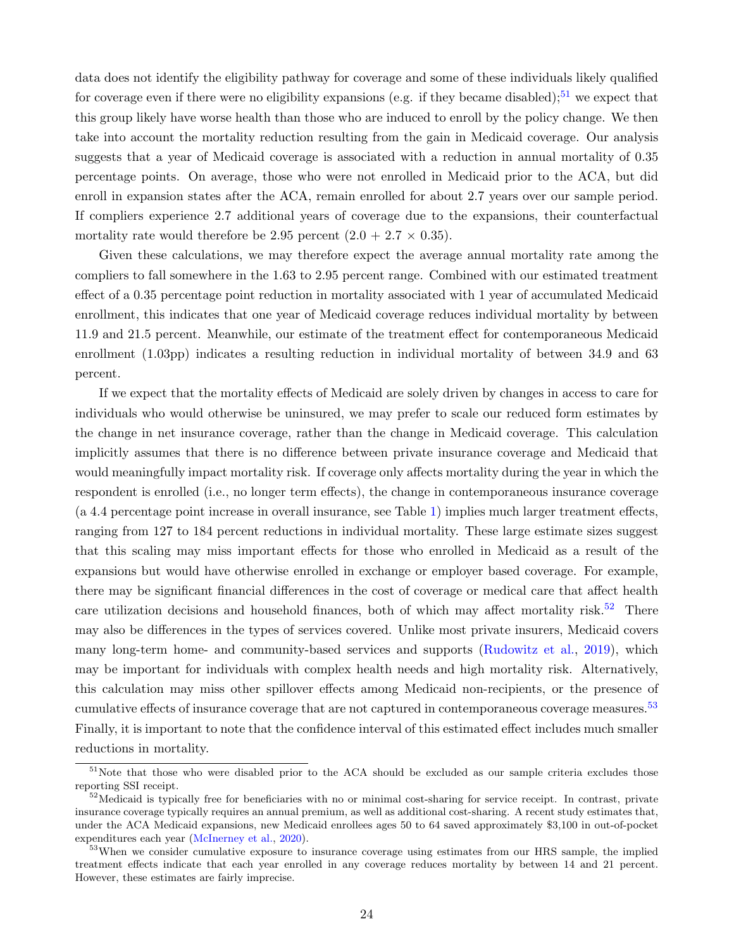data does not identify the eligibility pathway for coverage and some of these individuals likely qualified for coverage even if there were no eligibility expansions (e.g. if they became disabled);<sup>[51](#page-26-0)</sup> we expect that this group likely have worse health than those who are induced to enroll by the policy change. We then take into account the mortality reduction resulting from the gain in Medicaid coverage. Our analysis suggests that a year of Medicaid coverage is associated with a reduction in annual mortality of 0.35 percentage points. On average, those who were not enrolled in Medicaid prior to the ACA, but did enroll in expansion states after the ACA, remain enrolled for about 2.7 years over our sample period. If compliers experience 2.7 additional years of coverage due to the expansions, their counterfactual mortality rate would therefore be 2.95 percent  $(2.0 + 2.7 \times 0.35)$ .

Given these calculations, we may therefore expect the average annual mortality rate among the compliers to fall somewhere in the 1.63 to 2.95 percent range. Combined with our estimated treatment effect of a 0.35 percentage point reduction in mortality associated with 1 year of accumulated Medicaid enrollment, this indicates that one year of Medicaid coverage reduces individual mortality by between 11.9 and 21.5 percent. Meanwhile, our estimate of the treatment effect for contemporaneous Medicaid enrollment (1.03pp) indicates a resulting reduction in individual mortality of between 34.9 and 63 percent.

If we expect that the mortality effects of Medicaid are solely driven by changes in access to care for individuals who would otherwise be uninsured, we may prefer to scale our reduced form estimates by the change in net insurance coverage, rather than the change in Medicaid coverage. This calculation implicitly assumes that there is no difference between private insurance coverage and Medicaid that would meaningfully impact mortality risk. If coverage only affects mortality during the year in which the respondent is enrolled (i.e., no longer term effects), the change in contemporaneous insurance coverage (a 4.4 percentage point increase in overall insurance, see Table [1\)](#page-44-0) implies much larger treatment effects, ranging from 127 to 184 percent reductions in individual mortality. These large estimate sizes suggest that this scaling may miss important effects for those who enrolled in Medicaid as a result of the expansions but would have otherwise enrolled in exchange or employer based coverage. For example, there may be significant financial differences in the cost of coverage or medical care that affect health care utilization decisions and household finances, both of which may affect mortality risk.<sup>[52](#page-26-1)</sup> There may also be differences in the types of services covered. Unlike most private insurers, Medicaid covers many long-term home- and community-based services and supports [\(Rudowitz et al.,](#page-39-15) [2019\)](#page-39-15), which may be important for individuals with complex health needs and high mortality risk. Alternatively, this calculation may miss other spillover effects among Medicaid non-recipients, or the presence of cumulative effects of insurance coverage that are not captured in contemporaneous coverage measures.<sup>[53](#page-26-2)</sup> Finally, it is important to note that the confidence interval of this estimated effect includes much smaller reductions in mortality.

<span id="page-26-0"></span><sup>&</sup>lt;sup>51</sup>Note that those who were disabled prior to the ACA should be excluded as our sample criteria excludes those reporting SSI receipt.

<span id="page-26-1"></span> $52$ Medicaid is typically free for beneficiaries with no or minimal cost-sharing for service receipt. In contrast, private insurance coverage typically requires an annual premium, as well as additional cost-sharing. A recent study estimates that, under the ACA Medicaid expansions, new Medicaid enrollees ages 50 to 64 saved approximately \$3,100 in out-of-pocket expenditures each year [\(McInerney et al.,](#page-37-7) [2020\)](#page-37-7).

<span id="page-26-2"></span><sup>&</sup>lt;sup>53</sup>When we consider cumulative exposure to insurance coverage using estimates from our HRS sample, the implied treatment effects indicate that each year enrolled in any coverage reduces mortality by between 14 and 21 percent. However, these estimates are fairly imprecise.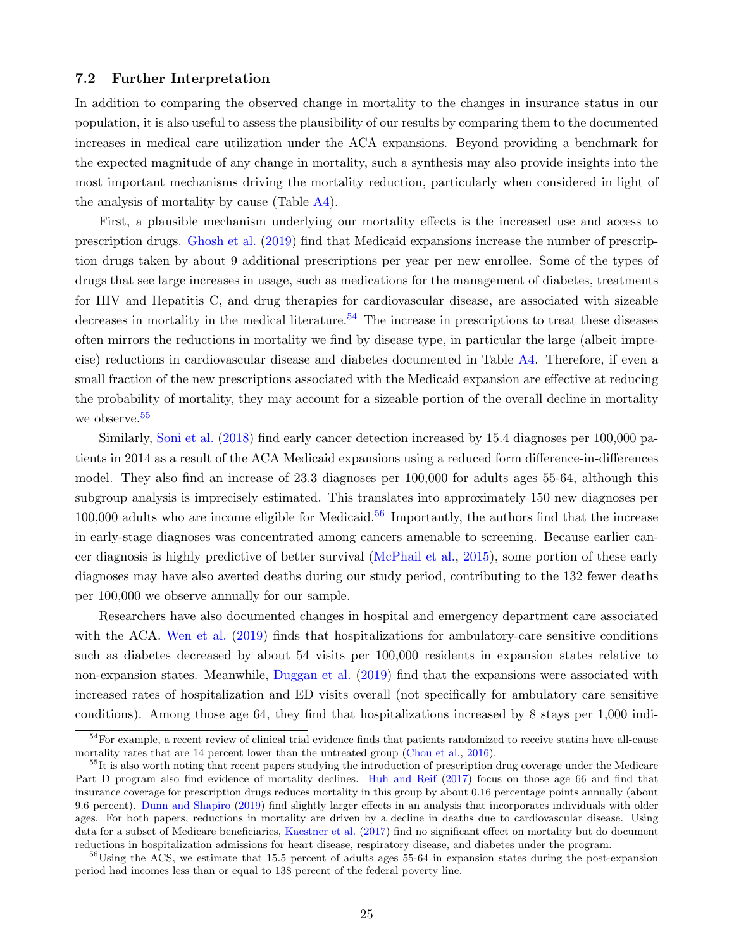#### 7.2 Further Interpretation

In addition to comparing the observed change in mortality to the changes in insurance status in our population, it is also useful to assess the plausibility of our results by comparing them to the documented increases in medical care utilization under the ACA expansions. Beyond providing a benchmark for the expected magnitude of any change in mortality, such a synthesis may also provide insights into the most important mechanisms driving the mortality reduction, particularly when considered in light of the analysis of mortality by cause (Table [A4\)](#page-62-0).

First, a plausible mechanism underlying our mortality effects is the increased use and access to prescription drugs. [Ghosh et al.](#page-35-1) [\(2019\)](#page-35-1) find that Medicaid expansions increase the number of prescription drugs taken by about 9 additional prescriptions per year per new enrollee. Some of the types of drugs that see large increases in usage, such as medications for the management of diabetes, treatments for HIV and Hepatitis C, and drug therapies for cardiovascular disease, are associated with sizeable decreases in mortality in the medical literature.<sup>[54](#page-27-0)</sup> The increase in prescriptions to treat these diseases often mirrors the reductions in mortality we find by disease type, in particular the large (albeit imprecise) reductions in cardiovascular disease and diabetes documented in Table [A4.](#page-62-0) Therefore, if even a small fraction of the new prescriptions associated with the Medicaid expansion are effective at reducing the probability of mortality, they may account for a sizeable portion of the overall decline in mortality we observe.<sup>[55](#page-27-1)</sup>

Similarly, [Soni et al.](#page-39-2) [\(2018\)](#page-39-2) find early cancer detection increased by 15.4 diagnoses per 100,000 patients in 2014 as a result of the ACA Medicaid expansions using a reduced form difference-in-differences model. They also find an increase of 23.3 diagnoses per 100,000 for adults ages 55-64, although this subgroup analysis is imprecisely estimated. This translates into approximately 150 new diagnoses per  $100,000$  adults who are income eligible for Medicaid.<sup>[56](#page-27-2)</sup> Importantly, the authors find that the increase in early-stage diagnoses was concentrated among cancers amenable to screening. Because earlier cancer diagnosis is highly predictive of better survival [\(McPhail et al.,](#page-37-12) [2015\)](#page-37-12), some portion of these early diagnoses may have also averted deaths during our study period, contributing to the 132 fewer deaths per 100,000 we observe annually for our sample.

Researchers have also documented changes in hospital and emergency department care associated with the ACA. [Wen et al.](#page-40-10) [\(2019\)](#page-40-10) finds that hospitalizations for ambulatory-care sensitive conditions such as diabetes decreased by about 54 visits per 100,000 residents in expansion states relative to non-expansion states. Meanwhile, [Duggan et al.](#page-35-3) [\(2019\)](#page-35-3) find that the expansions were associated with increased rates of hospitalization and ED visits overall (not specifically for ambulatory care sensitive conditions). Among those age 64, they find that hospitalizations increased by 8 stays per 1,000 indi-

<span id="page-27-0"></span><sup>&</sup>lt;sup>54</sup>For example, a recent review of clinical trial evidence finds that patients randomized to receive statins have all-cause mortality rates that are 14 percent lower than the untreated group [\(Chou et al.,](#page-34-15) [2016\)](#page-34-15).

<span id="page-27-1"></span><sup>&</sup>lt;sup>55</sup>It is also worth noting that recent papers studying the introduction of prescription drug coverage under the Medicare Part D program also find evidence of mortality declines. [Huh and Reif](#page-36-10) [\(2017\)](#page-36-10) focus on those age 66 and find that insurance coverage for prescription drugs reduces mortality in this group by about 0.16 percentage points annually (about 9.6 percent). [Dunn and Shapiro](#page-35-13) [\(2019\)](#page-35-13) find slightly larger effects in an analysis that incorporates individuals with older ages. For both papers, reductions in mortality are driven by a decline in deaths due to cardiovascular disease. Using data for a subset of Medicare beneficiaries, [Kaestner et al.](#page-36-11) [\(2017\)](#page-36-11) find no significant effect on mortality but do document reductions in hospitalization admissions for heart disease, respiratory disease, and diabetes under the program.

<span id="page-27-2"></span> $56$ Using the ACS, we estimate that 15.5 percent of adults ages 55-64 in expansion states during the post-expansion period had incomes less than or equal to 138 percent of the federal poverty line.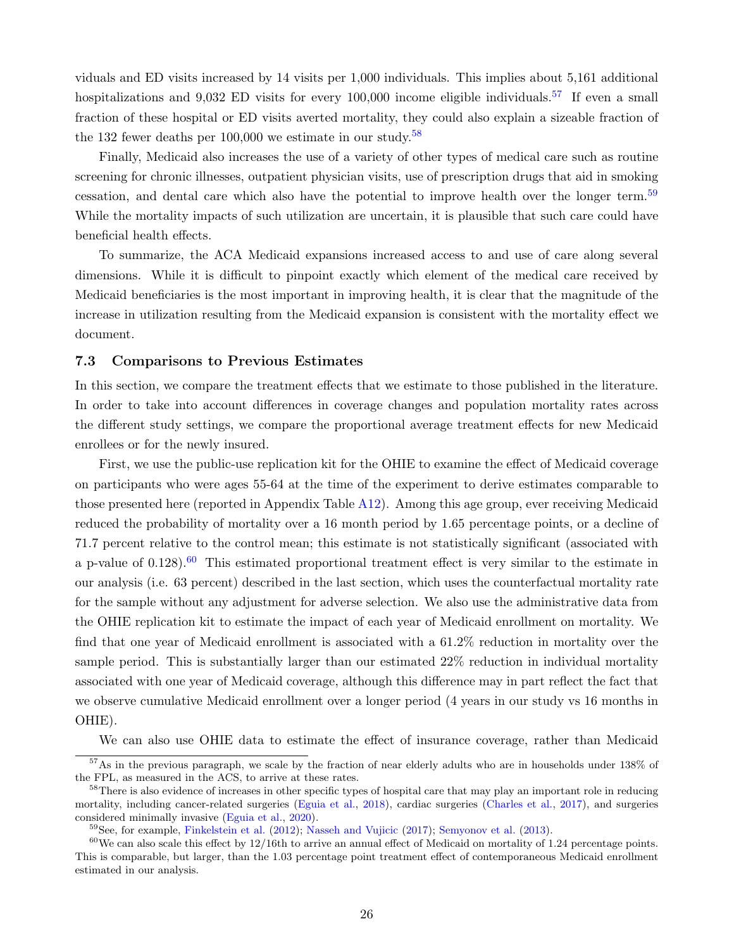viduals and ED visits increased by 14 visits per 1,000 individuals. This implies about 5,161 additional hospitalizations and 9.032 ED visits for every 100,000 income eligible individuals.<sup>[57](#page-28-0)</sup> If even a small fraction of these hospital or ED visits averted mortality, they could also explain a sizeable fraction of the 132 fewer deaths per  $100,000$  we estimate in our study.<sup>[58](#page-28-1)</sup>

Finally, Medicaid also increases the use of a variety of other types of medical care such as routine screening for chronic illnesses, outpatient physician visits, use of prescription drugs that aid in smoking cessation, and dental care which also have the potential to improve health over the longer term.<sup>[59](#page-28-2)</sup> While the mortality impacts of such utilization are uncertain, it is plausible that such care could have beneficial health effects.

To summarize, the ACA Medicaid expansions increased access to and use of care along several dimensions. While it is difficult to pinpoint exactly which element of the medical care received by Medicaid beneficiaries is the most important in improving health, it is clear that the magnitude of the increase in utilization resulting from the Medicaid expansion is consistent with the mortality effect we document.

#### 7.3 Comparisons to Previous Estimates

In this section, we compare the treatment effects that we estimate to those published in the literature. In order to take into account differences in coverage changes and population mortality rates across the different study settings, we compare the proportional average treatment effects for new Medicaid enrollees or for the newly insured.

First, we use the public-use replication kit for the OHIE to examine the effect of Medicaid coverage on participants who were ages 55-64 at the time of the experiment to derive estimates comparable to those presented here (reported in Appendix Table [A12\)](#page-68-0). Among this age group, ever receiving Medicaid reduced the probability of mortality over a 16 month period by 1.65 percentage points, or a decline of 71.7 percent relative to the control mean; this estimate is not statistically significant (associated with a p-value of  $0.128$ ).<sup>[60](#page-28-3)</sup> This estimated proportional treatment effect is very similar to the estimate in our analysis (i.e. 63 percent) described in the last section, which uses the counterfactual mortality rate for the sample without any adjustment for adverse selection. We also use the administrative data from the OHIE replication kit to estimate the impact of each year of Medicaid enrollment on mortality. We find that one year of Medicaid enrollment is associated with a 61.2% reduction in mortality over the sample period. This is substantially larger than our estimated 22% reduction in individual mortality associated with one year of Medicaid coverage, although this difference may in part reflect the fact that we observe cumulative Medicaid enrollment over a longer period (4 years in our study vs 16 months in OHIE).

<span id="page-28-0"></span>We can also use OHIE data to estimate the effect of insurance coverage, rather than Medicaid

<sup>57</sup>As in the previous paragraph, we scale by the fraction of near elderly adults who are in households under 138% of the FPL, as measured in the ACS, to arrive at these rates.

<span id="page-28-1"></span><sup>&</sup>lt;sup>58</sup>There is also evidence of increases in other specific types of hospital care that may play an important role in reducing mortality, including cancer-related surgeries [\(Eguia et al.,](#page-35-2) [2018\)](#page-35-2), cardiac surgeries [\(Charles et al.,](#page-33-14) [2017\)](#page-33-14), and surgeries considered minimally invasive [\(Eguia et al.,](#page-35-14) [2020\)](#page-35-14).

<span id="page-28-3"></span><span id="page-28-2"></span><sup>&</sup>lt;sup>59</sup>See, for example, [Finkelstein et al.](#page-35-4) [\(2012\)](#page-35-4); [Nasseh and Vujicic](#page-38-2) [\(2017\)](#page-38-2); [Semyonov et al.](#page-39-0) [\(2013\)](#page-39-0).

 $60$ We can also scale this effect by 12/16th to arrive an annual effect of Medicaid on mortality of 1.24 percentage points. This is comparable, but larger, than the 1.03 percentage point treatment effect of contemporaneous Medicaid enrollment estimated in our analysis.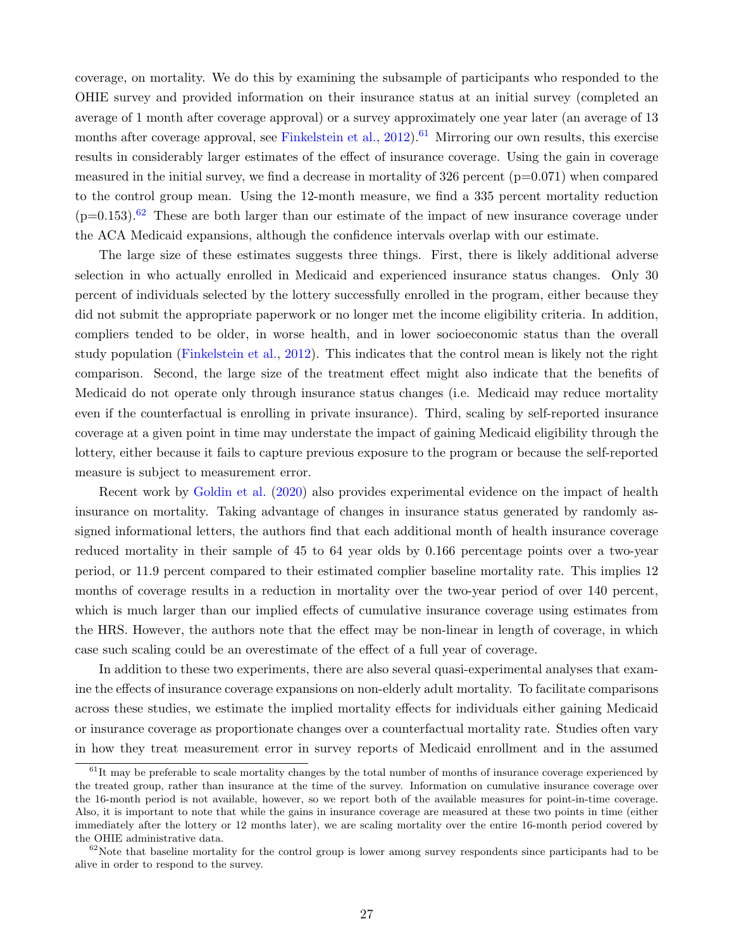coverage, on mortality. We do this by examining the subsample of participants who responded to the OHIE survey and provided information on their insurance status at an initial survey (completed an average of 1 month after coverage approval) or a survey approximately one year later (an average of 13 months after coverage approval, see [Finkelstein et al.,](#page-35-4)  $2012$ ).<sup>[61](#page-29-0)</sup> Mirroring our own results, this exercise results in considerably larger estimates of the effect of insurance coverage. Using the gain in coverage measured in the initial survey, we find a decrease in mortality of  $326$  percent ( $p=0.071$ ) when compared to the control group mean. Using the 12-month measure, we find a 335 percent mortality reduction  $(p=0.153).<sup>62</sup>$  $(p=0.153).<sup>62</sup>$  $(p=0.153).<sup>62</sup>$  These are both larger than our estimate of the impact of new insurance coverage under the ACA Medicaid expansions, although the confidence intervals overlap with our estimate.

The large size of these estimates suggests three things. First, there is likely additional adverse selection in who actually enrolled in Medicaid and experienced insurance status changes. Only 30 percent of individuals selected by the lottery successfully enrolled in the program, either because they did not submit the appropriate paperwork or no longer met the income eligibility criteria. In addition, compliers tended to be older, in worse health, and in lower socioeconomic status than the overall study population [\(Finkelstein et al.,](#page-35-4) [2012\)](#page-35-4). This indicates that the control mean is likely not the right comparison. Second, the large size of the treatment effect might also indicate that the benefits of Medicaid do not operate only through insurance status changes (i.e. Medicaid may reduce mortality even if the counterfactual is enrolling in private insurance). Third, scaling by self-reported insurance coverage at a given point in time may understate the impact of gaining Medicaid eligibility through the lottery, either because it fails to capture previous exposure to the program or because the self-reported measure is subject to measurement error.

Recent work by [Goldin et al.](#page-35-8) [\(2020\)](#page-35-8) also provides experimental evidence on the impact of health insurance on mortality. Taking advantage of changes in insurance status generated by randomly assigned informational letters, the authors find that each additional month of health insurance coverage reduced mortality in their sample of 45 to 64 year olds by 0.166 percentage points over a two-year period, or 11.9 percent compared to their estimated complier baseline mortality rate. This implies 12 months of coverage results in a reduction in mortality over the two-year period of over 140 percent, which is much larger than our implied effects of cumulative insurance coverage using estimates from the HRS. However, the authors note that the effect may be non-linear in length of coverage, in which case such scaling could be an overestimate of the effect of a full year of coverage.

In addition to these two experiments, there are also several quasi-experimental analyses that examine the effects of insurance coverage expansions on non-elderly adult mortality. To facilitate comparisons across these studies, we estimate the implied mortality effects for individuals either gaining Medicaid or insurance coverage as proportionate changes over a counterfactual mortality rate. Studies often vary in how they treat measurement error in survey reports of Medicaid enrollment and in the assumed

<span id="page-29-0"></span> $61$ It may be preferable to scale mortality changes by the total number of months of insurance coverage experienced by the treated group, rather than insurance at the time of the survey. Information on cumulative insurance coverage over the 16-month period is not available, however, so we report both of the available measures for point-in-time coverage. Also, it is important to note that while the gains in insurance coverage are measured at these two points in time (either immediately after the lottery or 12 months later), we are scaling mortality over the entire 16-month period covered by the OHIE administrative data.

<span id="page-29-1"></span> $62$ Note that baseline mortality for the control group is lower among survey respondents since participants had to be alive in order to respond to the survey.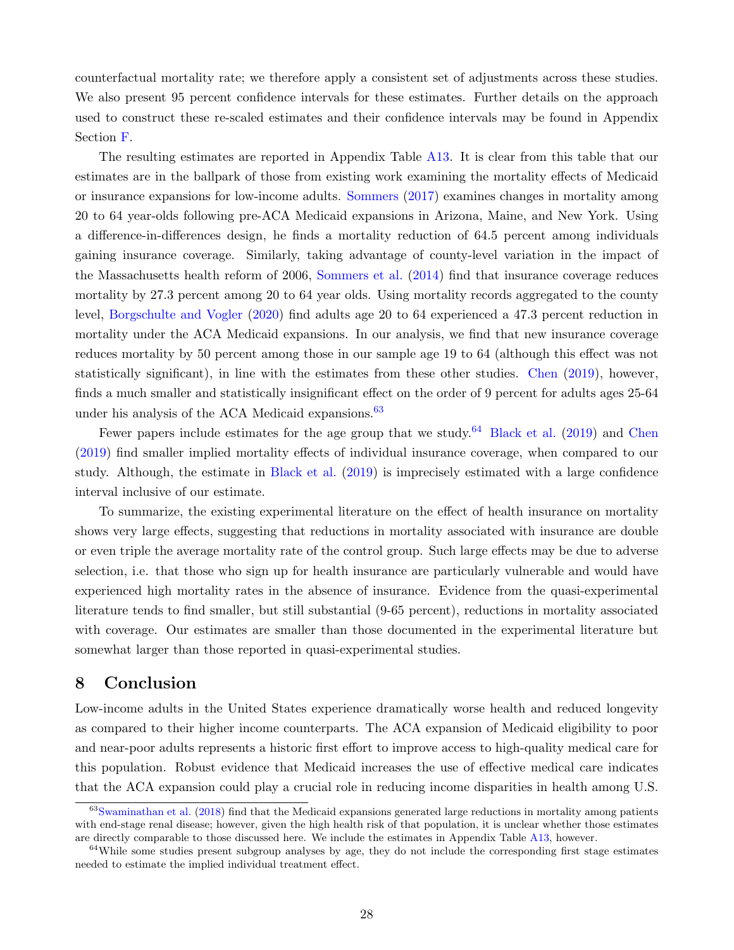counterfactual mortality rate; we therefore apply a consistent set of adjustments across these studies. We also present 95 percent confidence intervals for these estimates. Further details on the approach used to construct these re-scaled estimates and their confidence intervals may be found in Appendix Section [F.](#page-49-1)

The resulting estimates are reported in Appendix Table [A13.](#page-69-0) It is clear from this table that our estimates are in the ballpark of those from existing work examining the mortality effects of Medicaid or insurance expansions for low-income adults. [Sommers](#page-39-9) [\(2017\)](#page-39-9) examines changes in mortality among 20 to 64 year-olds following pre-ACA Medicaid expansions in Arizona, Maine, and New York. Using a difference-in-differences design, he finds a mortality reduction of 64.5 percent among individuals gaining insurance coverage. Similarly, taking advantage of county-level variation in the impact of the Massachusetts health reform of 2006, [Sommers et al.](#page-39-10) [\(2014\)](#page-39-10) find that insurance coverage reduces mortality by 27.3 percent among 20 to 64 year olds. Using mortality records aggregated to the county level, [Borgschulte and Vogler](#page-32-0) [\(2020\)](#page-32-0) find adults age 20 to 64 experienced a 47.3 percent reduction in mortality under the ACA Medicaid expansions. In our analysis, we find that new insurance coverage reduces mortality by 50 percent among those in our sample age 19 to 64 (although this effect was not statistically significant), in line with the estimates from these other studies. [Chen](#page-33-1) [\(2019\)](#page-33-1), however, finds a much smaller and statistically insignificant effect on the order of 9 percent for adults ages 25-64 under his analysis of the ACA Medicaid expansions.<sup>[63](#page-30-0)</sup>

Fewer papers include estimates for the age group that we study.<sup>[64](#page-30-1)</sup> [Black et al.](#page-32-2) [\(2019\)](#page-32-2) and [Chen](#page-33-1) [\(2019\)](#page-33-1) find smaller implied mortality effects of individual insurance coverage, when compared to our study. Although, the estimate in [Black et al.](#page-32-2) [\(2019\)](#page-32-2) is imprecisely estimated with a large confidence interval inclusive of our estimate.

To summarize, the existing experimental literature on the effect of health insurance on mortality shows very large effects, suggesting that reductions in mortality associated with insurance are double or even triple the average mortality rate of the control group. Such large effects may be due to adverse selection, i.e. that those who sign up for health insurance are particularly vulnerable and would have experienced high mortality rates in the absence of insurance. Evidence from the quasi-experimental literature tends to find smaller, but still substantial (9-65 percent), reductions in mortality associated with coverage. Our estimates are smaller than those documented in the experimental literature but somewhat larger than those reported in quasi-experimental studies.

### 8 Conclusion

Low-income adults in the United States experience dramatically worse health and reduced longevity as compared to their higher income counterparts. The ACA expansion of Medicaid eligibility to poor and near-poor adults represents a historic first effort to improve access to high-quality medical care for this population. Robust evidence that Medicaid increases the use of effective medical care indicates that the ACA expansion could play a crucial role in reducing income disparities in health among U.S.

<span id="page-30-0"></span><sup>63</sup>[Swaminathan et al.](#page-40-1) [\(2018\)](#page-40-1) find that the Medicaid expansions generated large reductions in mortality among patients with end-stage renal disease; however, given the high health risk of that population, it is unclear whether those estimates are directly comparable to those discussed here. We include the estimates in Appendix Table [A13,](#page-69-0) however.

<span id="page-30-1"></span><sup>&</sup>lt;sup>64</sup>While some studies present subgroup analyses by age, they do not include the corresponding first stage estimates needed to estimate the implied individual treatment effect.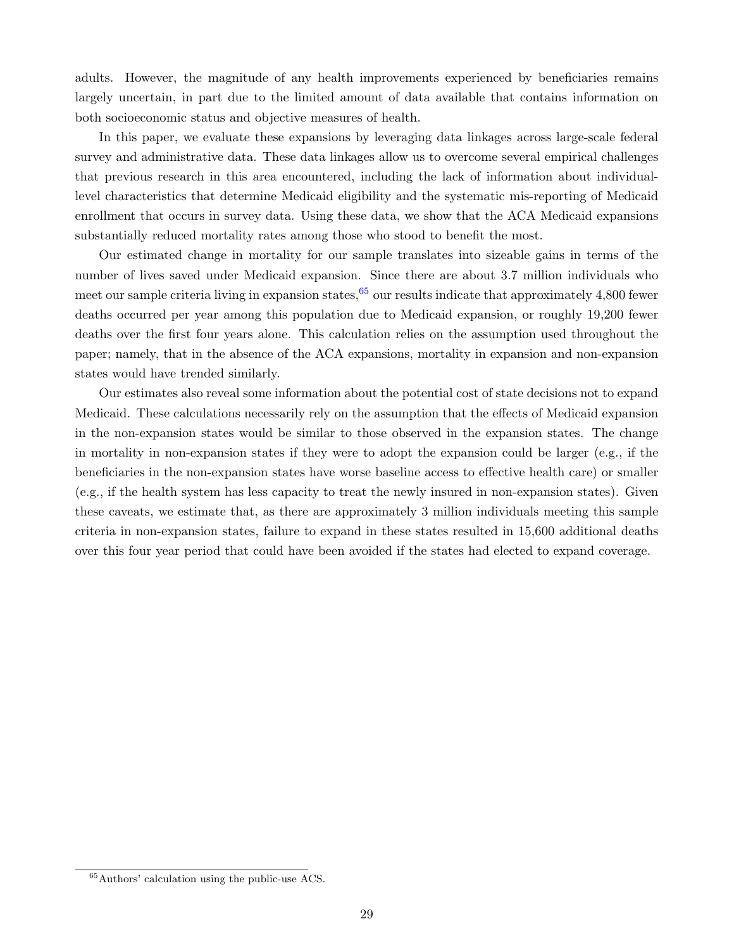adults. However, the magnitude of any health improvements experienced by beneficiaries remains largely uncertain, in part due to the limited amount of data available that contains information on both socioeconomic status and objective measures of health.

In this paper, we evaluate these expansions by leveraging data linkages across large-scale federal survey and administrative data. These data linkages allow us to overcome several empirical challenges that previous research in this area encountered, including the lack of information about individuallevel characteristics that determine Medicaid eligibility and the systematic mis-reporting of Medicaid enrollment that occurs in survey data. Using these data, we show that the ACA Medicaid expansions substantially reduced mortality rates among those who stood to benefit the most.

Our estimated change in mortality for our sample translates into sizeable gains in terms of the number of lives saved under Medicaid expansion. Since there are about 3.7 million individuals who meet our sample criteria living in expansion states,  $65$  our results indicate that approximately 4,800 fewer deaths occurred per year among this population due to Medicaid expansion, or roughly 19,200 fewer deaths over the first four years alone. This calculation relies on the assumption used throughout the paper; namely, that in the absence of the ACA expansions, mortality in expansion and non-expansion states would have trended similarly.

Our estimates also reveal some information about the potential cost of state decisions not to expand Medicaid. These calculations necessarily rely on the assumption that the effects of Medicaid expansion in the non-expansion states would be similar to those observed in the expansion states. The change in mortality in non-expansion states if they were to adopt the expansion could be larger (e.g., if the beneficiaries in the non-expansion states have worse baseline access to effective health care) or smaller (e.g., if the health system has less capacity to treat the newly insured in non-expansion states). Given these caveats, we estimate that, as there are approximately 3 million individuals meeting this sample criteria in non-expansion states, failure to expand in these states resulted in 15,600 additional deaths over this four year period that could have been avoided if the states had elected to expand coverage.

<span id="page-31-0"></span><sup>65</sup>Authors' calculation using the public-use ACS.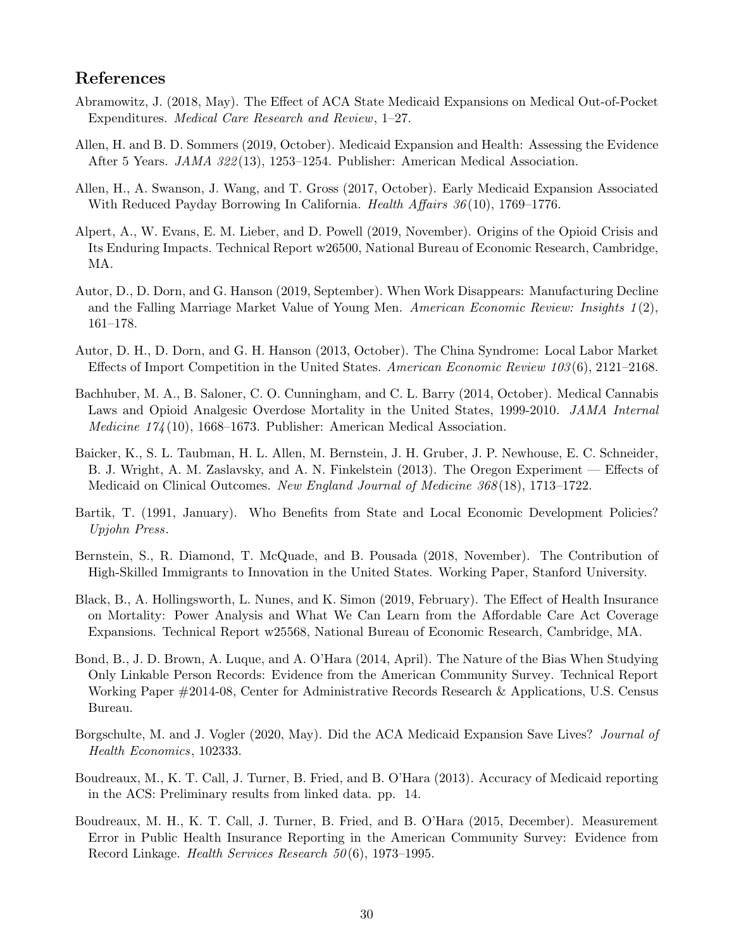# References

- <span id="page-32-3"></span>Abramowitz, J. (2018, May). The Effect of ACA State Medicaid Expansions on Medical Out-of-Pocket Expenditures. Medical Care Research and Review, 1–27.
- <span id="page-32-1"></span>Allen, H. and B. D. Sommers (2019, October). Medicaid Expansion and Health: Assessing the Evidence After 5 Years. JAMA 322 (13), 1253–1254. Publisher: American Medical Association.
- <span id="page-32-4"></span>Allen, H., A. Swanson, J. Wang, and T. Gross (2017, October). Early Medicaid Expansion Associated With Reduced Payday Borrowing In California. Health Affairs 36(10), 1769–1776.
- <span id="page-32-11"></span>Alpert, A., W. Evans, E. M. Lieber, and D. Powell (2019, November). Origins of the Opioid Crisis and Its Enduring Impacts. Technical Report w26500, National Bureau of Economic Research, Cambridge, MA.
- <span id="page-32-13"></span>Autor, D., D. Dorn, and G. Hanson (2019, September). When Work Disappears: Manufacturing Decline and the Falling Marriage Market Value of Young Men. American Economic Review: Insights  $1(2)$ , 161–178.
- <span id="page-32-14"></span>Autor, D. H., D. Dorn, and G. H. Hanson (2013, October). The China Syndrome: Local Labor Market Effects of Import Competition in the United States. American Economic Review 103 (6), 2121–2168.
- <span id="page-32-12"></span>Bachhuber, M. A., B. Saloner, C. O. Cunningham, and C. L. Barry (2014, October). Medical Cannabis Laws and Opioid Analgesic Overdose Mortality in the United States, 1999-2010. *JAMA Internal Medicine 174* (10), 1668–1673. Publisher: American Medical Association.
- <span id="page-32-5"></span>Baicker, K., S. L. Taubman, H. L. Allen, M. Bernstein, J. H. Gruber, J. P. Newhouse, E. C. Schneider, B. J. Wright, A. M. Zaslavsky, and A. N. Finkelstein (2013). The Oregon Experiment — Effects of Medicaid on Clinical Outcomes. New England Journal of Medicine 368 (18), 1713–1722.
- <span id="page-32-10"></span>Bartik, T. (1991, January). Who Benefits from State and Local Economic Development Policies? Upjohn Press.
- <span id="page-32-8"></span>Bernstein, S., R. Diamond, T. McQuade, and B. Pousada (2018, November). The Contribution of High-Skilled Immigrants to Innovation in the United States. Working Paper, Stanford University.
- <span id="page-32-2"></span>Black, B., A. Hollingsworth, L. Nunes, and K. Simon (2019, February). The Effect of Health Insurance on Mortality: Power Analysis and What We Can Learn from the Affordable Care Act Coverage Expansions. Technical Report w25568, National Bureau of Economic Research, Cambridge, MA.
- <span id="page-32-7"></span>Bond, B., J. D. Brown, A. Luque, and A. O'Hara (2014, April). The Nature of the Bias When Studying Only Linkable Person Records: Evidence from the American Community Survey. Technical Report Working Paper #2014-08, Center for Administrative Records Research & Applications, U.S. Census Bureau.
- <span id="page-32-0"></span>Borgschulte, M. and J. Vogler (2020, May). Did the ACA Medicaid Expansion Save Lives? Journal of Health Economics, 102333.
- <span id="page-32-6"></span>Boudreaux, M., K. T. Call, J. Turner, B. Fried, and B. O'Hara (2013). Accuracy of Medicaid reporting in the ACS: Preliminary results from linked data. pp. 14.
- <span id="page-32-9"></span>Boudreaux, M. H., K. T. Call, J. Turner, B. Fried, and B. O'Hara (2015, December). Measurement Error in Public Health Insurance Reporting in the American Community Survey: Evidence from Record Linkage. *Health Services Research* 50(6), 1973–1995.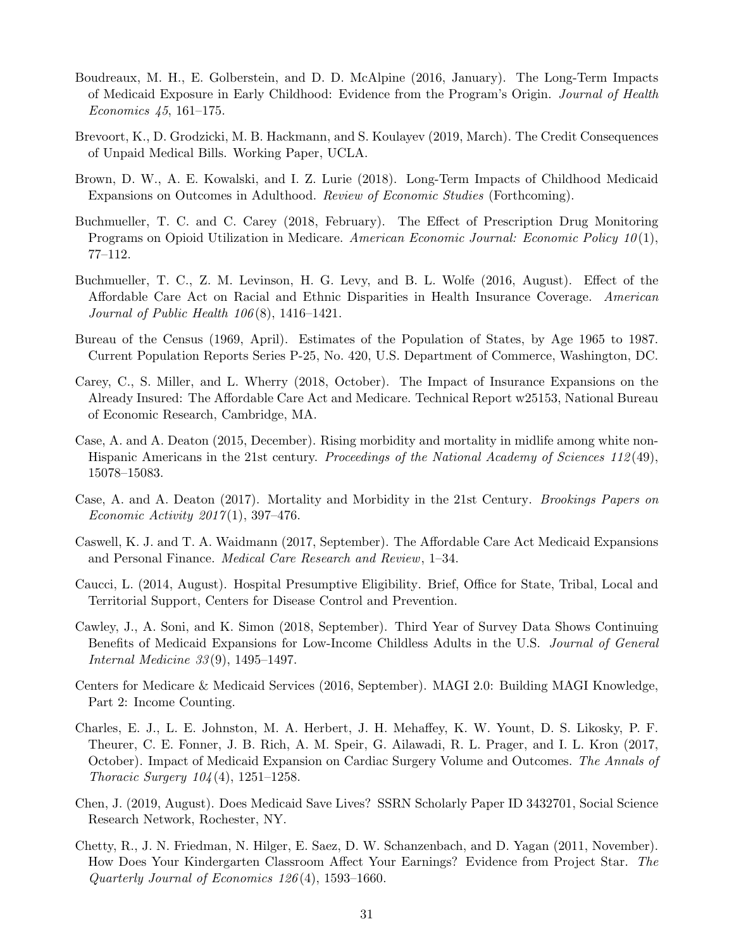- <span id="page-33-7"></span>Boudreaux, M. H., E. Golberstein, and D. D. McAlpine (2016, January). The Long-Term Impacts of Medicaid Exposure in Early Childhood: Evidence from the Program's Origin. Journal of Health Economics 45, 161–175.
- <span id="page-33-3"></span>Brevoort, K., D. Grodzicki, M. B. Hackmann, and S. Koulayev (2019, March). The Credit Consequences of Unpaid Medical Bills. Working Paper, UCLA.
- <span id="page-33-6"></span>Brown, D. W., A. E. Kowalski, and I. Z. Lurie (2018). Long-Term Impacts of Childhood Medicaid Expansions on Outcomes in Adulthood. Review of Economic Studies (Forthcoming).
- <span id="page-33-10"></span>Buchmueller, T. C. and C. Carey (2018, February). The Effect of Prescription Drug Monitoring Programs on Opioid Utilization in Medicare. American Economic Journal: Economic Policy 10(1), 77–112.
- <span id="page-33-4"></span>Buchmueller, T. C., Z. M. Levinson, H. G. Levy, and B. L. Wolfe (2016, August). Effect of the Affordable Care Act on Racial and Ethnic Disparities in Health Insurance Coverage. American *Journal of Public Health*  $106(8)$ *, 1416–1421.*
- <span id="page-33-2"></span>Bureau of the Census (1969, April). Estimates of the Population of States, by Age 1965 to 1987. Current Population Reports Series P-25, No. 420, U.S. Department of Commerce, Washington, DC.
- <span id="page-33-13"></span>Carey, C., S. Miller, and L. Wherry (2018, October). The Impact of Insurance Expansions on the Already Insured: The Affordable Care Act and Medicare. Technical Report w25153, National Bureau of Economic Research, Cambridge, MA.
- <span id="page-33-11"></span>Case, A. and A. Deaton (2015, December). Rising morbidity and mortality in midlife among white non-Hispanic Americans in the 21st century. Proceedings of the National Academy of Sciences 112(49), 15078–15083.
- <span id="page-33-12"></span>Case, A. and A. Deaton (2017). Mortality and Morbidity in the 21st Century. Brookings Papers on Economic Activity  $2017(1)$ , 397-476.
- <span id="page-33-5"></span>Caswell, K. J. and T. A. Waidmann (2017, September). The Affordable Care Act Medicaid Expansions and Personal Finance. Medical Care Research and Review, 1–34.
- <span id="page-33-9"></span>Caucci, L. (2014, August). Hospital Presumptive Eligibility. Brief, Office for State, Tribal, Local and Territorial Support, Centers for Disease Control and Prevention.
- <span id="page-33-0"></span>Cawley, J., A. Soni, and K. Simon (2018, September). Third Year of Survey Data Shows Continuing Benefits of Medicaid Expansions for Low-Income Childless Adults in the U.S. Journal of General Internal Medicine 33 (9), 1495–1497.
- <span id="page-33-15"></span>Centers for Medicare & Medicaid Services (2016, September). MAGI 2.0: Building MAGI Knowledge, Part 2: Income Counting.
- <span id="page-33-14"></span>Charles, E. J., L. E. Johnston, M. A. Herbert, J. H. Mehaffey, K. W. Yount, D. S. Likosky, P. F. Theurer, C. E. Fonner, J. B. Rich, A. M. Speir, G. Ailawadi, R. L. Prager, and I. L. Kron (2017, October). Impact of Medicaid Expansion on Cardiac Surgery Volume and Outcomes. The Annals of *Thoracic Surgery*  $104(4)$ *, 1251–1258.*
- <span id="page-33-1"></span>Chen, J. (2019, August). Does Medicaid Save Lives? SSRN Scholarly Paper ID 3432701, Social Science Research Network, Rochester, NY.
- <span id="page-33-8"></span>Chetty, R., J. N. Friedman, N. Hilger, E. Saez, D. W. Schanzenbach, and D. Yagan (2011, November). How Does Your Kindergarten Classroom Affect Your Earnings? Evidence from Project Star. The Quarterly Journal of Economics 126 (4), 1593–1660.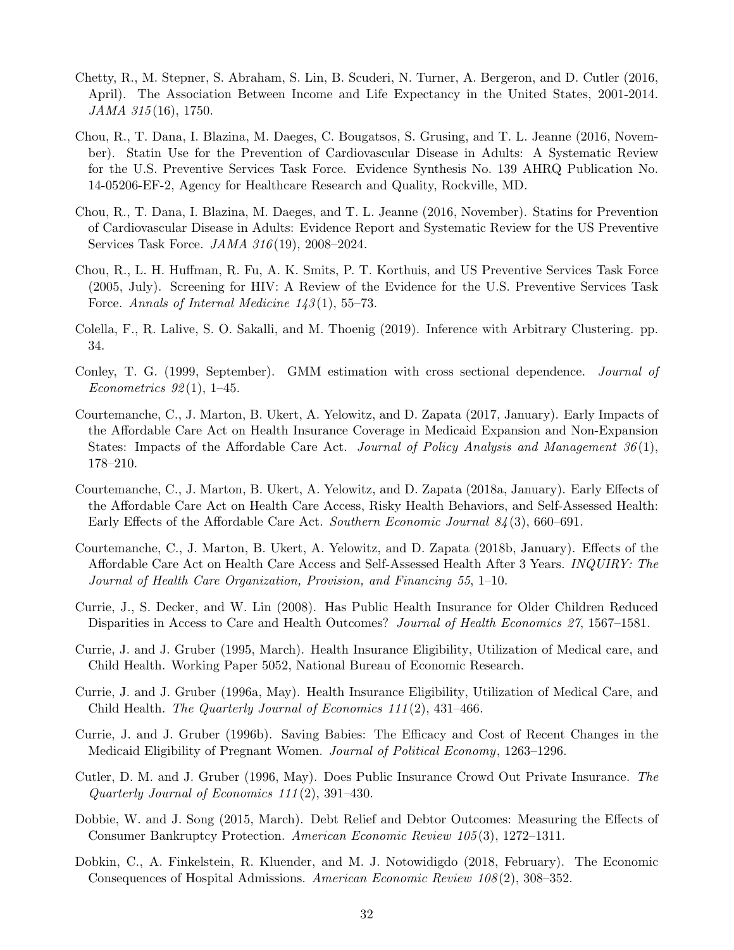- <span id="page-34-0"></span>Chetty, R., M. Stepner, S. Abraham, S. Lin, B. Scuderi, N. Turner, A. Bergeron, and D. Cutler (2016, April). The Association Between Income and Life Expectancy in the United States, 2001-2014. JAMA 315(16), 1750.
- <span id="page-34-15"></span>Chou, R., T. Dana, I. Blazina, M. Daeges, C. Bougatsos, S. Grusing, and T. L. Jeanne (2016, November). Statin Use for the Prevention of Cardiovascular Disease in Adults: A Systematic Review for the U.S. Preventive Services Task Force. Evidence Synthesis No. 139 AHRQ Publication No. 14-05206-EF-2, Agency for Healthcare Research and Quality, Rockville, MD.
- <span id="page-34-1"></span>Chou, R., T. Dana, I. Blazina, M. Daeges, and T. L. Jeanne (2016, November). Statins for Prevention of Cardiovascular Disease in Adults: Evidence Report and Systematic Review for the US Preventive Services Task Force. JAMA 316 (19), 2008–2024.
- <span id="page-34-2"></span>Chou, R., L. H. Huffman, R. Fu, A. K. Smits, P. T. Korthuis, and US Preventive Services Task Force (2005, July). Screening for HIV: A Review of the Evidence for the U.S. Preventive Services Task Force. Annals of Internal Medicine  $143(1), 55-73$ .
- <span id="page-34-14"></span>Colella, F., R. Lalive, S. O. Sakalli, and M. Thoenig (2019). Inference with Arbitrary Clustering. pp. 34.
- <span id="page-34-13"></span>Conley, T. G. (1999, September). GMM estimation with cross sectional dependence. Journal of Econometrics  $92(1)$ , 1–45.
- <span id="page-34-4"></span>Courtemanche, C., J. Marton, B. Ukert, A. Yelowitz, and D. Zapata (2017, January). Early Impacts of the Affordable Care Act on Health Insurance Coverage in Medicaid Expansion and Non-Expansion States: Impacts of the Affordable Care Act. Journal of Policy Analysis and Management  $36(1)$ , 178–210.
- <span id="page-34-5"></span>Courtemanche, C., J. Marton, B. Ukert, A. Yelowitz, and D. Zapata (2018a, January). Early Effects of the Affordable Care Act on Health Care Access, Risky Health Behaviors, and Self-Assessed Health: Early Effects of the Affordable Care Act. Southern Economic Journal 84 (3), 660–691.
- <span id="page-34-3"></span>Courtemanche, C., J. Marton, B. Ukert, A. Yelowitz, and D. Zapata (2018b, January). Effects of the Affordable Care Act on Health Care Access and Self-Assessed Health After 3 Years. INQUIRY: The Journal of Health Care Organization, Provision, and Financing 55, 1–10.
- <span id="page-34-9"></span>Currie, J., S. Decker, and W. Lin (2008). Has Public Health Insurance for Older Children Reduced Disparities in Access to Care and Health Outcomes? Journal of Health Economics 27, 1567–1581.
- <span id="page-34-6"></span>Currie, J. and J. Gruber (1995, March). Health Insurance Eligibility, Utilization of Medical care, and Child Health. Working Paper 5052, National Bureau of Economic Research.
- <span id="page-34-7"></span>Currie, J. and J. Gruber (1996a, May). Health Insurance Eligibility, Utilization of Medical Care, and Child Health. The Quarterly Journal of Economics  $111(2)$ ,  $431-466$ .
- <span id="page-34-8"></span>Currie, J. and J. Gruber (1996b). Saving Babies: The Efficacy and Cost of Recent Changes in the Medicaid Eligibility of Pregnant Women. Journal of Political Economy, 1263–1296.
- <span id="page-34-11"></span>Cutler, D. M. and J. Gruber (1996, May). Does Public Insurance Crowd Out Private Insurance. The Quarterly Journal of Economics 111 (2), 391–430.
- <span id="page-34-10"></span>Dobbie, W. and J. Song (2015, March). Debt Relief and Debtor Outcomes: Measuring the Effects of Consumer Bankruptcy Protection. American Economic Review 105 (3), 1272–1311.
- <span id="page-34-12"></span>Dobkin, C., A. Finkelstein, R. Kluender, and M. J. Notowidigdo (2018, February). The Economic Consequences of Hospital Admissions. American Economic Review 108 (2), 308–352.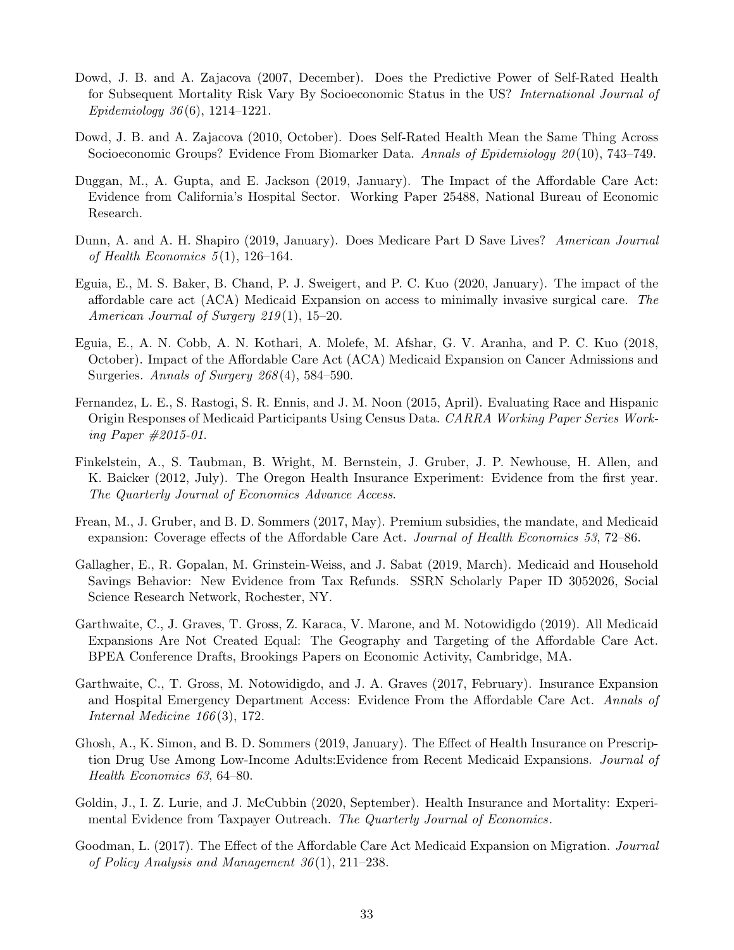- <span id="page-35-6"></span>Dowd, J. B. and A. Zajacova (2007, December). Does the Predictive Power of Self-Rated Health for Subsequent Mortality Risk Vary By Socioeconomic Status in the US? International Journal of Epidemiology 36 (6), 1214–1221.
- <span id="page-35-7"></span>Dowd, J. B. and A. Zajacova (2010, October). Does Self-Rated Health Mean the Same Thing Across Socioeconomic Groups? Evidence From Biomarker Data. Annals of Epidemiology 20(10), 743–749.
- <span id="page-35-3"></span>Duggan, M., A. Gupta, and E. Jackson (2019, January). The Impact of the Affordable Care Act: Evidence from California's Hospital Sector. Working Paper 25488, National Bureau of Economic Research.
- <span id="page-35-13"></span>Dunn, A. and A. H. Shapiro (2019, January). Does Medicare Part D Save Lives? American Journal of Health Economics  $5(1)$ , 126-164.
- <span id="page-35-14"></span>Eguia, E., M. S. Baker, B. Chand, P. J. Sweigert, and P. C. Kuo (2020, January). The impact of the affordable care act (ACA) Medicaid Expansion on access to minimally invasive surgical care. The American Journal of Surgery  $219(1)$ , 15–20.
- <span id="page-35-2"></span>Eguia, E., A. N. Cobb, A. N. Kothari, A. Molefe, M. Afshar, G. V. Aranha, and P. C. Kuo (2018, October). Impact of the Affordable Care Act (ACA) Medicaid Expansion on Cancer Admissions and Surgeries. Annals of Surgery  $268(4)$ , 584–590.
- <span id="page-35-9"></span>Fernandez, L. E., S. Rastogi, S. R. Ennis, and J. M. Noon (2015, April). Evaluating Race and Hispanic Origin Responses of Medicaid Participants Using Census Data. CARRA Working Paper Series Working Paper #2015-01.
- <span id="page-35-4"></span>Finkelstein, A., S. Taubman, B. Wright, M. Bernstein, J. Gruber, J. P. Newhouse, H. Allen, and K. Baicker (2012, July). The Oregon Health Insurance Experiment: Evidence from the first year. The Quarterly Journal of Economics Advance Access.
- <span id="page-35-0"></span>Frean, M., J. Gruber, and B. D. Sommers (2017, May). Premium subsidies, the mandate, and Medicaid expansion: Coverage effects of the Affordable Care Act. *Journal of Health Economics* 53, 72–86.
- <span id="page-35-5"></span>Gallagher, E., R. Gopalan, M. Grinstein-Weiss, and J. Sabat (2019, March). Medicaid and Household Savings Behavior: New Evidence from Tax Refunds. SSRN Scholarly Paper ID 3052026, Social Science Research Network, Rochester, NY.
- <span id="page-35-12"></span>Garthwaite, C., J. Graves, T. Gross, Z. Karaca, V. Marone, and M. Notowidigdo (2019). All Medicaid Expansions Are Not Created Equal: The Geography and Targeting of the Affordable Care Act. BPEA Conference Drafts, Brookings Papers on Economic Activity, Cambridge, MA.
- <span id="page-35-11"></span>Garthwaite, C., T. Gross, M. Notowidigdo, and J. A. Graves (2017, February). Insurance Expansion and Hospital Emergency Department Access: Evidence From the Affordable Care Act. Annals of Internal Medicine  $166(3)$ , 172.
- <span id="page-35-1"></span>Ghosh, A., K. Simon, and B. D. Sommers (2019, January). The Effect of Health Insurance on Prescription Drug Use Among Low-Income Adults:Evidence from Recent Medicaid Expansions. Journal of Health Economics 63, 64–80.
- <span id="page-35-8"></span>Goldin, J., I. Z. Lurie, and J. McCubbin (2020, September). Health Insurance and Mortality: Experimental Evidence from Taxpayer Outreach. The Quarterly Journal of Economics.
- <span id="page-35-10"></span>Goodman, L. (2017). The Effect of the Affordable Care Act Medicaid Expansion on Migration. Journal of Policy Analysis and Management  $36(1)$ ,  $211-238$ .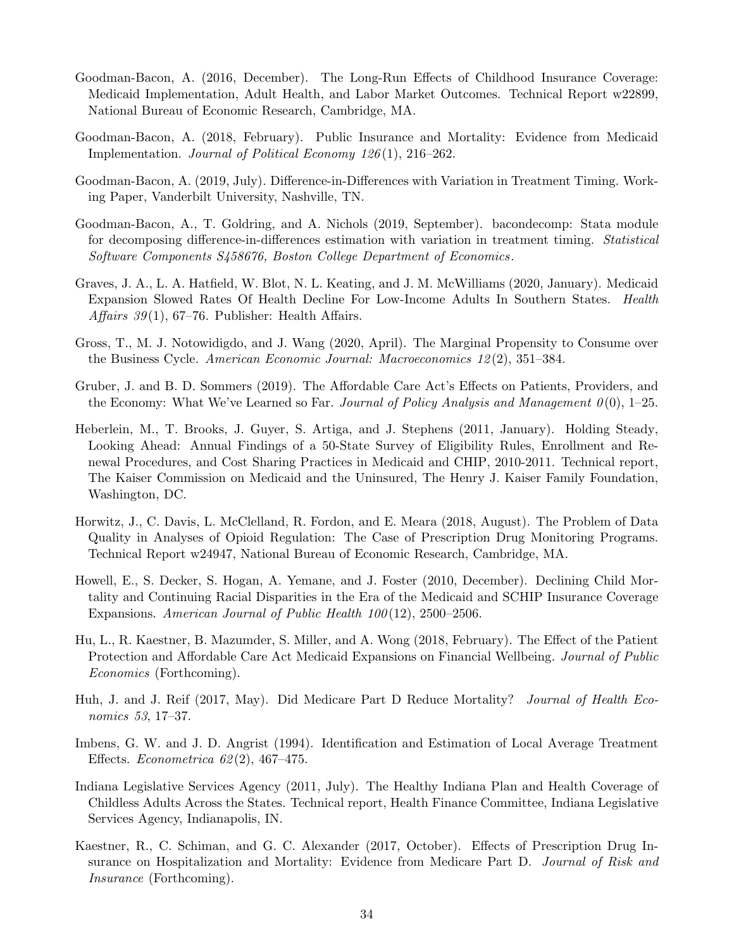- <span id="page-36-5"></span>Goodman-Bacon, A. (2016, December). The Long-Run Effects of Childhood Insurance Coverage: Medicaid Implementation, Adult Health, and Labor Market Outcomes. Technical Report w22899, National Bureau of Economic Research, Cambridge, MA.
- <span id="page-36-3"></span>Goodman-Bacon, A. (2018, February). Public Insurance and Mortality: Evidence from Medicaid Implementation. *Journal of Political Economy 126*(1), 216–262.
- <span id="page-36-6"></span>Goodman-Bacon, A. (2019, July). Difference-in-Differences with Variation in Treatment Timing. Working Paper, Vanderbilt University, Nashville, TN.
- <span id="page-36-8"></span>Goodman-Bacon, A., T. Goldring, and A. Nichols (2019, September). bacondecomp: Stata module for decomposing difference-in-differences estimation with variation in treatment timing. Statistical Software Components S458676, Boston College Department of Economics.
- <span id="page-36-2"></span>Graves, J. A., L. A. Hatfield, W. Blot, N. L. Keating, and J. M. McWilliams (2020, January). Medicaid Expansion Slowed Rates Of Health Decline For Low-Income Adults In Southern States. Health Affairs  $39(1)$ , 67–76. Publisher: Health Affairs.
- <span id="page-36-7"></span>Gross, T., M. J. Notowidigdo, and J. Wang (2020, April). The Marginal Propensity to Consume over the Business Cycle. American Economic Journal: Macroeconomics 12 (2), 351–384.
- <span id="page-36-0"></span>Gruber, J. and B. D. Sommers (2019). The Affordable Care Act's Effects on Patients, Providers, and the Economy: What We've Learned so Far. Journal of Policy Analysis and Management  $\theta(0)$ , 1–25.
- <span id="page-36-13"></span>Heberlein, M., T. Brooks, J. Guyer, S. Artiga, and J. Stephens (2011, January). Holding Steady, Looking Ahead: Annual Findings of a 50-State Survey of Eligibility Rules, Enrollment and Renewal Procedures, and Cost Sharing Practices in Medicaid and CHIP, 2010-2011. Technical report, The Kaiser Commission on Medicaid and the Uninsured, The Henry J. Kaiser Family Foundation, Washington, DC.
- <span id="page-36-12"></span>Horwitz, J., C. Davis, L. McClelland, R. Fordon, and E. Meara (2018, August). The Problem of Data Quality in Analyses of Opioid Regulation: The Case of Prescription Drug Monitoring Programs. Technical Report w24947, National Bureau of Economic Research, Cambridge, MA.
- <span id="page-36-4"></span>Howell, E., S. Decker, S. Hogan, A. Yemane, and J. Foster (2010, December). Declining Child Mortality and Continuing Racial Disparities in the Era of the Medicaid and SCHIP Insurance Coverage Expansions. American Journal of Public Health 100(12), 2500-2506.
- <span id="page-36-1"></span>Hu, L., R. Kaestner, B. Mazumder, S. Miller, and A. Wong (2018, February). The Effect of the Patient Protection and Affordable Care Act Medicaid Expansions on Financial Wellbeing. *Journal of Public* Economics (Forthcoming).
- <span id="page-36-10"></span>Huh, J. and J. Reif (2017, May). Did Medicare Part D Reduce Mortality? Journal of Health Economics 53, 17–37.
- <span id="page-36-9"></span>Imbens, G. W. and J. D. Angrist (1994). Identification and Estimation of Local Average Treatment Effects. *Econometrica*  $62(2)$ , 467–475.
- <span id="page-36-14"></span>Indiana Legislative Services Agency (2011, July). The Healthy Indiana Plan and Health Coverage of Childless Adults Across the States. Technical report, Health Finance Committee, Indiana Legislative Services Agency, Indianapolis, IN.
- <span id="page-36-11"></span>Kaestner, R., C. Schiman, and G. C. Alexander (2017, October). Effects of Prescription Drug Insurance on Hospitalization and Mortality: Evidence from Medicare Part D. Journal of Risk and Insurance (Forthcoming).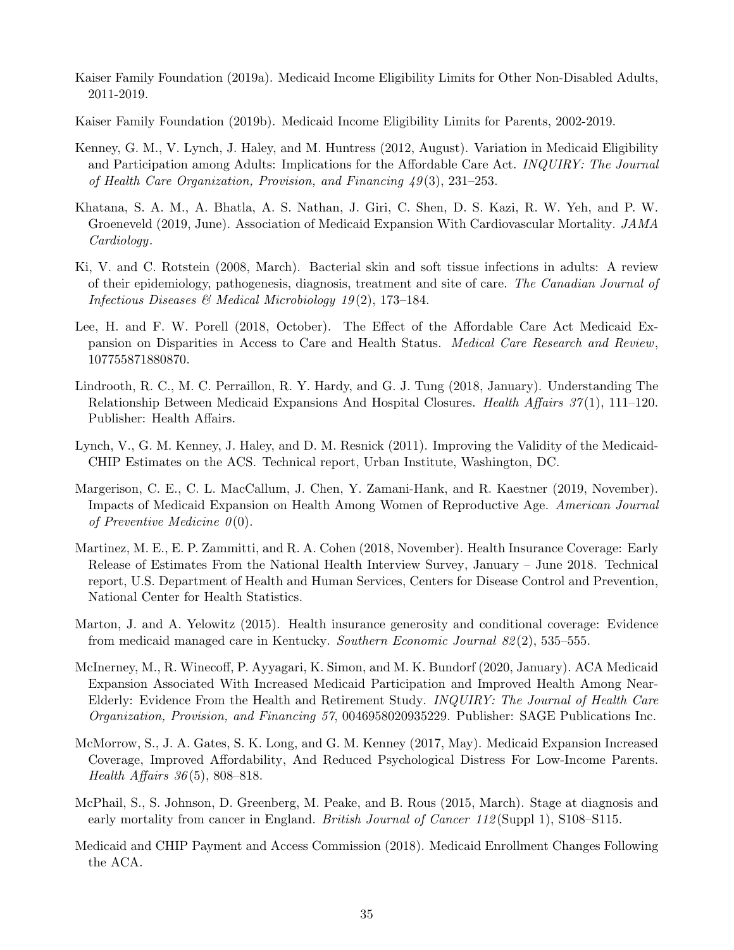- <span id="page-37-13"></span>Kaiser Family Foundation (2019a). Medicaid Income Eligibility Limits for Other Non-Disabled Adults, 2011-2019.
- <span id="page-37-14"></span>Kaiser Family Foundation (2019b). Medicaid Income Eligibility Limits for Parents, 2002-2019.
- <span id="page-37-10"></span>Kenney, G. M., V. Lynch, J. Haley, and M. Huntress (2012, August). Variation in Medicaid Eligibility and Participation among Adults: Implications for the Affordable Care Act. INQUIRY: The Journal of Health Care Organization, Provision, and Financing 49 (3), 231–253.
- <span id="page-37-1"></span>Khatana, S. A. M., A. Bhatla, A. S. Nathan, J. Giri, C. Shen, D. S. Kazi, R. W. Yeh, and P. W. Groeneveld (2019, June). Association of Medicaid Expansion With Cardiovascular Mortality. JAMA Cardiology.
- <span id="page-37-8"></span>Ki, V. and C. Rotstein (2008, March). Bacterial skin and soft tissue infections in adults: A review of their epidemiology, pathogenesis, diagnosis, treatment and site of care. The Canadian Journal of Infectious Diseases & Medical Microbiology 19(2), 173-184.
- <span id="page-37-4"></span>Lee, H. and F. W. Porell (2018, October). The Effect of the Affordable Care Act Medicaid Expansion on Disparities in Access to Care and Health Status. Medical Care Research and Review, 107755871880870.
- <span id="page-37-9"></span>Lindrooth, R. C., M. C. Perraillon, R. Y. Hardy, and G. J. Tung (2018, January). Understanding The Relationship Between Medicaid Expansions And Hospital Closures. *Health Affairs 37*(1), 111–120. Publisher: Health Affairs.
- <span id="page-37-6"></span>Lynch, V., G. M. Kenney, J. Haley, and D. M. Resnick (2011). Improving the Validity of the Medicaid-CHIP Estimates on the ACS. Technical report, Urban Institute, Washington, DC.
- <span id="page-37-5"></span>Margerison, C. E., C. L. MacCallum, J. Chen, Y. Zamani-Hank, and R. Kaestner (2019, November). Impacts of Medicaid Expansion on Health Among Women of Reproductive Age. American Journal of Preventive Medicine  $\theta(0)$ .
- <span id="page-37-0"></span>Martinez, M. E., E. P. Zammitti, and R. A. Cohen (2018, November). Health Insurance Coverage: Early Release of Estimates From the National Health Interview Survey, January – June 2018. Technical report, U.S. Department of Health and Human Services, Centers for Disease Control and Prevention, National Center for Health Statistics.
- <span id="page-37-11"></span>Marton, J. and A. Yelowitz (2015). Health insurance generosity and conditional coverage: Evidence from medicaid managed care in Kentucky. Southern Economic Journal 82 (2), 535–555.
- <span id="page-37-7"></span>McInerney, M., R. Winecoff, P. Ayyagari, K. Simon, and M. K. Bundorf (2020, January). ACA Medicaid Expansion Associated With Increased Medicaid Participation and Improved Health Among Near-Elderly: Evidence From the Health and Retirement Study. INQUIRY: The Journal of Health Care Organization, Provision, and Financing 57, 0046958020935229. Publisher: SAGE Publications Inc.
- <span id="page-37-3"></span>McMorrow, S., J. A. Gates, S. K. Long, and G. M. Kenney (2017, May). Medicaid Expansion Increased Coverage, Improved Affordability, And Reduced Psychological Distress For Low-Income Parents. *Health Affairs 36*(5), 808–818.
- <span id="page-37-12"></span>McPhail, S., S. Johnson, D. Greenberg, M. Peake, and B. Rous (2015, March). Stage at diagnosis and early mortality from cancer in England. *British Journal of Cancer 112* (Suppl 1), S108–S115.
- <span id="page-37-2"></span>Medicaid and CHIP Payment and Access Commission (2018). Medicaid Enrollment Changes Following the ACA.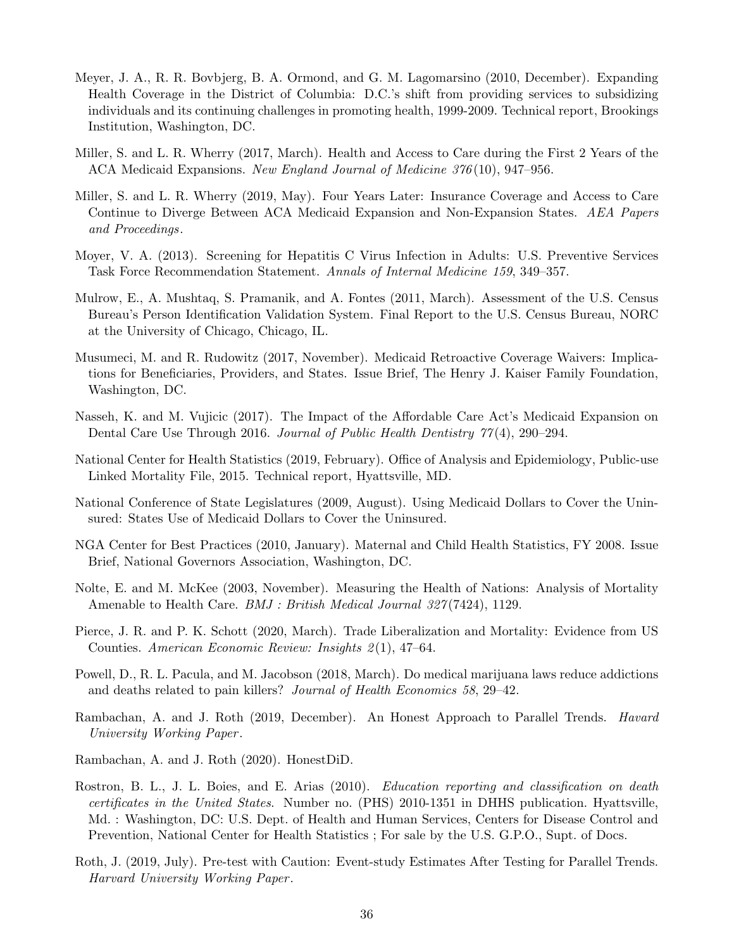- <span id="page-38-16"></span>Meyer, J. A., R. R. Bovbjerg, B. A. Ormond, and G. M. Lagomarsino (2010, December). Expanding Health Coverage in the District of Columbia: D.C.'s shift from providing services to subsidizing individuals and its continuing challenges in promoting health, 1999-2009. Technical report, Brookings Institution, Washington, DC.
- <span id="page-38-3"></span>Miller, S. and L. R. Wherry (2017, March). Health and Access to Care during the First 2 Years of the ACA Medicaid Expansions. New England Journal of Medicine 376 (10), 947–956.
- <span id="page-38-4"></span>Miller, S. and L. R. Wherry (2019, May). Four Years Later: Insurance Coverage and Access to Care Continue to Diverge Between ACA Medicaid Expansion and Non-Expansion States. AEA Papers and Proceedings.
- <span id="page-38-1"></span>Moyer, V. A. (2013). Screening for Hepatitis C Virus Infection in Adults: U.S. Preventive Services Task Force Recommendation Statement. Annals of Internal Medicine 159, 349–357.
- <span id="page-38-6"></span>Mulrow, E., A. Mushtaq, S. Pramanik, and A. Fontes (2011, March). Assessment of the U.S. Census Bureau's Person Identification Validation System. Final Report to the U.S. Census Bureau, NORC at the University of Chicago, Chicago, IL.
- <span id="page-38-7"></span>Musumeci, M. and R. Rudowitz (2017, November). Medicaid Retroactive Coverage Waivers: Implications for Beneficiaries, Providers, and States. Issue Brief, The Henry J. Kaiser Family Foundation, Washington, DC.
- <span id="page-38-2"></span>Nasseh, K. and M. Vujicic (2017). The Impact of the Affordable Care Act's Medicaid Expansion on Dental Care Use Through 2016. Journal of Public Health Dentistry  $77(4)$ , 290–294.
- <span id="page-38-0"></span>National Center for Health Statistics (2019, February). Office of Analysis and Epidemiology, Public-use Linked Mortality File, 2015. Technical report, Hyattsville, MD.
- <span id="page-38-15"></span>National Conference of State Legislatures (2009, August). Using Medicaid Dollars to Cover the Uninsured: States Use of Medicaid Dollars to Cover the Uninsured.
- <span id="page-38-14"></span>NGA Center for Best Practices (2010, January). Maternal and Child Health Statistics, FY 2008. Issue Brief, National Governors Association, Washington, DC.
- <span id="page-38-8"></span>Nolte, E. and M. McKee (2003, November). Measuring the Health of Nations: Analysis of Mortality Amenable to Health Care. *BMJ : British Medical Journal 327* (7424), 1129.
- <span id="page-38-13"></span>Pierce, J. R. and P. K. Schott (2020, March). Trade Liberalization and Mortality: Evidence from US Counties. American Economic Review: Insights 2(1), 47–64.
- <span id="page-38-12"></span>Powell, D., R. L. Pacula, and M. Jacobson (2018, March). Do medical marijuana laws reduce addictions and deaths related to pain killers? Journal of Health Economics 58, 29–42.
- <span id="page-38-10"></span>Rambachan, A. and J. Roth (2019, December). An Honest Approach to Parallel Trends. Havard University Working Paper .
- <span id="page-38-11"></span>Rambachan, A. and J. Roth (2020). HonestDiD.
- <span id="page-38-5"></span>Rostron, B. L., J. L. Boies, and E. Arias (2010). *Education reporting and classification on death* certificates in the United States. Number no. (PHS) 2010-1351 in DHHS publication. Hyattsville, Md. : Washington, DC: U.S. Dept. of Health and Human Services, Centers for Disease Control and Prevention, National Center for Health Statistics ; For sale by the U.S. G.P.O., Supt. of Docs.
- <span id="page-38-9"></span>Roth, J. (2019, July). Pre-test with Caution: Event-study Estimates After Testing for Parallel Trends. Harvard University Working Paper .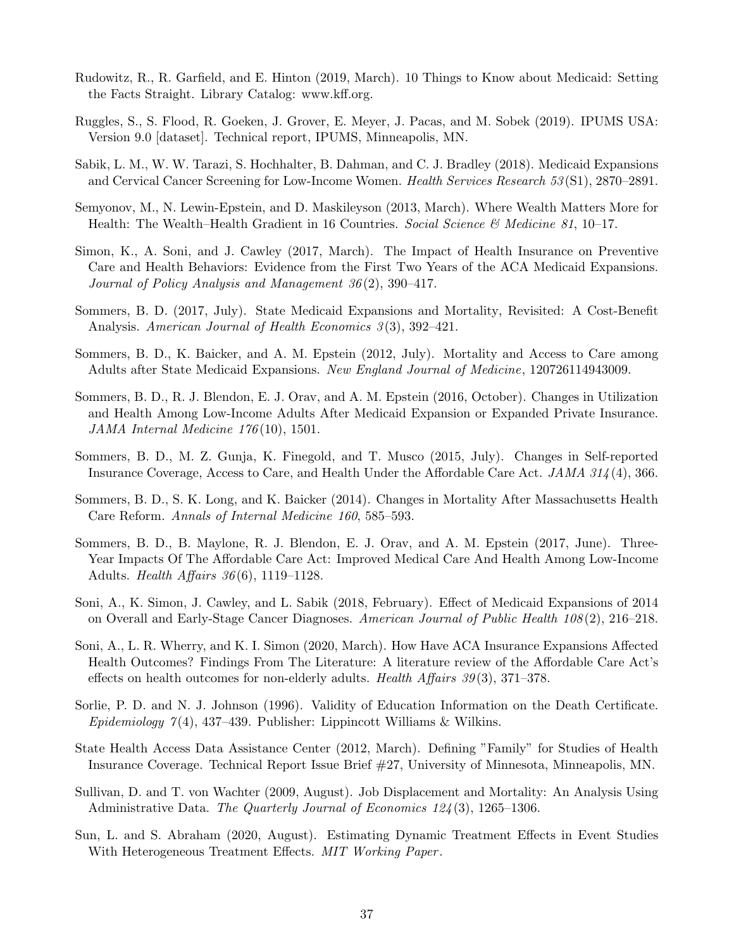- <span id="page-39-15"></span>Rudowitz, R., R. Garfield, and E. Hinton (2019, March). 10 Things to Know about Medicaid: Setting the Facts Straight. Library Catalog: www.kff.org.
- <span id="page-39-16"></span>Ruggles, S., S. Flood, R. Goeken, J. Grover, E. Meyer, J. Pacas, and M. Sobek (2019). IPUMS USA: Version 9.0 [dataset]. Technical report, IPUMS, Minneapolis, MN.
- <span id="page-39-1"></span>Sabik, L. M., W. W. Tarazi, S. Hochhalter, B. Dahman, and C. J. Bradley (2018). Medicaid Expansions and Cervical Cancer Screening for Low-Income Women. Health Services Research 53 (S1), 2870–2891.
- <span id="page-39-0"></span>Semyonov, M., N. Lewin-Epstein, and D. Maskileyson (2013, March). Where Wealth Matters More for Health: The Wealth–Health Gradient in 16 Countries. Social Science & Medicine 81, 10–17.
- <span id="page-39-4"></span>Simon, K., A. Soni, and J. Cawley (2017, March). The Impact of Health Insurance on Preventive Care and Health Behaviors: Evidence from the First Two Years of the ACA Medicaid Expansions. Journal of Policy Analysis and Management 36 (2), 390–417.
- <span id="page-39-9"></span>Sommers, B. D. (2017, July). State Medicaid Expansions and Mortality, Revisited: A Cost-Benefit Analysis. American Journal of Health Economics 3(3), 392-421.
- <span id="page-39-8"></span>Sommers, B. D., K. Baicker, and A. M. Epstein (2012, July). Mortality and Access to Care among Adults after State Medicaid Expansions. New England Journal of Medicine, 120726114943009.
- <span id="page-39-6"></span>Sommers, B. D., R. J. Blendon, E. J. Orav, and A. M. Epstein (2016, October). Changes in Utilization and Health Among Low-Income Adults After Medicaid Expansion or Expanded Private Insurance. JAMA Internal Medicine 176 (10), 1501.
- <span id="page-39-5"></span>Sommers, B. D., M. Z. Gunja, K. Finegold, and T. Musco (2015, July). Changes in Self-reported Insurance Coverage, Access to Care, and Health Under the Affordable Care Act. JAMA 314 (4), 366.
- <span id="page-39-10"></span>Sommers, B. D., S. K. Long, and K. Baicker (2014). Changes in Mortality After Massachusetts Health Care Reform. Annals of Internal Medicine 160, 585–593.
- <span id="page-39-3"></span>Sommers, B. D., B. Maylone, R. J. Blendon, E. J. Orav, and A. M. Epstein (2017, June). Three-Year Impacts Of The Affordable Care Act: Improved Medical Care And Health Among Low-Income Adults. *Health Affairs*  $36(6)$ , 1119–1128.
- <span id="page-39-2"></span>Soni, A., K. Simon, J. Cawley, and L. Sabik (2018, February). Effect of Medicaid Expansions of 2014 on Overall and Early-Stage Cancer Diagnoses. American Journal of Public Health 108 (2), 216–218.
- <span id="page-39-7"></span>Soni, A., L. R. Wherry, and K. I. Simon (2020, March). How Have ACA Insurance Expansions Affected Health Outcomes? Findings From The Literature: A literature review of the Affordable Care Act's effects on health outcomes for non-elderly adults. Health Affairs 39(3), 371-378.
- <span id="page-39-11"></span>Sorlie, P. D. and N. J. Johnson (1996). Validity of Education Information on the Death Certificate. Epidemiology  $7(4)$ , 437–439. Publisher: Lippincott Williams & Wilkins.
- <span id="page-39-12"></span>State Health Access Data Assistance Center (2012, March). Defining "Family" for Studies of Health Insurance Coverage. Technical Report Issue Brief #27, University of Minnesota, Minneapolis, MN.
- <span id="page-39-13"></span>Sullivan, D. and T. von Wachter (2009, August). Job Displacement and Mortality: An Analysis Using Administrative Data. The Quarterly Journal of Economics  $124(3)$ , 1265–1306.
- <span id="page-39-14"></span>Sun, L. and S. Abraham (2020, August). Estimating Dynamic Treatment Effects in Event Studies With Heterogeneous Treatment Effects. MIT Working Paper.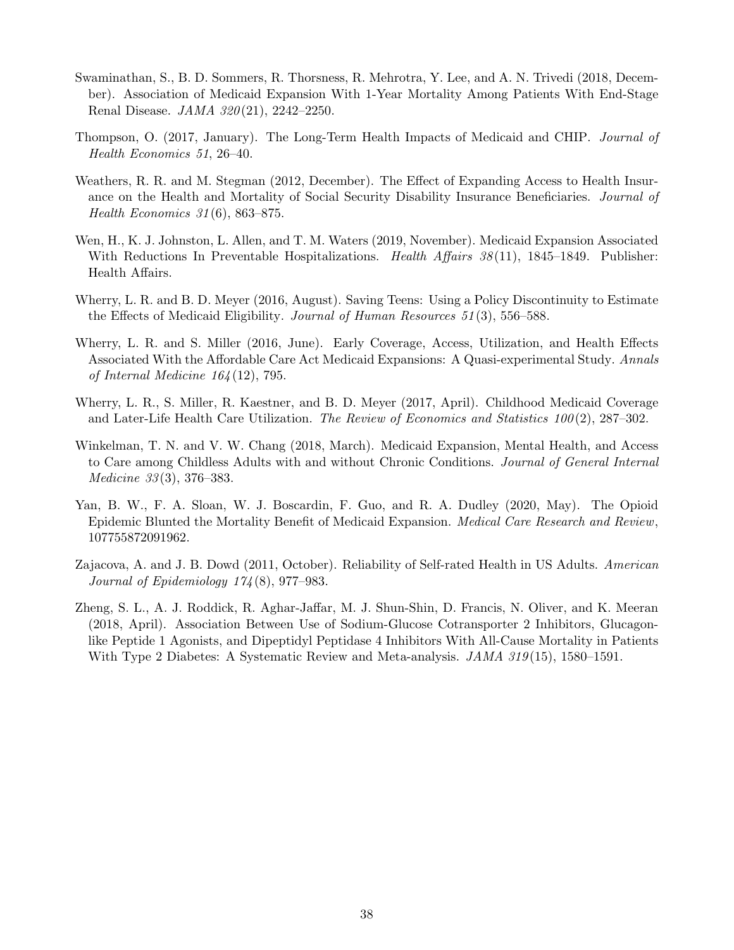- <span id="page-40-1"></span>Swaminathan, S., B. D. Sommers, R. Thorsness, R. Mehrotra, Y. Lee, and A. N. Trivedi (2018, December). Association of Medicaid Expansion With 1-Year Mortality Among Patients With End-Stage Renal Disease. *JAMA 320*(21), 2242-2250.
- <span id="page-40-8"></span>Thompson, O. (2017, January). The Long-Term Health Impacts of Medicaid and CHIP. Journal of Health Economics 51, 26–40.
- <span id="page-40-6"></span>Weathers, R. R. and M. Stegman (2012, December). The Effect of Expanding Access to Health Insurance on the Health and Mortality of Social Security Disability Insurance Beneficiaries. Journal of Health Economics 31 (6), 863–875.
- <span id="page-40-10"></span>Wen, H., K. J. Johnston, L. Allen, and T. M. Waters (2019, November). Medicaid Expansion Associated With Reductions In Preventable Hospitalizations. Health Affairs 38(11), 1845–1849. Publisher: Health Affairs.
- <span id="page-40-7"></span>Wherry, L. R. and B. D. Meyer (2016, August). Saving Teens: Using a Policy Discontinuity to Estimate the Effects of Medicaid Eligibility. Journal of Human Resources 51 (3), 556–588.
- <span id="page-40-3"></span>Wherry, L. R. and S. Miller (2016, June). Early Coverage, Access, Utilization, and Health Effects Associated With the Affordable Care Act Medicaid Expansions: A Quasi-experimental Study. Annals of Internal Medicine 164 (12), 795.
- <span id="page-40-9"></span>Wherry, L. R., S. Miller, R. Kaestner, and B. D. Meyer (2017, April). Childhood Medicaid Coverage and Later-Life Health Care Utilization. The Review of Economics and Statistics  $100(2)$ , 287–302.
- <span id="page-40-5"></span>Winkelman, T. N. and V. W. Chang (2018, March). Medicaid Expansion, Mental Health, and Access to Care among Childless Adults with and without Chronic Conditions. Journal of General Internal Medicine 33 (3), 376–383.
- <span id="page-40-2"></span>Yan, B. W., F. A. Sloan, W. J. Boscardin, F. Guo, and R. A. Dudley (2020, May). The Opioid Epidemic Blunted the Mortality Benefit of Medicaid Expansion. Medical Care Research and Review, 107755872091962.
- <span id="page-40-4"></span>Zajacova, A. and J. B. Dowd (2011, October). Reliability of Self-rated Health in US Adults. American Journal of Epidemiology 174 (8), 977–983.
- <span id="page-40-0"></span>Zheng, S. L., A. J. Roddick, R. Aghar-Jaffar, M. J. Shun-Shin, D. Francis, N. Oliver, and K. Meeran (2018, April). Association Between Use of Sodium-Glucose Cotransporter 2 Inhibitors, Glucagonlike Peptide 1 Agonists, and Dipeptidyl Peptidase 4 Inhibitors With All-Cause Mortality in Patients With Type 2 Diabetes: A Systematic Review and Meta-analysis.  $JAMA$  319(15), 1580–1591.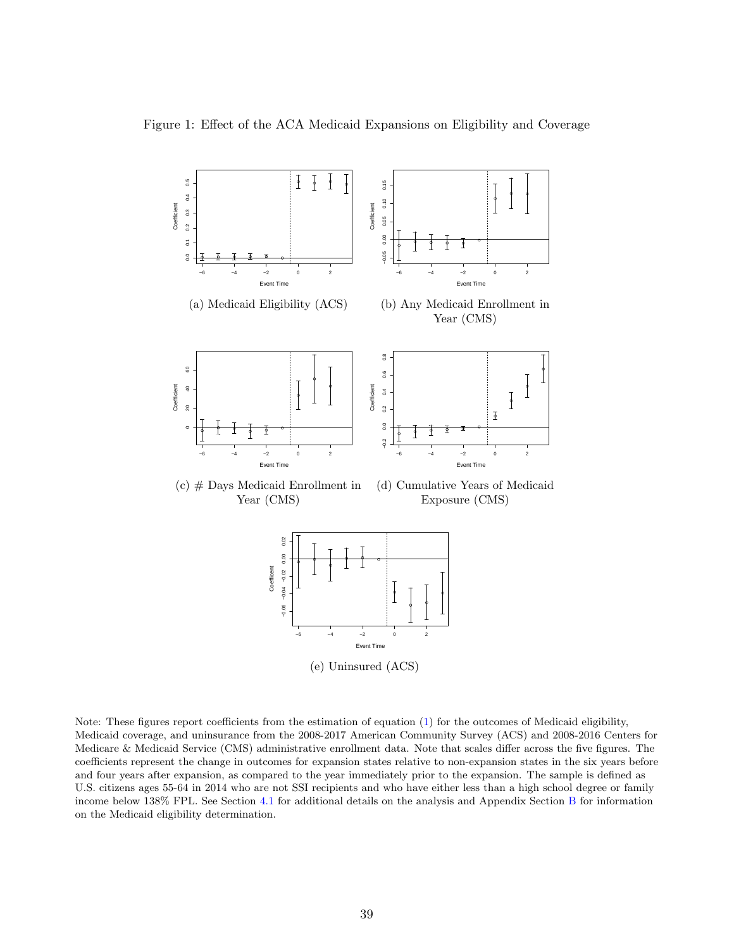<span id="page-41-0"></span>



Note: These figures report coefficients from the estimation of equation [\(1\)](#page-11-4) for the outcomes of Medicaid eligibility, Medicaid coverage, and uninsurance from the 2008-2017 American Community Survey (ACS) and 2008-2016 Centers for Medicare & Medicaid Service (CMS) administrative enrollment data. Note that scales differ across the five figures. The coefficients represent the change in outcomes for expansion states relative to non-expansion states in the six years before and four years after expansion, as compared to the year immediately prior to the expansion. The sample is defined as U.S. citizens ages 55-64 in 2014 who are not SSI recipients and who have either less than a high school degree or family income below 138% FPL. See Section [4.1](#page-12-2) for additional details on the analysis and Appendix Section [B](#page-46-1) for information on the Medicaid eligibility determination.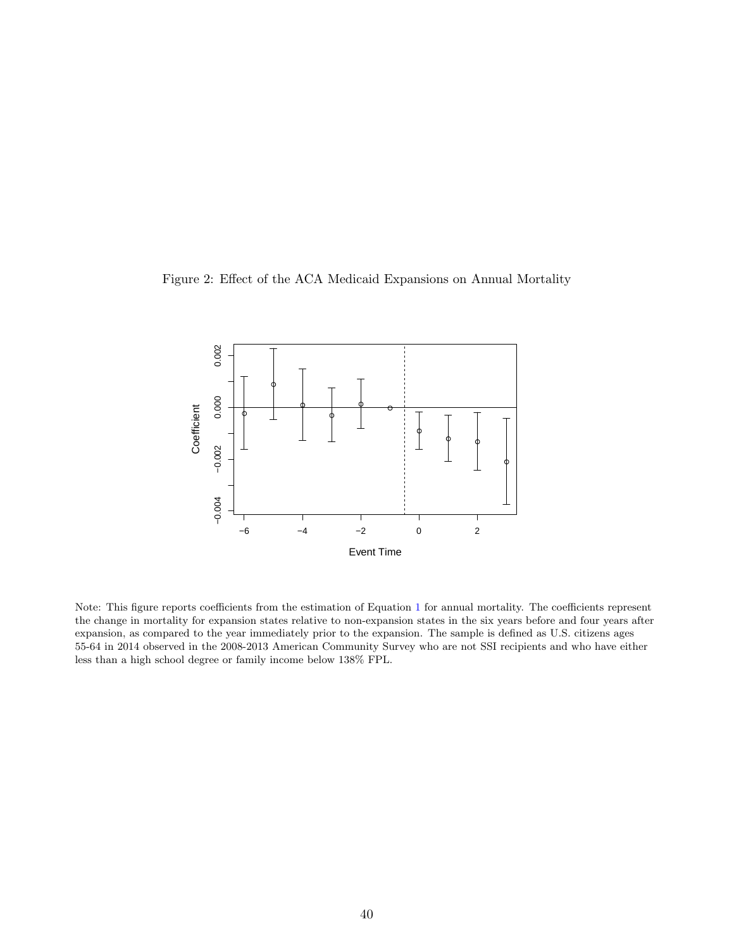<span id="page-42-0"></span>Figure 2: Effect of the ACA Medicaid Expansions on Annual Mortality



Note: This figure reports coefficients from the estimation of Equation [1](#page-11-4) for annual mortality. The coefficients represent the change in mortality for expansion states relative to non-expansion states in the six years before and four years after expansion, as compared to the year immediately prior to the expansion. The sample is defined as U.S. citizens ages 55-64 in 2014 observed in the 2008-2013 American Community Survey who are not SSI recipients and who have either less than a high school degree or family income below 138% FPL.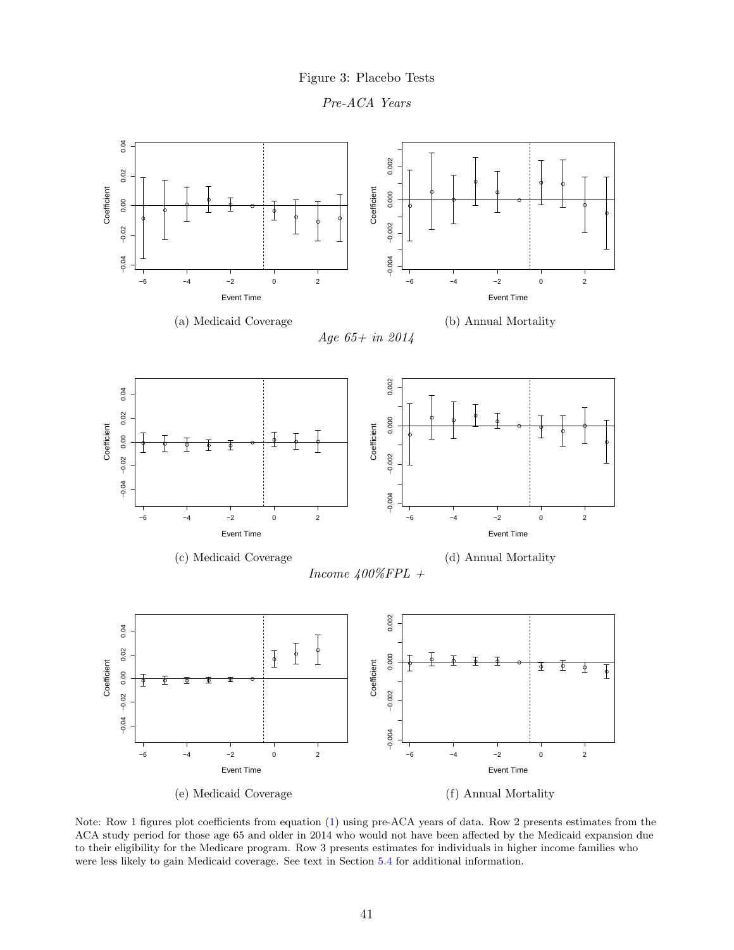



<span id="page-43-0"></span>

Note: Row 1 figures plot coefficients from equation [\(1\)](#page-11-4) using pre-ACA years of data. Row 2 presents estimates from the ACA study period for those age 65 and older in 2014 who would not have been affected by the Medicaid expansion due to their eligibility for the Medicare program. Row 3 presents estimates for individuals in higher income families who were less likely to gain Medicaid coverage. See text in Section [5.4](#page-21-2) for additional information.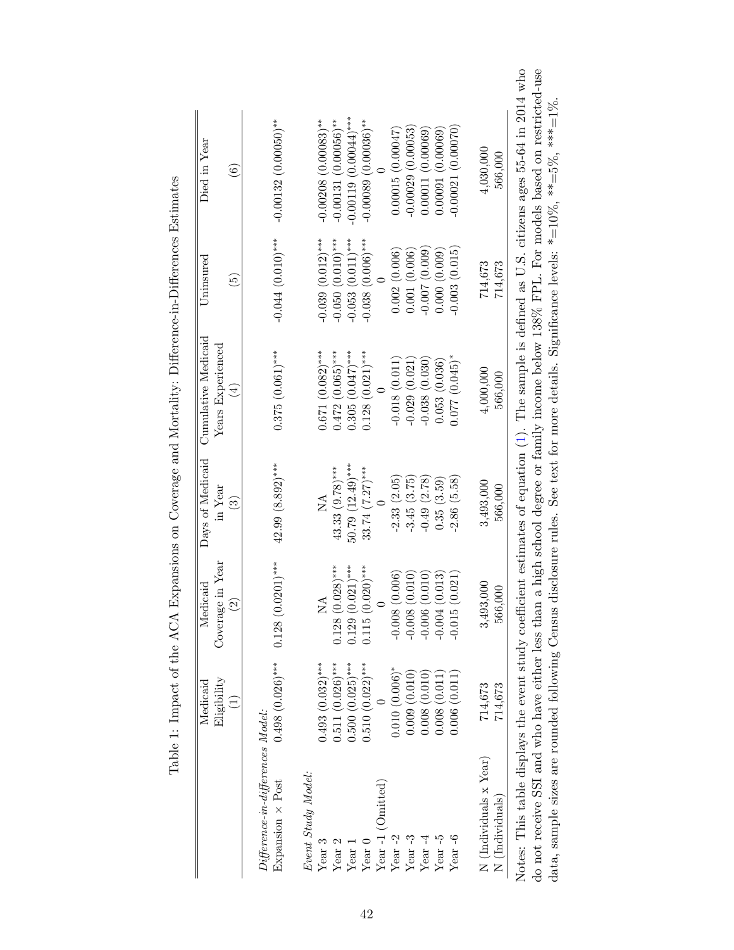<span id="page-44-0"></span>

|                                                            | Eligibility<br>$\widehat{\Xi}$ | Coverage in Year<br>$\mathrel{\mathop{\odot}}$ | in Year<br>$\widehat{\mathbf{e}}$ | $\chi_{\rm ears}$ Experienced<br>$\bigoplus$ | $\widetilde{5}$                 | $\widehat{6}$                      |
|------------------------------------------------------------|--------------------------------|------------------------------------------------|-----------------------------------|----------------------------------------------|---------------------------------|------------------------------------|
| $Differentier$ e-in-differences Model:<br>Expansion × Post | $0.498$ (0.026)***             | $0.128(0.0201)$ ***                            | $42.99(8.892)$ ***                | $0.375(0.061)$ ***                           | $-0.044(0.010)$ ***             | $-0.00132(0.00050)$ **             |
| Event Study Model:                                         |                                |                                                |                                   |                                              |                                 |                                    |
| Year 3                                                     | $0.493(0.032)$ ***             | Ź                                              | NA                                | $0.671(0.082)$ ***                           | $-0.039(0.012)$ ***             | $-0.00208$ (0.00083) <sup>**</sup> |
| Year $2\,$                                                 | $0.511(0.026)$ ***             | $0.128(0.028)$ ***                             | $43.33(9.78)***$                  | $0.472(0.065)***$                            | $-0.050(0.010)$ ***             | $-0.00131(0.00056)$ **             |
| Year 1                                                     | $0.500(0.025)$ ***             | $0.129(0.021)$ ***                             | $50.79(12.49)***$                 | $0.305(0.047)$ ***                           | $-0.053(0.011)$ ***             | $-0.00119(0.00044)$ ***            |
| Year $0$                                                   | $0.510(0.022)$ ***             | $.020$ )***<br>0.115(0.                        | $33.74 (7.27)$ ***                | $0.128(0.021)$ ***                           | $-0.038$ (0.006) <sup>***</sup> | $-0.00089(0.00036)$ **             |
| Year-1 (Omitted)                                           |                                |                                                |                                   |                                              |                                 |                                    |
| Year $-2$                                                  | $0.010(0.006)^*$               | (0.006)<br>$-0.008$                            | $-2.33(2.05)$                     | $-0.018(0.011)$                              | 0.002(0.006)                    | 0.00015(0.00047)                   |
| Year $-3$                                                  | 0.009(0.010)                   | (0.010)<br>$-0.008$                            | $-3.45(3.75)$                     | $-0.029(0.021)$                              | 0.001(0.006)                    | $-0.00029(0.00053)$                |
| Year $-4$                                                  | 0.008(0.010)                   | (0.010)<br>$-0.006$                            | $-0.49(2.78)$                     | $-0.038(0.030)$                              | $-0.007(0.009)$                 | 0.00011(0.00069)                   |
| Year $-5$                                                  | 0.008 (0.011                   | (0.013)<br>$-0.004$                            | 0.35(3.59)                        | 0.053(0.036)                                 | 0.000(0.009)                    | 0.00091(0.00069)                   |
| Year $-6$                                                  | 0.006(0.011)                   | (0.021)<br>$-0.015$                            | $-2.86(5.58)$                     | $0.077(0.045)$ *                             | $-0.003(0.015)$                 | $-0.00021(0.00070)$                |
| N (Individuals x Year)                                     | 714,673                        | 3,493,000                                      | 3,493,000                         | 4,000,000                                    | 714,673                         | 4,030,000                          |
| N (Individuals)                                            | 714,673                        | 566,000                                        | 566,000                           | 566,000                                      | 714,673                         | 566,000                            |

Table 1: Impact of the  $ACA$  Expansions on Coverage and Mortality: Difference-in-Differences Estimates Table 1: Impact of the ACA Expansions on Coverage and Mortality: Difference-in-Differences Estimates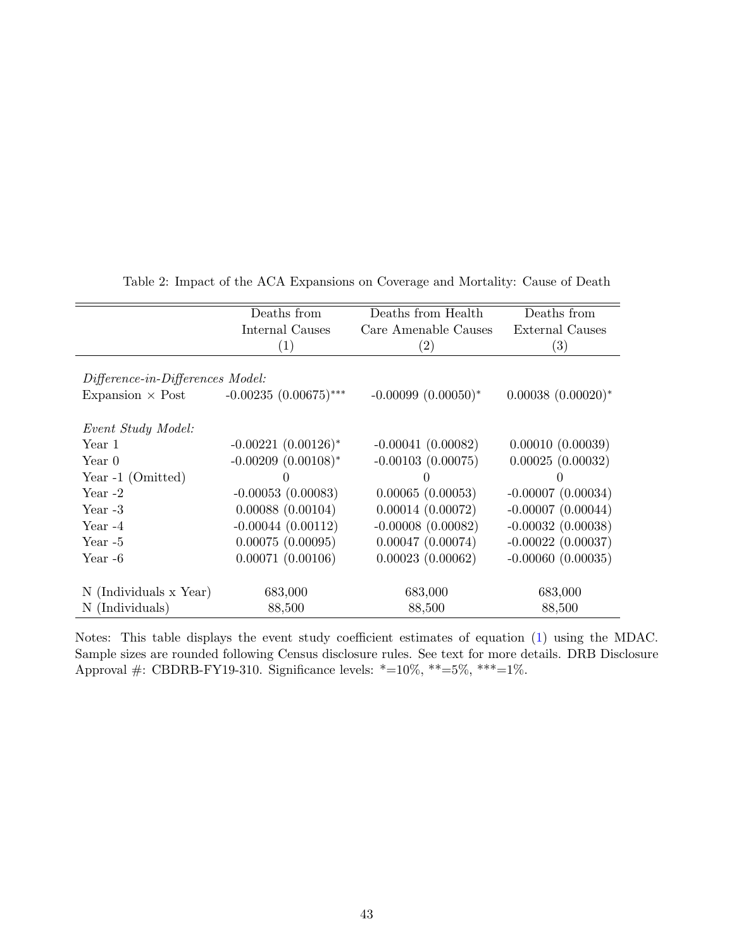<span id="page-45-0"></span>

|                                  | Deaths from              | Deaths from Health       | Deaths from            |
|----------------------------------|--------------------------|--------------------------|------------------------|
|                                  | Internal Causes          | Care Amenable Causes     | External Causes        |
|                                  | $\left( 1\right)$        | $\left( 2\right)$        | $\left( 3\right)$      |
|                                  |                          |                          |                        |
| Difference-in-Differences Model: |                          |                          |                        |
| Expansion $\times$ Post          | $-0.00235(0.00675)$ ***  | $-0.00099$ $(0.00050)^*$ | $0.00038~(0.00020)*$   |
|                                  |                          |                          |                        |
| Event Study Model:               |                          |                          |                        |
| Year 1                           | $-0.00221(0.00126)^*$    | $-0.00041(0.00082)$      | 0.00010(0.00039)       |
| Year 0                           | $-0.00209$ $(0.00108)^*$ | $-0.00103(0.00075)$      | 0.00025(0.00032)       |
| Year -1 (Omitted)                |                          | 0                        |                        |
| Year $-2$                        | $-0.00053(0.00083)$      | 0.00065(0.00053)         | $-0.00007(0.00034)$    |
| Year $-3$                        | 0.00088(0.00104)         | 0.00014(0.00072)         | $-0.00007$ $(0.00044)$ |
| Year $-4$                        | $-0.00044$ $(0.00112)$   | $-0.00008(0.00082)$      | $-0.00032(0.00038)$    |
| Year $-5$                        | 0.00075(0.00095)         | $0.00047$ $(0.00074)$    | $-0.00022$ (0.00037)   |
| Year -6                          | 0.00071(0.00106)         | 0.00023(0.00062)         | $-0.00060$ $(0.00035)$ |
|                                  |                          |                          |                        |
| N (Individuals x Year)           | 683,000                  | 683,000                  | 683,000                |
| N (Individuals)                  | 88,500                   | 88,500                   | 88,500                 |

Table 2: Impact of the ACA Expansions on Coverage and Mortality: Cause of Death

Notes: This table displays the event study coefficient estimates of equation [\(1\)](#page-11-4) using the MDAC. Sample sizes are rounded following Census disclosure rules. See text for more details. DRB Disclosure Approval #: CBDRB-FY19-310. Significance levels: \*=10%, \*\*=5%, \*\*\*=1%.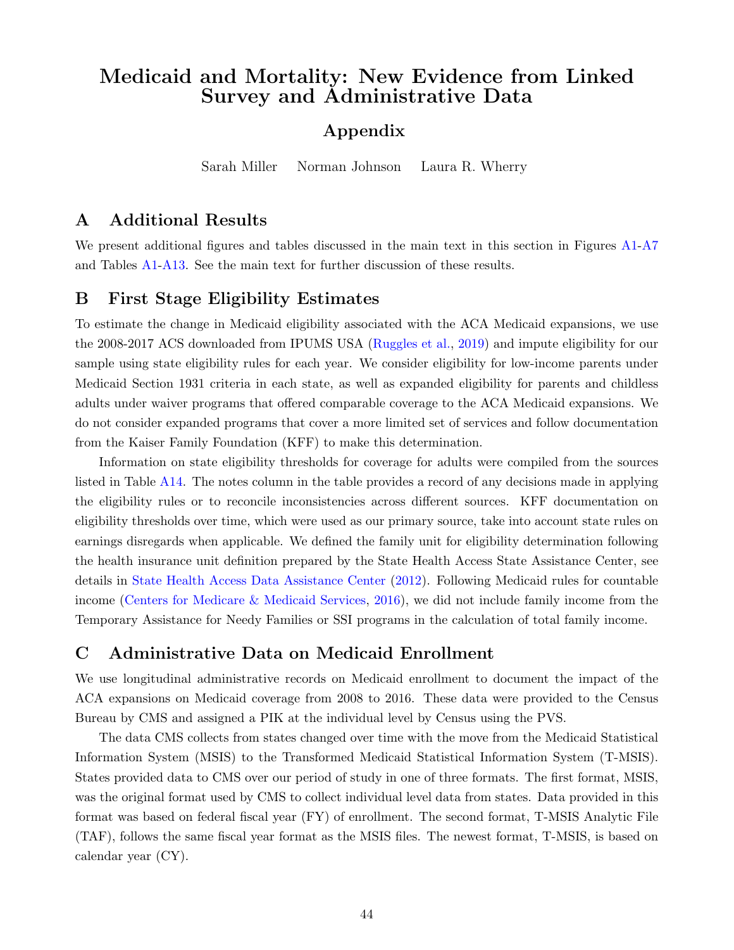# Medicaid and Mortality: New Evidence from Linked Survey and Administrative Data

# Appendix

Sarah Miller Norman Johnson Laura R. Wherry

## A Additional Results

We present additional figures and tables discussed in the main text in this section in Figures [A1-](#page-53-0)[A7](#page-59-0) and Tables [A1](#page-60-0)[-A13.](#page-69-0) See the main text for further discussion of these results.

## <span id="page-46-1"></span>B First Stage Eligibility Estimates

To estimate the change in Medicaid eligibility associated with the ACA Medicaid expansions, we use the 2008-2017 ACS downloaded from IPUMS USA [\(Ruggles et al.,](#page-39-16) [2019\)](#page-39-16) and impute eligibility for our sample using state eligibility rules for each year. We consider eligibility for low-income parents under Medicaid Section 1931 criteria in each state, as well as expanded eligibility for parents and childless adults under waiver programs that offered comparable coverage to the ACA Medicaid expansions. We do not consider expanded programs that cover a more limited set of services and follow documentation from the Kaiser Family Foundation (KFF) to make this determination.

Information on state eligibility thresholds for coverage for adults were compiled from the sources listed in Table [A14.](#page-70-0) The notes column in the table provides a record of any decisions made in applying the eligibility rules or to reconcile inconsistencies across different sources. KFF documentation on eligibility thresholds over time, which were used as our primary source, take into account state rules on earnings disregards when applicable. We defined the family unit for eligibility determination following the health insurance unit definition prepared by the State Health Access State Assistance Center, see details in [State Health Access Data Assistance Center](#page-39-12) [\(2012\)](#page-39-12). Following Medicaid rules for countable income [\(Centers for Medicare & Medicaid Services,](#page-33-15) [2016\)](#page-33-15), we did not include family income from the Temporary Assistance for Needy Families or SSI programs in the calculation of total family income.

# <span id="page-46-0"></span>C Administrative Data on Medicaid Enrollment

We use longitudinal administrative records on Medicaid enrollment to document the impact of the ACA expansions on Medicaid coverage from 2008 to 2016. These data were provided to the Census Bureau by CMS and assigned a PIK at the individual level by Census using the PVS.

The data CMS collects from states changed over time with the move from the Medicaid Statistical Information System (MSIS) to the Transformed Medicaid Statistical Information System (T-MSIS). States provided data to CMS over our period of study in one of three formats. The first format, MSIS, was the original format used by CMS to collect individual level data from states. Data provided in this format was based on federal fiscal year (FY) of enrollment. The second format, T-MSIS Analytic File (TAF), follows the same fiscal year format as the MSIS files. The newest format, T-MSIS, is based on calendar year (CY).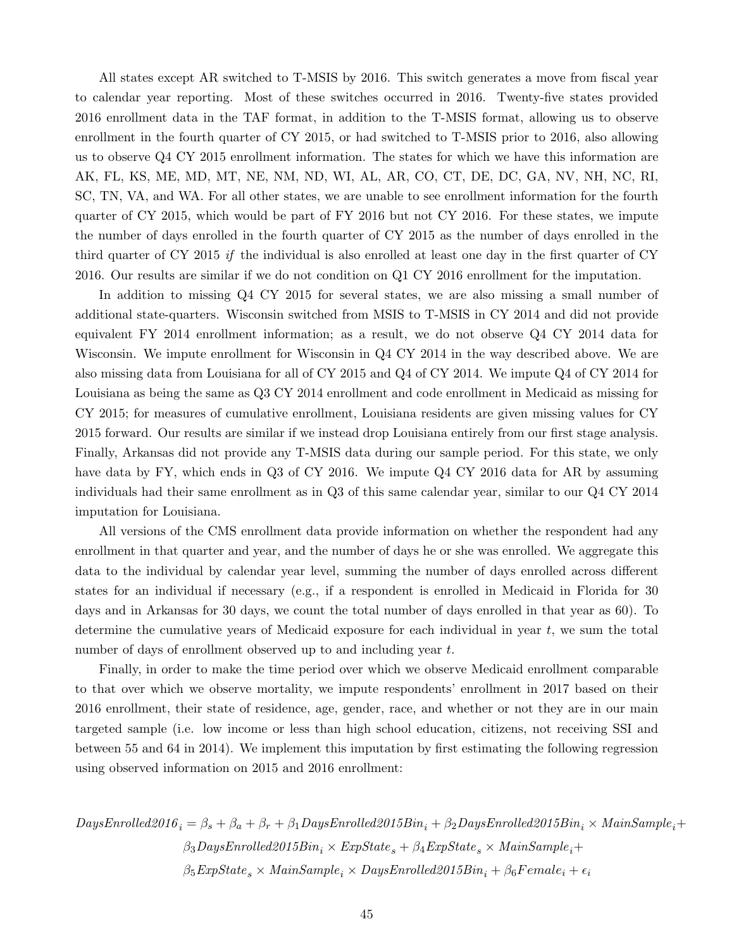All states except AR switched to T-MSIS by 2016. This switch generates a move from fiscal year to calendar year reporting. Most of these switches occurred in 2016. Twenty-five states provided 2016 enrollment data in the TAF format, in addition to the T-MSIS format, allowing us to observe enrollment in the fourth quarter of CY 2015, or had switched to T-MSIS prior to 2016, also allowing us to observe Q4 CY 2015 enrollment information. The states for which we have this information are AK, FL, KS, ME, MD, MT, NE, NM, ND, WI, AL, AR, CO, CT, DE, DC, GA, NV, NH, NC, RI, SC, TN, VA, and WA. For all other states, we are unable to see enrollment information for the fourth quarter of CY 2015, which would be part of FY 2016 but not CY 2016. For these states, we impute the number of days enrolled in the fourth quarter of CY 2015 as the number of days enrolled in the third quarter of CY 2015 if the individual is also enrolled at least one day in the first quarter of CY 2016. Our results are similar if we do not condition on Q1 CY 2016 enrollment for the imputation.

In addition to missing Q4 CY 2015 for several states, we are also missing a small number of additional state-quarters. Wisconsin switched from MSIS to T-MSIS in CY 2014 and did not provide equivalent FY 2014 enrollment information; as a result, we do not observe Q4 CY 2014 data for Wisconsin. We impute enrollment for Wisconsin in Q4 CY 2014 in the way described above. We are also missing data from Louisiana for all of CY 2015 and Q4 of CY 2014. We impute Q4 of CY 2014 for Louisiana as being the same as Q3 CY 2014 enrollment and code enrollment in Medicaid as missing for CY 2015; for measures of cumulative enrollment, Louisiana residents are given missing values for CY 2015 forward. Our results are similar if we instead drop Louisiana entirely from our first stage analysis. Finally, Arkansas did not provide any T-MSIS data during our sample period. For this state, we only have data by FY, which ends in Q3 of CY 2016. We impute Q4 CY 2016 data for AR by assuming individuals had their same enrollment as in Q3 of this same calendar year, similar to our Q4 CY 2014 imputation for Louisiana.

All versions of the CMS enrollment data provide information on whether the respondent had any enrollment in that quarter and year, and the number of days he or she was enrolled. We aggregate this data to the individual by calendar year level, summing the number of days enrolled across different states for an individual if necessary (e.g., if a respondent is enrolled in Medicaid in Florida for 30 days and in Arkansas for 30 days, we count the total number of days enrolled in that year as 60). To determine the cumulative years of Medicaid exposure for each individual in year  $t$ , we sum the total number of days of enrollment observed up to and including year t.

Finally, in order to make the time period over which we observe Medicaid enrollment comparable to that over which we observe mortality, we impute respondents' enrollment in 2017 based on their 2016 enrollment, their state of residence, age, gender, race, and whether or not they are in our main targeted sample (i.e. low income or less than high school education, citizens, not receiving SSI and between 55 and 64 in 2014). We implement this imputation by first estimating the following regression using observed information on 2015 and 2016 enrollment:

$$
DaysEnrolled2016_i = \beta_s + \beta_a + \beta_r + \beta_1 DaysEnrolled2015Bin_i + \beta_2 DaysEnrolled2015Bin_i \times MainSample_i + \beta_3 DaysEnrolled2015Bin_i \times ExpState_s + \beta_4 ExpState_s \times MainSample_i + \beta_5 ExpState_s \times MainSample_i \times DaysEnrolled2015Bin_i + \beta_6 Female_i + \epsilon_i
$$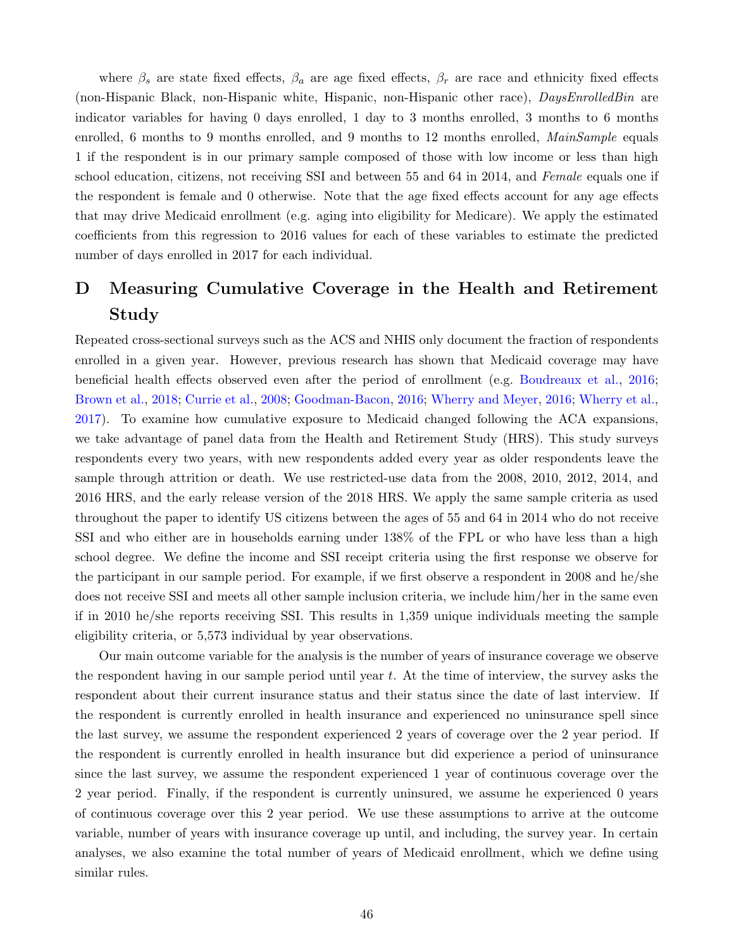where  $\beta_s$  are state fixed effects,  $\beta_a$  are age fixed effects,  $\beta_r$  are race and ethnicity fixed effects (non-Hispanic Black, non-Hispanic white, Hispanic, non-Hispanic other race), DaysEnrolledBin are indicator variables for having 0 days enrolled, 1 day to 3 months enrolled, 3 months to 6 months enrolled, 6 months to 9 months enrolled, and 9 months to 12 months enrolled, *MainSample* equals 1 if the respondent is in our primary sample composed of those with low income or less than high school education, citizens, not receiving SSI and between 55 and 64 in 2014, and Female equals one if the respondent is female and 0 otherwise. Note that the age fixed effects account for any age effects that may drive Medicaid enrollment (e.g. aging into eligibility for Medicare). We apply the estimated coefficients from this regression to 2016 values for each of these variables to estimate the predicted number of days enrolled in 2017 for each individual.

# <span id="page-48-0"></span>D Measuring Cumulative Coverage in the Health and Retirement Study

Repeated cross-sectional surveys such as the ACS and NHIS only document the fraction of respondents enrolled in a given year. However, previous research has shown that Medicaid coverage may have beneficial health effects observed even after the period of enrollment (e.g. [Boudreaux et al.,](#page-33-7) [2016;](#page-33-7) [Brown et al.,](#page-33-6) [2018;](#page-33-6) [Currie et al.,](#page-34-9) [2008;](#page-34-9) [Goodman-Bacon,](#page-36-5) [2016;](#page-36-5) [Wherry and Meyer,](#page-40-7) [2016;](#page-40-7) [Wherry et al.,](#page-40-9) [2017\)](#page-40-9). To examine how cumulative exposure to Medicaid changed following the ACA expansions, we take advantage of panel data from the Health and Retirement Study (HRS). This study surveys respondents every two years, with new respondents added every year as older respondents leave the sample through attrition or death. We use restricted-use data from the 2008, 2010, 2012, 2014, and 2016 HRS, and the early release version of the 2018 HRS. We apply the same sample criteria as used throughout the paper to identify US citizens between the ages of 55 and 64 in 2014 who do not receive SSI and who either are in households earning under 138% of the FPL or who have less than a high school degree. We define the income and SSI receipt criteria using the first response we observe for the participant in our sample period. For example, if we first observe a respondent in 2008 and he/she does not receive SSI and meets all other sample inclusion criteria, we include him/her in the same even if in 2010 he/she reports receiving SSI. This results in 1,359 unique individuals meeting the sample eligibility criteria, or 5,573 individual by year observations.

Our main outcome variable for the analysis is the number of years of insurance coverage we observe the respondent having in our sample period until year  $t$ . At the time of interview, the survey asks the respondent about their current insurance status and their status since the date of last interview. If the respondent is currently enrolled in health insurance and experienced no uninsurance spell since the last survey, we assume the respondent experienced 2 years of coverage over the 2 year period. If the respondent is currently enrolled in health insurance but did experience a period of uninsurance since the last survey, we assume the respondent experienced 1 year of continuous coverage over the 2 year period. Finally, if the respondent is currently uninsured, we assume he experienced 0 years of continuous coverage over this 2 year period. We use these assumptions to arrive at the outcome variable, number of years with insurance coverage up until, and including, the survey year. In certain analyses, we also examine the total number of years of Medicaid enrollment, which we define using similar rules.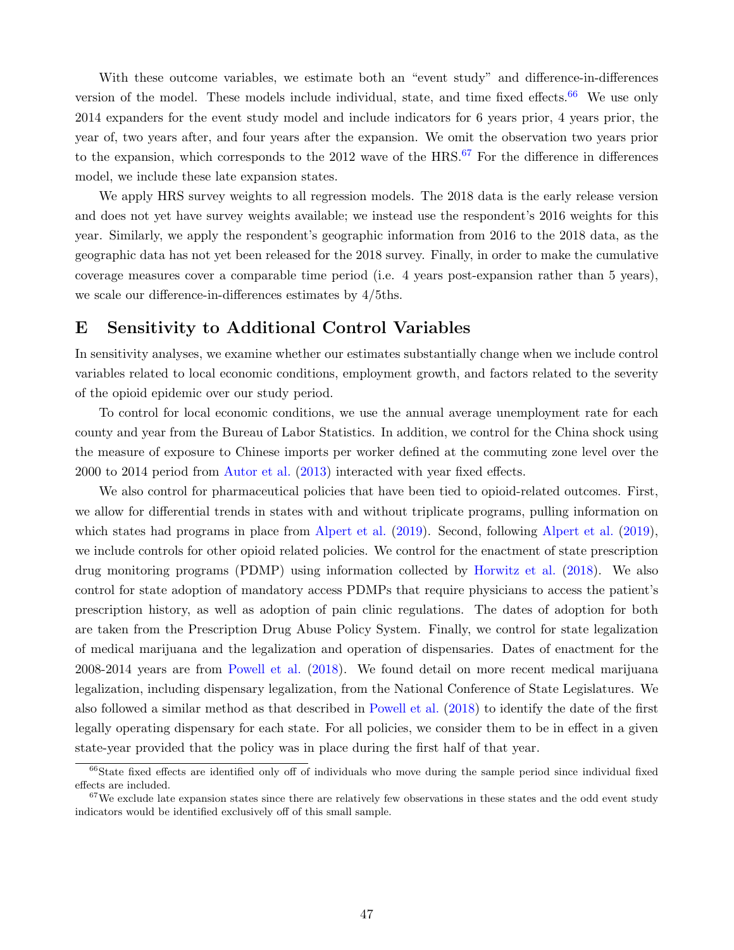With these outcome variables, we estimate both an "event study" and difference-in-differences version of the model. These models include individual, state, and time fixed effects.<sup>[66](#page-49-2)</sup> We use only 2014 expanders for the event study model and include indicators for 6 years prior, 4 years prior, the year of, two years after, and four years after the expansion. We omit the observation two years prior to the expansion, which corresponds to the  $2012$  wave of the HRS.<sup>[67](#page-49-3)</sup> For the difference in differences model, we include these late expansion states.

We apply HRS survey weights to all regression models. The 2018 data is the early release version and does not yet have survey weights available; we instead use the respondent's 2016 weights for this year. Similarly, we apply the respondent's geographic information from 2016 to the 2018 data, as the geographic data has not yet been released for the 2018 survey. Finally, in order to make the cumulative coverage measures cover a comparable time period (i.e. 4 years post-expansion rather than 5 years), we scale our difference-in-differences estimates by 4/5ths.

### <span id="page-49-0"></span>E Sensitivity to Additional Control Variables

In sensitivity analyses, we examine whether our estimates substantially change when we include control variables related to local economic conditions, employment growth, and factors related to the severity of the opioid epidemic over our study period.

To control for local economic conditions, we use the annual average unemployment rate for each county and year from the Bureau of Labor Statistics. In addition, we control for the China shock using the measure of exposure to Chinese imports per worker defined at the commuting zone level over the 2000 to 2014 period from [Autor et al.](#page-32-14) [\(2013\)](#page-32-14) interacted with year fixed effects.

We also control for pharmaceutical policies that have been tied to opioid-related outcomes. First, we allow for differential trends in states with and without triplicate programs, pulling information on which states had programs in place from [Alpert et al.](#page-32-11) [\(2019\)](#page-32-11). Second, following Alpert et al. (2019), we include controls for other opioid related policies. We control for the enactment of state prescription drug monitoring programs (PDMP) using information collected by [Horwitz et al.](#page-36-12) [\(2018\)](#page-36-12). We also control for state adoption of mandatory access PDMPs that require physicians to access the patient's prescription history, as well as adoption of pain clinic regulations. The dates of adoption for both are taken from the Prescription Drug Abuse Policy System. Finally, we control for state legalization of medical marijuana and the legalization and operation of dispensaries. Dates of enactment for the 2008-2014 years are from [Powell et al.](#page-38-12) [\(2018\)](#page-38-12). We found detail on more recent medical marijuana legalization, including dispensary legalization, from the National Conference of State Legislatures. We also followed a similar method as that described in [Powell et al.](#page-38-12) [\(2018\)](#page-38-12) to identify the date of the first legally operating dispensary for each state. For all policies, we consider them to be in effect in a given state-year provided that the policy was in place during the first half of that year.

<span id="page-49-2"></span><span id="page-49-1"></span> $66$ State fixed effects are identified only off of individuals who move during the sample period since individual fixed effects are included.

<span id="page-49-3"></span> $67$ We exclude late expansion states since there are relatively few observations in these states and the odd event study indicators would be identified exclusively off of this small sample.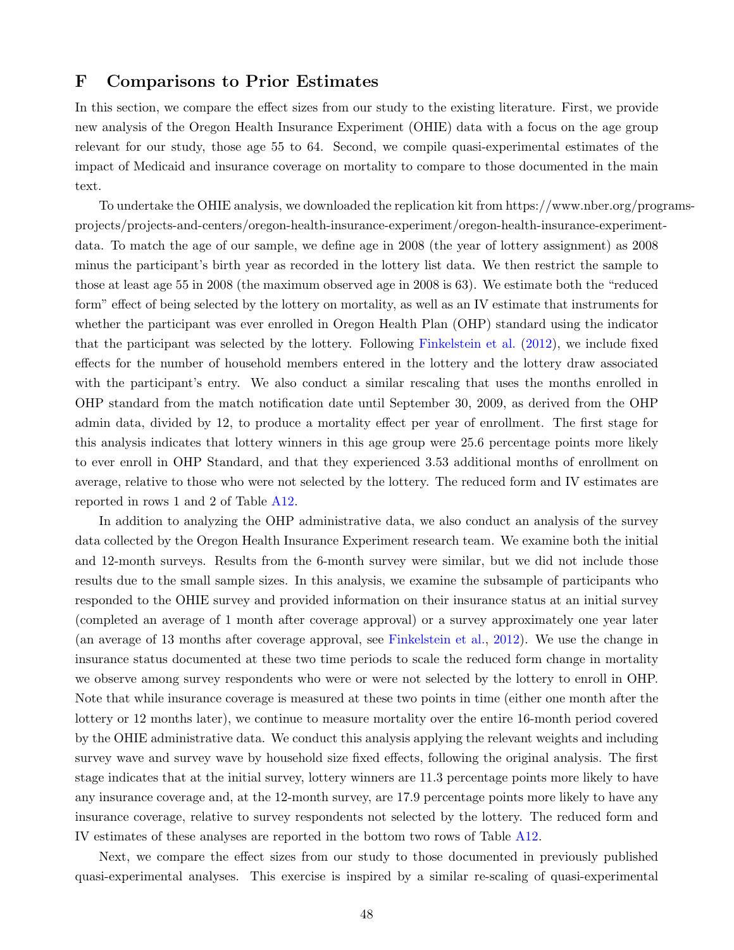## F Comparisons to Prior Estimates

In this section, we compare the effect sizes from our study to the existing literature. First, we provide new analysis of the Oregon Health Insurance Experiment (OHIE) data with a focus on the age group relevant for our study, those age 55 to 64. Second, we compile quasi-experimental estimates of the impact of Medicaid and insurance coverage on mortality to compare to those documented in the main text.

To undertake the OHIE analysis, we downloaded the replication kit from https://www.nber.org/programsprojects/projects-and-centers/oregon-health-insurance-experiment/oregon-health-insurance-experimentdata. To match the age of our sample, we define age in 2008 (the year of lottery assignment) as 2008 minus the participant's birth year as recorded in the lottery list data. We then restrict the sample to those at least age 55 in 2008 (the maximum observed age in 2008 is 63). We estimate both the "reduced form" effect of being selected by the lottery on mortality, as well as an IV estimate that instruments for whether the participant was ever enrolled in Oregon Health Plan (OHP) standard using the indicator that the participant was selected by the lottery. Following [Finkelstein et al.](#page-35-4) [\(2012\)](#page-35-4), we include fixed effects for the number of household members entered in the lottery and the lottery draw associated with the participant's entry. We also conduct a similar rescaling that uses the months enrolled in OHP standard from the match notification date until September 30, 2009, as derived from the OHP admin data, divided by 12, to produce a mortality effect per year of enrollment. The first stage for this analysis indicates that lottery winners in this age group were 25.6 percentage points more likely to ever enroll in OHP Standard, and that they experienced 3.53 additional months of enrollment on average, relative to those who were not selected by the lottery. The reduced form and IV estimates are reported in rows 1 and 2 of Table [A12.](#page-68-0)

In addition to analyzing the OHP administrative data, we also conduct an analysis of the survey data collected by the Oregon Health Insurance Experiment research team. We examine both the initial and 12-month surveys. Results from the 6-month survey were similar, but we did not include those results due to the small sample sizes. In this analysis, we examine the subsample of participants who responded to the OHIE survey and provided information on their insurance status at an initial survey (completed an average of 1 month after coverage approval) or a survey approximately one year later (an average of 13 months after coverage approval, see [Finkelstein et al.,](#page-35-4) [2012\)](#page-35-4). We use the change in insurance status documented at these two time periods to scale the reduced form change in mortality we observe among survey respondents who were or were not selected by the lottery to enroll in OHP. Note that while insurance coverage is measured at these two points in time (either one month after the lottery or 12 months later), we continue to measure mortality over the entire 16-month period covered by the OHIE administrative data. We conduct this analysis applying the relevant weights and including survey wave and survey wave by household size fixed effects, following the original analysis. The first stage indicates that at the initial survey, lottery winners are 11.3 percentage points more likely to have any insurance coverage and, at the 12-month survey, are 17.9 percentage points more likely to have any insurance coverage, relative to survey respondents not selected by the lottery. The reduced form and IV estimates of these analyses are reported in the bottom two rows of Table [A12.](#page-68-0)

Next, we compare the effect sizes from our study to those documented in previously published quasi-experimental analyses. This exercise is inspired by a similar re-scaling of quasi-experimental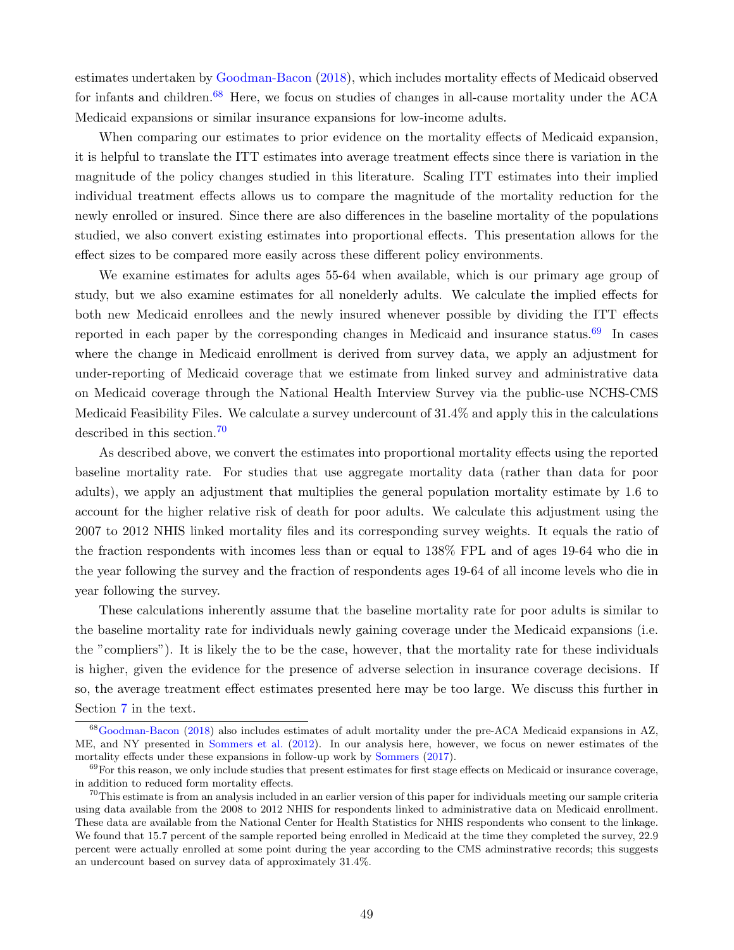estimates undertaken by [Goodman-Bacon](#page-36-3) [\(2018\)](#page-36-3), which includes mortality effects of Medicaid observed for infants and children.<sup>[68](#page-51-0)</sup> Here, we focus on studies of changes in all-cause mortality under the ACA Medicaid expansions or similar insurance expansions for low-income adults.

When comparing our estimates to prior evidence on the mortality effects of Medicaid expansion, it is helpful to translate the ITT estimates into average treatment effects since there is variation in the magnitude of the policy changes studied in this literature. Scaling ITT estimates into their implied individual treatment effects allows us to compare the magnitude of the mortality reduction for the newly enrolled or insured. Since there are also differences in the baseline mortality of the populations studied, we also convert existing estimates into proportional effects. This presentation allows for the effect sizes to be compared more easily across these different policy environments.

We examine estimates for adults ages 55-64 when available, which is our primary age group of study, but we also examine estimates for all nonelderly adults. We calculate the implied effects for both new Medicaid enrollees and the newly insured whenever possible by dividing the ITT effects reported in each paper by the corresponding changes in Medicaid and insurance status.<sup>[69](#page-51-1)</sup> In cases where the change in Medicaid enrollment is derived from survey data, we apply an adjustment for under-reporting of Medicaid coverage that we estimate from linked survey and administrative data on Medicaid coverage through the National Health Interview Survey via the public-use NCHS-CMS Medicaid Feasibility Files. We calculate a survey undercount of 31.4% and apply this in the calculations described in this section.[70](#page-51-2)

As described above, we convert the estimates into proportional mortality effects using the reported baseline mortality rate. For studies that use aggregate mortality data (rather than data for poor adults), we apply an adjustment that multiplies the general population mortality estimate by 1.6 to account for the higher relative risk of death for poor adults. We calculate this adjustment using the 2007 to 2012 NHIS linked mortality files and its corresponding survey weights. It equals the ratio of the fraction respondents with incomes less than or equal to 138% FPL and of ages 19-64 who die in the year following the survey and the fraction of respondents ages 19-64 of all income levels who die in year following the survey.

These calculations inherently assume that the baseline mortality rate for poor adults is similar to the baseline mortality rate for individuals newly gaining coverage under the Medicaid expansions (i.e. the "compliers"). It is likely the to be the case, however, that the mortality rate for these individuals is higher, given the evidence for the presence of adverse selection in insurance coverage decisions. If so, the average treatment effect estimates presented here may be too large. We discuss this further in Section [7](#page-25-1) in the text.

<span id="page-51-0"></span><sup>68</sup>[Goodman-Bacon](#page-36-3) [\(2018\)](#page-36-3) also includes estimates of adult mortality under the pre-ACA Medicaid expansions in AZ, ME, and NY presented in [Sommers et al.](#page-39-8) [\(2012\)](#page-39-8). In our analysis here, however, we focus on newer estimates of the mortality effects under these expansions in follow-up work by [Sommers](#page-39-9) [\(2017\)](#page-39-9).

<span id="page-51-1"></span> $69$ For this reason, we only include studies that present estimates for first stage effects on Medicaid or insurance coverage, in addition to reduced form mortality effects.

<span id="page-51-2"></span> $70$ This estimate is from an analysis included in an earlier version of this paper for individuals meeting our sample criteria using data available from the 2008 to 2012 NHIS for respondents linked to administrative data on Medicaid enrollment. These data are available from the National Center for Health Statistics for NHIS respondents who consent to the linkage. We found that 15.7 percent of the sample reported being enrolled in Medicaid at the time they completed the survey, 22.9 percent were actually enrolled at some point during the year according to the CMS adminstrative records; this suggests an undercount based on survey data of approximately 31.4%.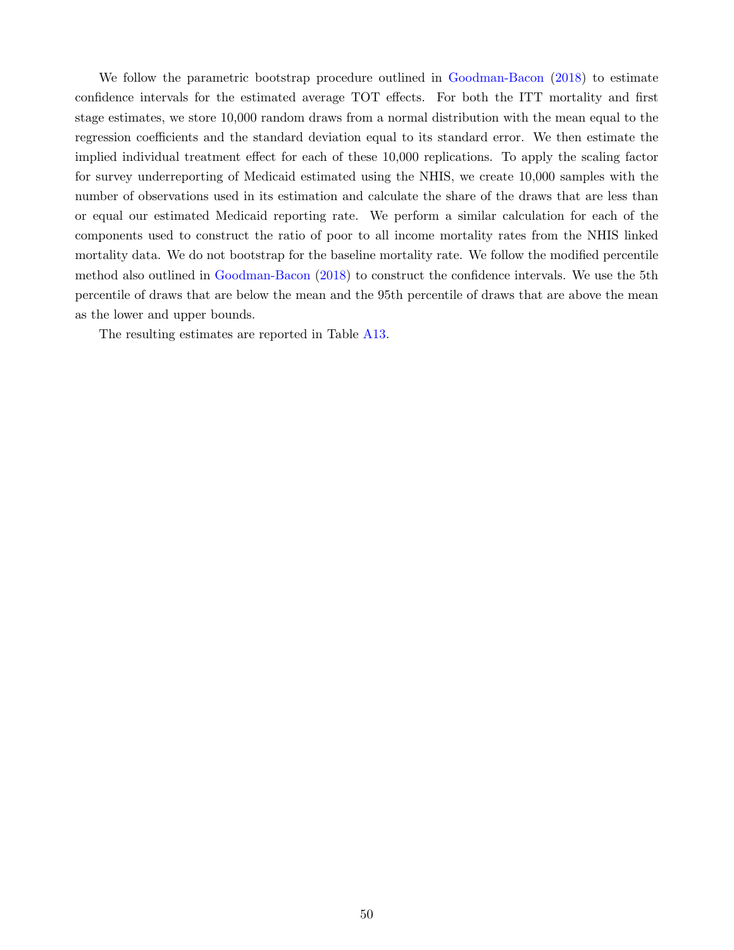We follow the parametric bootstrap procedure outlined in [Goodman-Bacon](#page-36-3) [\(2018\)](#page-36-3) to estimate confidence intervals for the estimated average TOT effects. For both the ITT mortality and first stage estimates, we store 10,000 random draws from a normal distribution with the mean equal to the regression coefficients and the standard deviation equal to its standard error. We then estimate the implied individual treatment effect for each of these 10,000 replications. To apply the scaling factor for survey underreporting of Medicaid estimated using the NHIS, we create 10,000 samples with the number of observations used in its estimation and calculate the share of the draws that are less than or equal our estimated Medicaid reporting rate. We perform a similar calculation for each of the components used to construct the ratio of poor to all income mortality rates from the NHIS linked mortality data. We do not bootstrap for the baseline mortality rate. We follow the modified percentile method also outlined in [Goodman-Bacon](#page-36-3) [\(2018\)](#page-36-3) to construct the confidence intervals. We use the 5th percentile of draws that are below the mean and the 95th percentile of draws that are above the mean as the lower and upper bounds.

The resulting estimates are reported in Table [A13.](#page-69-0)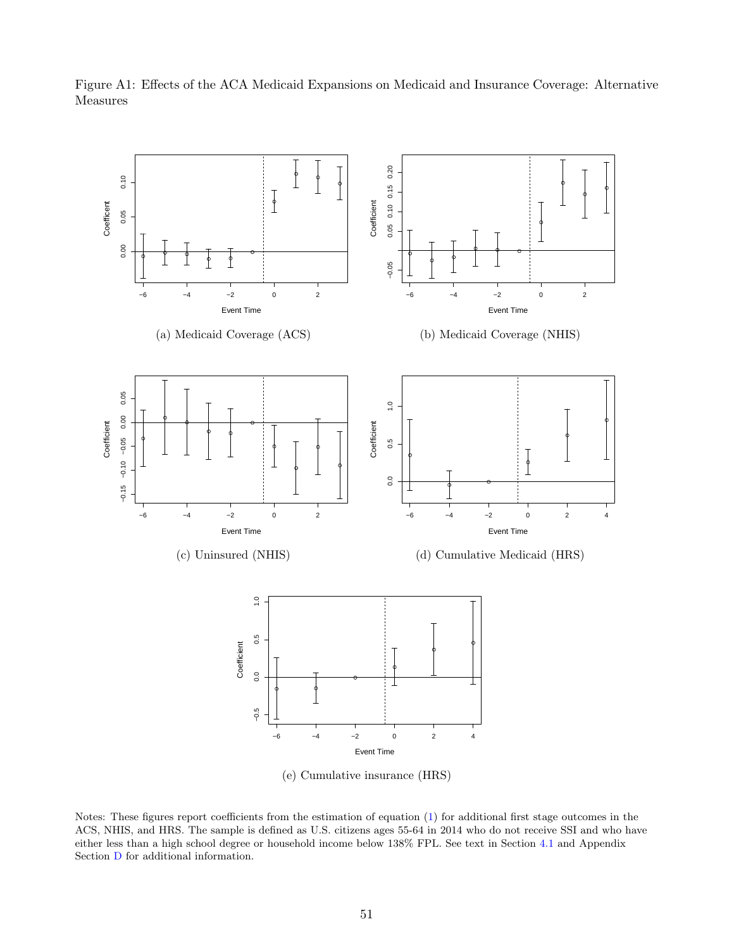<span id="page-53-0"></span>Figure A1: Effects of the ACA Medicaid Expansions on Medicaid and Insurance Coverage: Alternative Measures



(e) Cumulative insurance (HRS)

Notes: These figures report coefficients from the estimation of equation [\(1\)](#page-11-4) for additional first stage outcomes in the ACS, NHIS, and HRS. The sample is defined as U.S. citizens ages 55-64 in 2014 who do not receive SSI and who have either less than a high school degree or household income below 138% FPL. See text in Section [4.1](#page-12-2) and Appendix Section [D](#page-48-0) for additional information.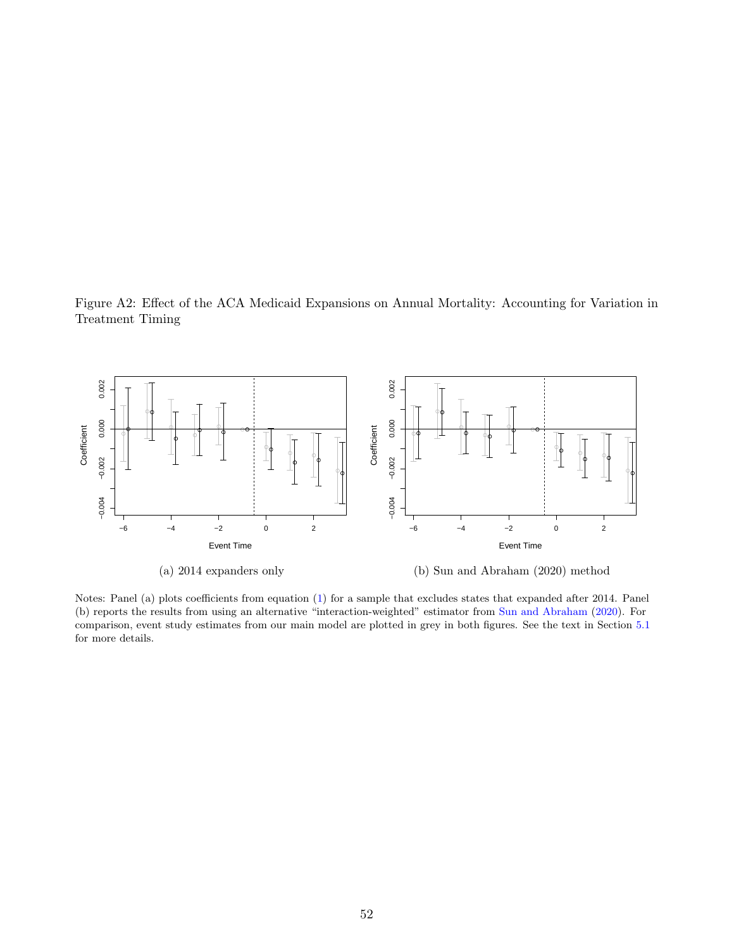<span id="page-54-0"></span>Figure A2: Effect of the ACA Medicaid Expansions on Annual Mortality: Accounting for Variation in Treatment Timing



Notes: Panel (a) plots coefficients from equation [\(1\)](#page-11-4) for a sample that excludes states that expanded after 2014. Panel (b) reports the results from using an alternative "interaction-weighted" estimator from [Sun and Abraham](#page-39-14) [\(2020\)](#page-39-14). For comparison, event study estimates from our main model are plotted in grey in both figures. See the text in Section [5.1](#page-17-1) for more details.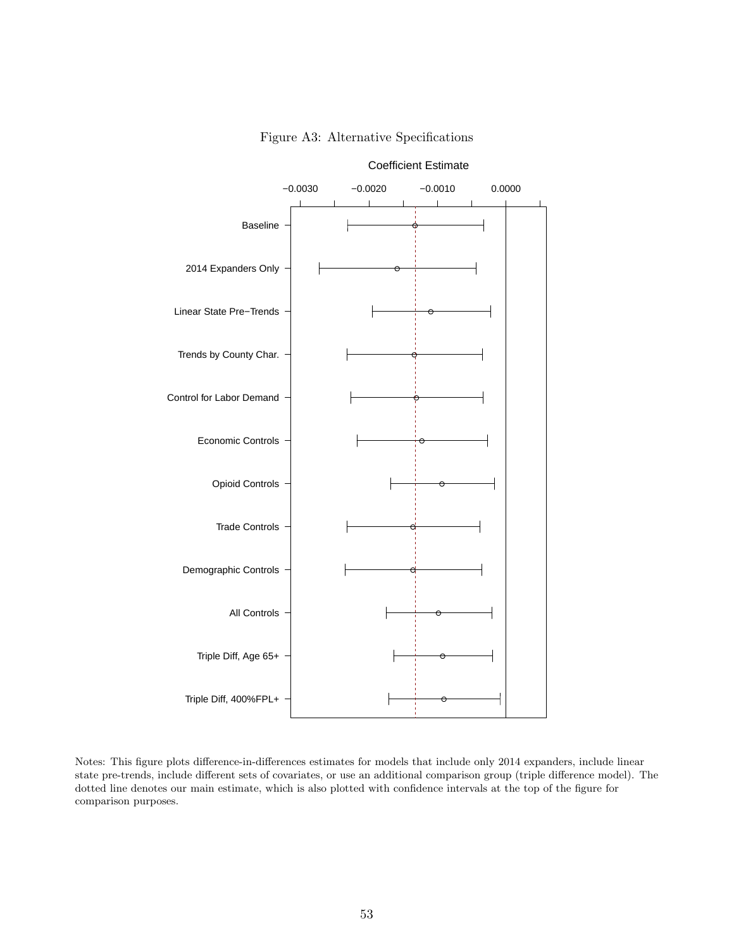<span id="page-55-0"></span>

Figure A3: Alternative Specifications

Notes: This figure plots difference-in-differences estimates for models that include only 2014 expanders, include linear state pre-trends, include different sets of covariates, or use an additional comparison group (triple difference model). The dotted line denotes our main estimate, which is also plotted with confidence intervals at the top of the figure for comparison purposes.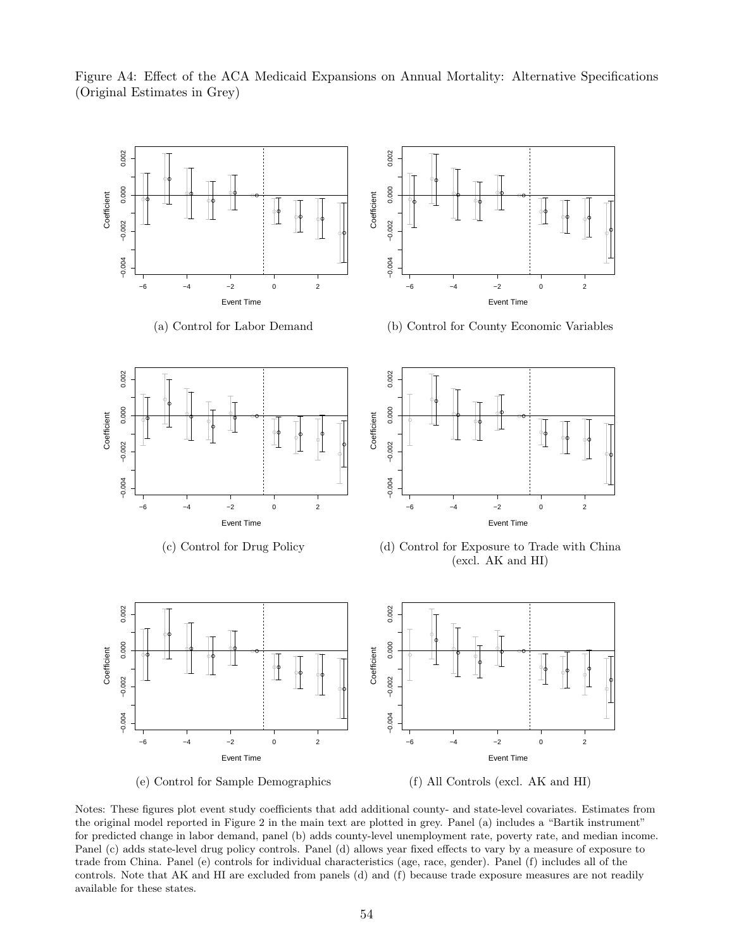

<span id="page-56-0"></span>Figure A4: Effect of the ACA Medicaid Expansions on Annual Mortality: Alternative Specifications (Original Estimates in Grey)

Notes: These figures plot event study coefficients that add additional county- and state-level covariates. Estimates from the original model reported in Figure 2 in the main text are plotted in grey. Panel (a) includes a "Bartik instrument" for predicted change in labor demand, panel (b) adds county-level unemployment rate, poverty rate, and median income. Panel (c) adds state-level drug policy controls. Panel (d) allows year fixed effects to vary by a measure of exposure to trade from China. Panel (e) controls for individual characteristics (age, race, gender). Panel (f) includes all of the controls. Note that AK and HI are excluded from panels (d) and (f) because trade exposure measures are not readily available for these states.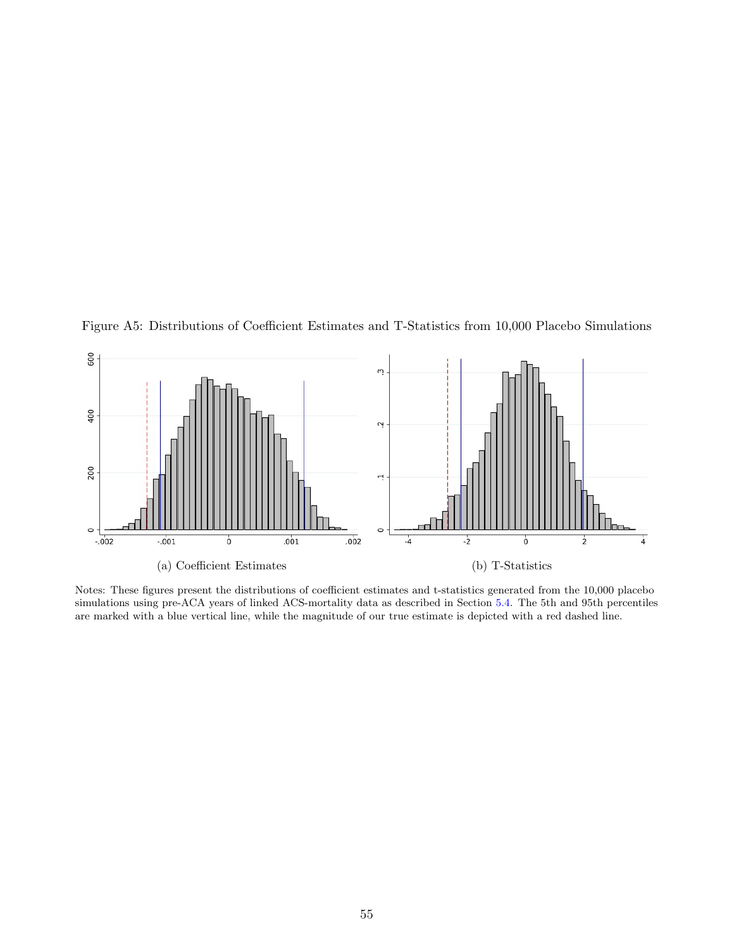

<span id="page-57-0"></span>Figure A5: Distributions of Coefficient Estimates and T-Statistics from 10,000 Placebo Simulations

Notes: These figures present the distributions of coefficient estimates and t-statistics generated from the 10,000 placebo simulations using pre-ACA years of linked ACS-mortality data as described in Section [5.4.](#page-21-2) The 5th and 95th percentiles are marked with a blue vertical line, while the magnitude of our true estimate is depicted with a red dashed line.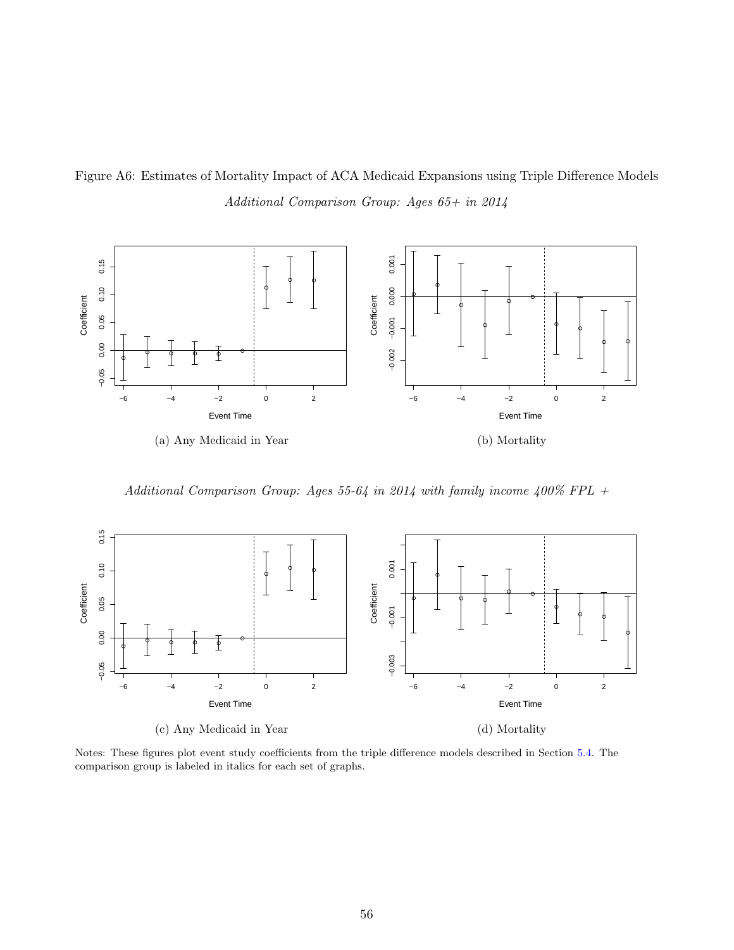<span id="page-58-0"></span>Figure A6: Estimates of Mortality Impact of ACA Medicaid Expansions using Triple Difference Models Additional Comparison Group: Ages 65+ in 2014



Additional Comparison Group: Ages 55-64 in 2014 with family income 400% FPL +



Notes: These figures plot event study coefficients from the triple difference models described in Section [5.4.](#page-21-2) The comparison group is labeled in italics for each set of graphs.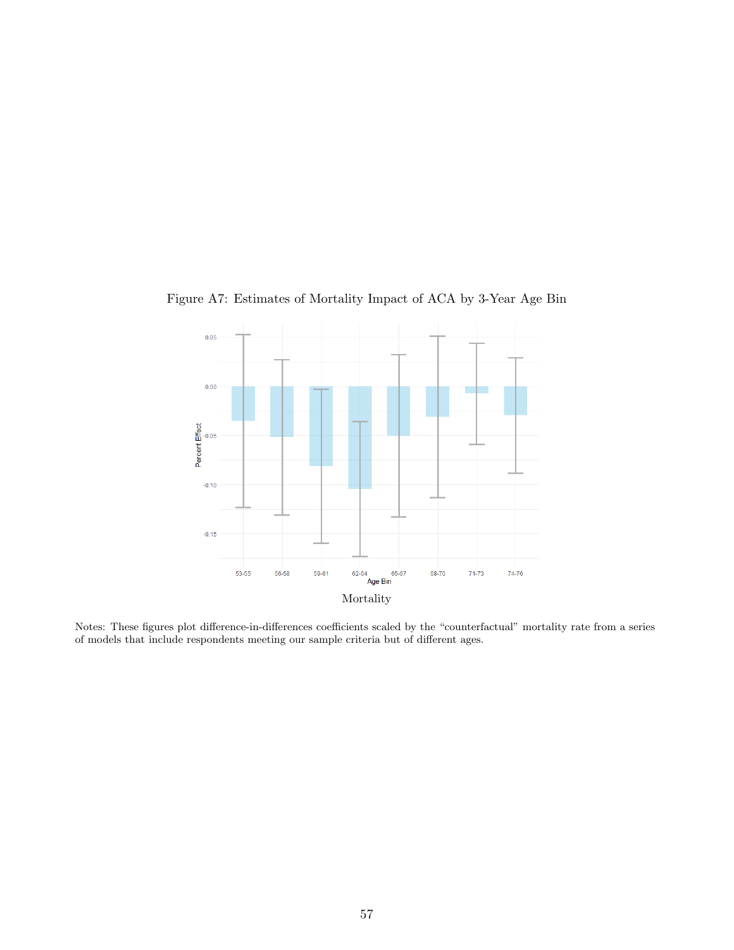

<span id="page-59-0"></span>Figure A7: Estimates of Mortality Impact of ACA by 3-Year Age Bin

Notes: These figures plot difference-in-differences coefficients scaled by the "counterfactual" mortality rate from a series of models that include respondents meeting our sample criteria but of different ages.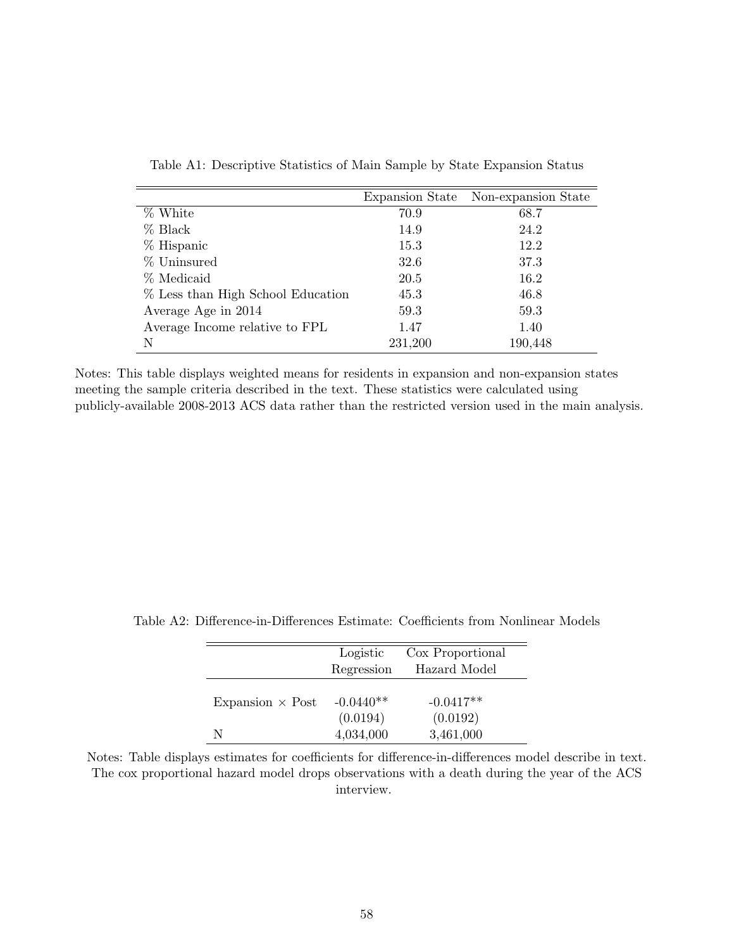<span id="page-60-0"></span>

|                                   |         | Expansion State Non-expansion State |
|-----------------------------------|---------|-------------------------------------|
| % White                           | 70.9    | 68.7                                |
| $%$ Black                         | 14.9    | 24.2                                |
| % Hispanic                        | 15.3    | 12.2                                |
| % Uninsured                       | 32.6    | 37.3                                |
| % Medicaid                        | 20.5    | 16.2                                |
| % Less than High School Education | 45.3    | 46.8                                |
| Average Age in 2014               | 59.3    | 59.3                                |
| Average Income relative to FPL    | 1.47    | 1.40                                |
| N                                 | 231,200 | 190,448                             |

Table A1: Descriptive Statistics of Main Sample by State Expansion Status

Notes: This table displays weighted means for residents in expansion and non-expansion states meeting the sample criteria described in the text. These statistics were calculated using publicly-available 2008-2013 ACS data rather than the restricted version used in the main analysis.

|                         | Logistic<br>Regression  | Cox Proportional<br>Hazard Model |
|-------------------------|-------------------------|----------------------------------|
| Expansion $\times$ Post | $-0.0440**$<br>(0.0194) | $-0.0417**$<br>(0.0192)          |
| N                       | 4,034,000               | 3,461,000                        |

<span id="page-60-1"></span>Table A2: Difference-in-Differences Estimate: Coefficients from Nonlinear Models

Notes: Table displays estimates for coefficients for difference-in-differences model describe in text. The cox proportional hazard model drops observations with a death during the year of the ACS interview.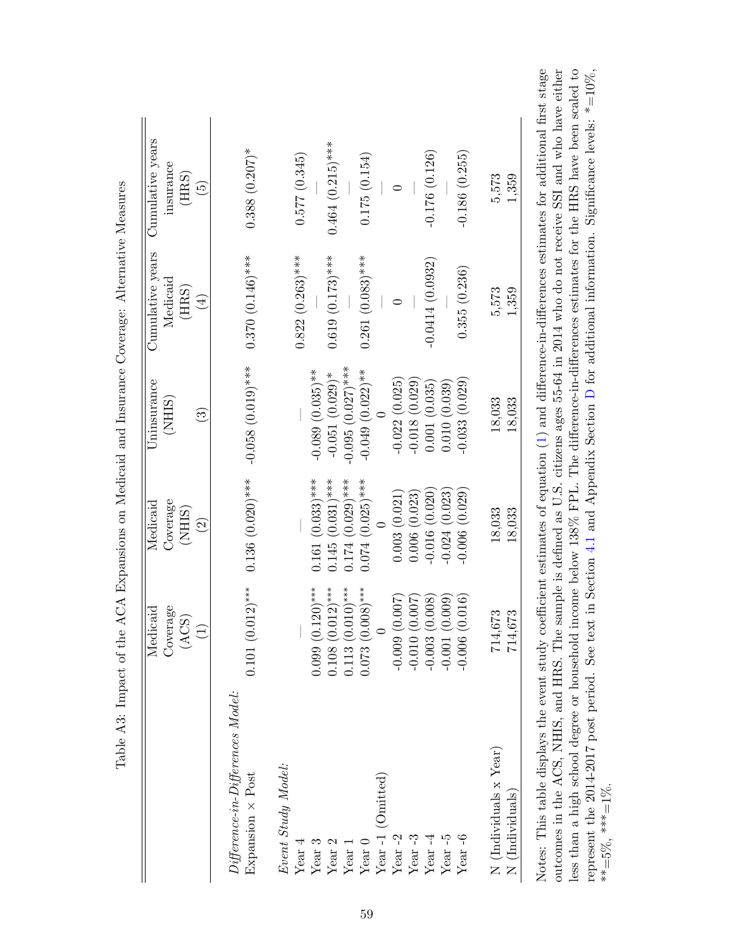<span id="page-61-0"></span>

|                                                           | Medicaid              | Medicaid           | Uninsurance            | Cumulative years   | Cumulative years           |
|-----------------------------------------------------------|-----------------------|--------------------|------------------------|--------------------|----------------------------|
|                                                           | Coverage              | Coverage           | (NHIS)                 | Medicaid           | insurance                  |
|                                                           | (ACS)                 | (NHIS)             |                        | (HRS)              | (HRS)                      |
|                                                           | $\widehat{\Xi}$       | $\widehat{\Omega}$ | $\widehat{\mathbb{C}}$ | $\bigoplus$        | $\widetilde{\mathfrak{G}}$ |
| $Differential$ erence-in- $Differential$ erences $Model:$ |                       |                    |                        |                    |                            |
| Expansion × Post                                          | $0.101(0.012)$ ***    | $0.136(0.020)***$  | $-0.058(0.019)***$     | $0.370(0.146)$ *** | $0.388(0.207)^*$           |
| Event Study Model:                                        |                       |                    |                        |                    |                            |
| Year $4$                                                  |                       |                    |                        | $0.822(0.263)$ *** | 0.577(0.345)               |
| Year $3$                                                  | $0.099(0.120)$ ***    | $0.161(0.033)$ *** | $-0.089$ $(0.035)$ **  |                    |                            |
| Year $2$                                                  | $***$<br>0.108(0.012) | $0.145(0.031)$ *** | $-0.051(0.029)$ *      | $0.619(0.173)$ *** | $0.464~(0.215)$ ***        |
| Year 1                                                    | $0.113(0.010)$ ***    | $0.174(0.029)$ *** | $-0.095$ $(0.027)$ *** |                    |                            |
| $Year$ $0$                                                | $0.073(0.008)$ ***    | $0.074(0.025)$ *** | $-0.049(0.022)**$      | $0.261(0.083)$ *** | 0.175(0.154)               |
| Year-1 (Omitted)                                          |                       |                    |                        |                    |                            |
| Year $-2$                                                 | $-0.009(0.007)$       | 0.003(0.021)       | $-0.022(0.025)$        | 0                  | 0                          |
| Year $-3$                                                 | $-0.010(0.007)$       | 0.006(0.023)       | $-0.018(0.029)$        |                    |                            |
| Year $-4$                                                 | $-0.003(0.008)$       | $-0.016(0.020)$    | 0.001(0.035)           | $-0.0414(0.0932)$  | $-0.176(0.126)$            |
| Year $-5$                                                 | $-0.001(0.009)$       | $-0.024(0.023)$    | 0.010(0.039)           |                    |                            |
| Year-6                                                    | $-0.006(0.016)$       | $-0.006(0.029)$    | $-0.033(0.029)$        | 0.355(0.236)       | $-0.186(0.255)$            |
| N (Individuals x Year)                                    | 714,673               | 18,033             | 18,033                 | 5,573              | 5,573                      |
| N (Individuals)                                           | 714,673               | 18,033             | 18,033                 | 1,359              | 1,359                      |

less than a high school degree or household income below 138% FPL. The difference-in-differences estimates for the HRS have been scaled to represent the 2014-2017 post period. See text in Section [4.1](#page-12-2) and Appendix Section [D](#page-48-0) for additional information. Significance levels: \*=10%,

less than a high school degree or household income below 138% FPL. The difference-in-differences estimates for the HRS have been scaled to represent the 2014-2017 post period. See text in Section 4.1 and Appendix Section D for additional information. Significance levels:  $*=10\%$ ,

 $**=5\%$ ,  $***=1\%$ .

\*\*=5%, \*\*\*=1%.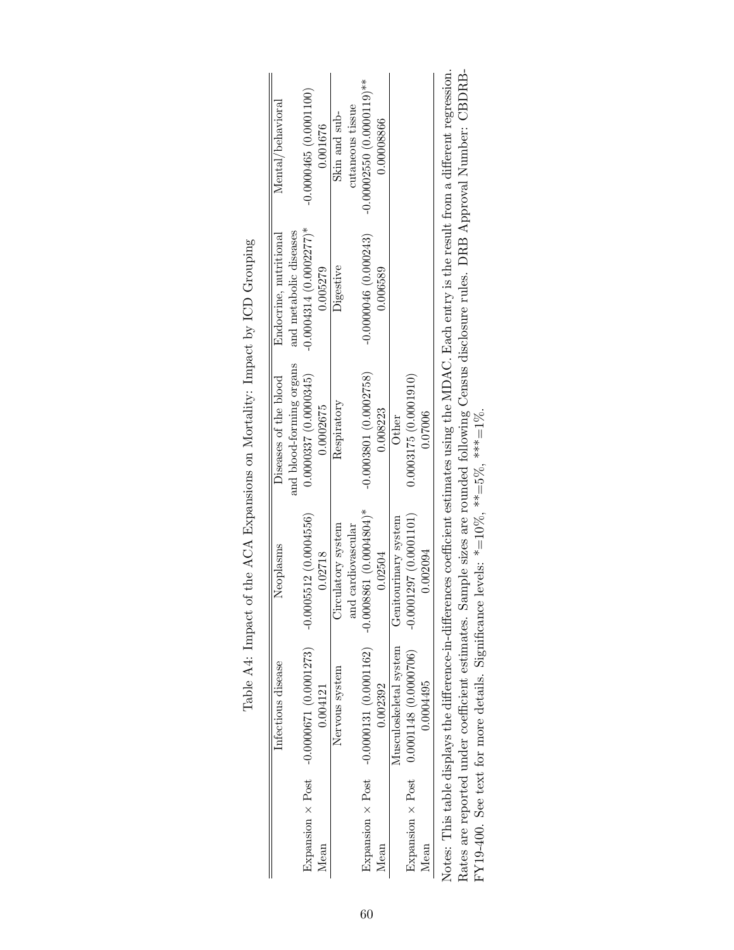<span id="page-62-0"></span>

|                         | Infectious disease                              | Neoplasms                                                                                         | Diseases of the blood    | Endocrine, nutritional   | Mental/behaviora                                                                                                                                     |
|-------------------------|-------------------------------------------------|---------------------------------------------------------------------------------------------------|--------------------------|--------------------------|------------------------------------------------------------------------------------------------------------------------------------------------------|
|                         |                                                 |                                                                                                   | and blood-forming organs | and metabolic diseases   |                                                                                                                                                      |
|                         | Expansion $\times$ Post $-0.0000671(0.0001273)$ | $-0.0005512(0.0004556)$                                                                           | 0.0000337(0.0000345)     | $-0.0004314(0.0002277)*$ | $-0.0000465(0.0001100)$                                                                                                                              |
| Mean                    | 0.004121                                        | 0.02718                                                                                           | 0.0002675                | 0.005279                 | 0.001676                                                                                                                                             |
|                         | Nervous system                                  | Circulatory system                                                                                | Respiratory              | Digestive                | Skin and sub-                                                                                                                                        |
|                         |                                                 | and cardiovascular                                                                                |                          |                          | cutaneous tissue                                                                                                                                     |
| Expansion $\times$ Post | $-0.0000131(0.0001162)$                         | $-0.0008861(0.0004804)^*$                                                                         | $-0.0003801(0.0002758)$  | $-0.0000046(0.000243)$   | $-0.00002550(0.0000119)*$                                                                                                                            |
| Mean                    | 0.002392                                        | 0.02504                                                                                           | 0.008223                 | 0.006589                 | 0.00008866                                                                                                                                           |
|                         | Musculoskeletal system                          | Genitourinary system                                                                              | Other                    |                          |                                                                                                                                                      |
| Expansion $\times$ Post | $0.0001148$ (0.0000706)                         | $-0.0001297(0.0001101)$                                                                           | 0.0003175(0.0001910)     |                          |                                                                                                                                                      |
| Mean                    | 0.0004495                                       | 0.002094                                                                                          | 0.07006                  |                          |                                                                                                                                                      |
|                         |                                                 |                                                                                                   |                          |                          | Notes: This table displays the difference-in-differences coefficient estimates using the MDAC. Each entry is the result from a different regression. |
|                         |                                                 |                                                                                                   |                          |                          | Rates are reported under coefficient estimates. Sample sizes are rounded following Census disclosure rules. DRB Approval Number: CBDRB-              |
|                         |                                                 | FY19-400. See text for more details. Significance levels: $* = 10\%$ , $** = 5\%$ , $*** = 1\%$ . |                          |                          |                                                                                                                                                      |

| Ĩ,<br>\$<br>ζ                                                                                                                                      |
|----------------------------------------------------------------------------------------------------------------------------------------------------|
| ・リーン・ニ<br>・ノートくー                                                                                                                                   |
| ,<br>,<br>,                                                                                                                                        |
| こくしょう くうこう こうしゅう くりょう<br>)<br> }<br> <br>Í<br>I                                                                                                    |
| .<br>.<br>.<br>.<br> <br> <br> <br> <br> <br> <br>$\ddot{\phantom{a}}$                                                                             |
|                                                                                                                                                    |
| $\sim$<br>֧֧֧֧֧֧֧ׅ֧֧֪ׅ֧ׅ֧֛֪֧֧֧֧֛֪֛֪֛֪֛֪֛֪֛֛֪֛֛֪֛֛֪֛֚֚֚֚֚֚֚֚֚֚֚֚֚֚֚֚֚֚֚֚֚֚֚֚֚֚֡֓֝֓֝֬֝֓֝֬֝֬֜֓֝֬֜֓֝֬֝֬֝֬<br> <br> <br> <br> <br>こうしょう こうりょう<br>í<br>Ï |
| - 1<br>- 1<br>-<br>4 1・2 1 2 1 2 1 2 1<br>$\overline{\phantom{a}}$                                                                                 |
| ・ くろ キナク しり                                                                                                                                        |
| l<br>l                                                                                                                                             |
|                                                                                                                                                    |
| $\frac{1}{2}$<br>$\frac{1}{2}$<br>F                                                                                                                |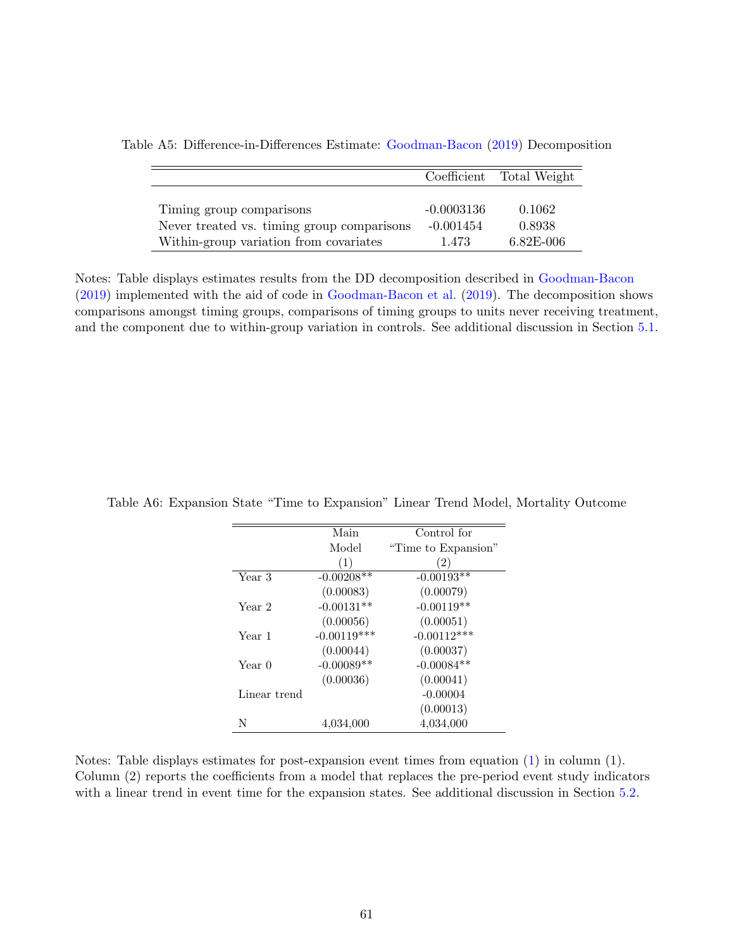|                                            |              | Coefficient Total Weight |
|--------------------------------------------|--------------|--------------------------|
|                                            |              |                          |
| Timing group comparisons                   | $-0.0003136$ | 0.1062                   |
| Never treated vs. timing group comparisons | $-0.001454$  | 0.8938                   |
| Within-group variation from covariates     | 1.473        | $6.82E - 006$            |

<span id="page-63-0"></span>Table A5: Difference-in-Differences Estimate: [Goodman-Bacon](#page-36-6) [\(2019\)](#page-36-6) Decomposition

Notes: Table displays estimates results from the DD decomposition described in [Goodman-Bacon](#page-36-6) [\(2019\)](#page-36-6) implemented with the aid of code in [Goodman-Bacon et al.](#page-36-8) [\(2019\)](#page-36-8). The decomposition shows comparisons amongst timing groups, comparisons of timing groups to units never receiving treatment, and the component due to within-group variation in controls. See additional discussion in Section [5.1.](#page-17-1)

|              | Main          | Control for         |
|--------------|---------------|---------------------|
|              | Model         | "Time to Expansion" |
|              | (1)           | (2)                 |
| Year 3       | $-0.00208**$  | $-0.00193**$        |
|              | (0.00083)     | (0.00079)           |
| Year 2       | $-0.00131**$  | $-0.00119**$        |
|              | (0.00056)     | (0.00051)           |
| Year 1       | $-0.00119***$ | $-0.00112***$       |
|              | (0.00044)     | (0.00037)           |
| Year 0       | $-0.00089**$  | $-0.00084**$        |
|              | (0.00036)     | (0.00041)           |
| Linear trend |               | $-0.00004$          |
|              |               | (0.00013)           |
| N            | 4,034,000     | 4,034,000           |

<span id="page-63-1"></span>Table A6: Expansion State "Time to Expansion" Linear Trend Model, Mortality Outcome

Notes: Table displays estimates for post-expansion event times from equation [\(1\)](#page-11-4) in column (1). Column (2) reports the coefficients from a model that replaces the pre-period event study indicators with a linear trend in event time for the expansion states. See additional discussion in Section [5.2.](#page-18-3)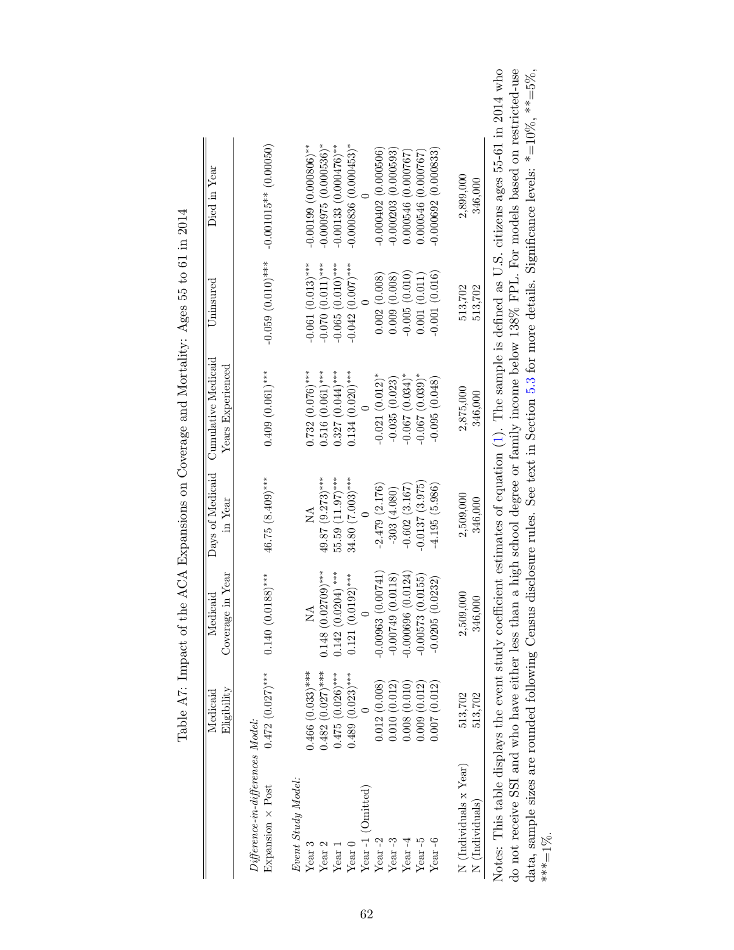<span id="page-64-0"></span>

|                                                                                                                    | Eligibility<br>Medicaid                     | Coverage in Year<br>Medicaid               | Days of Medicaid<br>in Year             | Cumulative Medicaid<br>Years Experienced  | $U$ ninsured                                                       | Died in Year                                                                                                                                                                                                                                                                                                                                     |
|--------------------------------------------------------------------------------------------------------------------|---------------------------------------------|--------------------------------------------|-----------------------------------------|-------------------------------------------|--------------------------------------------------------------------|--------------------------------------------------------------------------------------------------------------------------------------------------------------------------------------------------------------------------------------------------------------------------------------------------------------------------------------------------|
| $Differentce-in-difference: Model:$<br>Expansion $\times$ Post                                                     | $0.472(0.027)$ ***                          | $0.140(0.0188)$ ***                        | 46.75 (8.409)***                        | $0.409(0.061)$ ***                        | $-0.059(0.010)***$                                                 | $-0.001015**$ (0.00050)                                                                                                                                                                                                                                                                                                                          |
| Event Study Model:<br>Year3<br>Year <sub>2</sub>                                                                   | $0.482(0.027)$ ***<br>$0.466$ $(0.033)$ *** | $0.148(0.02709)$ ***<br>NA                 | $49.87(9.273)***$<br>ÁN                 | $0.516(0.061)$ ***<br>$0.732(0.076)$ ***  | $-0.061(0.013)$ ***<br>$-0.070(0.011)$ ***                         | $-0.000975$ (0.000536)*<br>$-0.00199(0.000806)$ **                                                                                                                                                                                                                                                                                               |
| Year $\boldsymbol{0}$<br>Year $1$                                                                                  | $0.475(0.026)$ ***<br>$0.489(0.023)$ ***    | $0.142(0.0204)$ ***<br>$0.121(0.0192)$ *** | $55.59(11.97)$ ***<br>$34.80(7.003)***$ | $0.327(0.044)$ ***<br>0.134 $(0.020)$ *** | $-0.065$ (0.010) <sup>***</sup><br>$-0.042$ (0.007) <sup>***</sup> | $-0.000836(0.000453)$ *<br>$-0.00133(0.000476)$ **                                                                                                                                                                                                                                                                                               |
| Year $-1$ (Omitted)<br>Year $-2$                                                                                   | 0.012(0.008)                                | $-0.00963(0.00741)$                        | $-2.479(2.176)$                         | $-0.021(0.012)^*$                         | 0.002(0.008)                                                       | $-0.000402(0.000506)$                                                                                                                                                                                                                                                                                                                            |
| Year $-3$<br>Year $-4$                                                                                             | 0.008(0.010)<br>0.010(0.012)                | $-0.000696(0.0124)$<br>$-0.00749(0.0118)$  | $-0.602(3.167)$<br>$-303(4.080)$        | $-0.067(0.034)$ *<br>$-0.035(0.023)$      | $-0.005(0.010)$<br>0.009(0.008)                                    | $-0.000203$ $(0.000593)$<br>0.000546(0.000767)                                                                                                                                                                                                                                                                                                   |
| Year $-5$                                                                                                          | 0.009(0.012)                                | $-0.00573(0.0155)$                         | $-0.0137(3.975)$                        | $-0.067(0.039)$ *                         | 0.001(0.011)                                                       | 0.000546 (0.000767)                                                                                                                                                                                                                                                                                                                              |
| Year $-6$                                                                                                          | 0.007(0.012)                                | $-0.0205(0.0232)$                          | $-4.195(5.986)$                         | $-0.095(0.048)$                           | $-0.001(0.016)$                                                    | $-0.000692(0.000833)$                                                                                                                                                                                                                                                                                                                            |
| N (Individuals x Year)<br>N (Individuals)                                                                          | 513,702<br>513,702                          | 2,509,000<br>346,000                       | 2,509,000<br>346,000                    | 2,875,000<br>346,000                      | 513,702<br>513,702                                                 | 2,899,000<br>346,000                                                                                                                                                                                                                                                                                                                             |
| do not receive SSI and who have either less than<br>data, sample sizes are rounded following Census<br>*** $=$ 1%. |                                             |                                            |                                         |                                           |                                                                    | Notes: This table displays the event study coefficient estimates of equation $(1)$ . The sample is defined as U.S. citizens ages 55-61 in 2014 who<br>disclosure rules. See text in Section 5.3 for more details. Significance levels: *=10%, **=5%,<br>a high school degree or family income below 138% FPL. For models based on restricted-use |
|                                                                                                                    |                                             |                                            |                                         |                                           |                                                                    |                                                                                                                                                                                                                                                                                                                                                  |

| I<br>I                                                                                                          |
|-----------------------------------------------------------------------------------------------------------------|
| .<br>.<br>.                                                                                                     |
|                                                                                                                 |
|                                                                                                                 |
|                                                                                                                 |
| $\frac{1}{2}$<br>j<br>֕                                                                                         |
| į<br>j<br>;<br>;<br>ï<br>ׇ֚֘֝֬                                                                                  |
| $\frac{1}{4}$                                                                                                   |
| $\vdots$                                                                                                        |
| きょく エコース くうく くうくうしょう こうく こうく てんきくさく<br>١<br>ì<br>İ                                                              |
| '<br>ו                                                                                                          |
| i<br>.<br>ו<br>֚֘֝֬<br>l                                                                                        |
| $\mathbf{i}$<br>ľ<br>Ī<br>I                                                                                     |
| i<br>;<br>֧֧֧֧֧֧֧֧֧֧֧֧֛֧֧֧֧֛֛֛֚֚֚֚֚֚֚֚֚֚֚֚֚֚֚֝֝֝֝֓֝֓֝֓֝֓֝֬֝֟֓֝֬֝֬֝֓֝֬֝֓֝֬֜֝֬֝֬֝֬֝֬֜<br>֧֧֧֧֧֧֛֚֚֚֚֚֚֚֚֚֚֚֚֚֚֝֝֜ |
| í                                                                                                               |
|                                                                                                                 |
| j<br>l<br>.<br>ו<br>                                                                                            |
| l<br>$\vdots$                                                                                                   |
| l<br>i<br>l<br>I                                                                                                |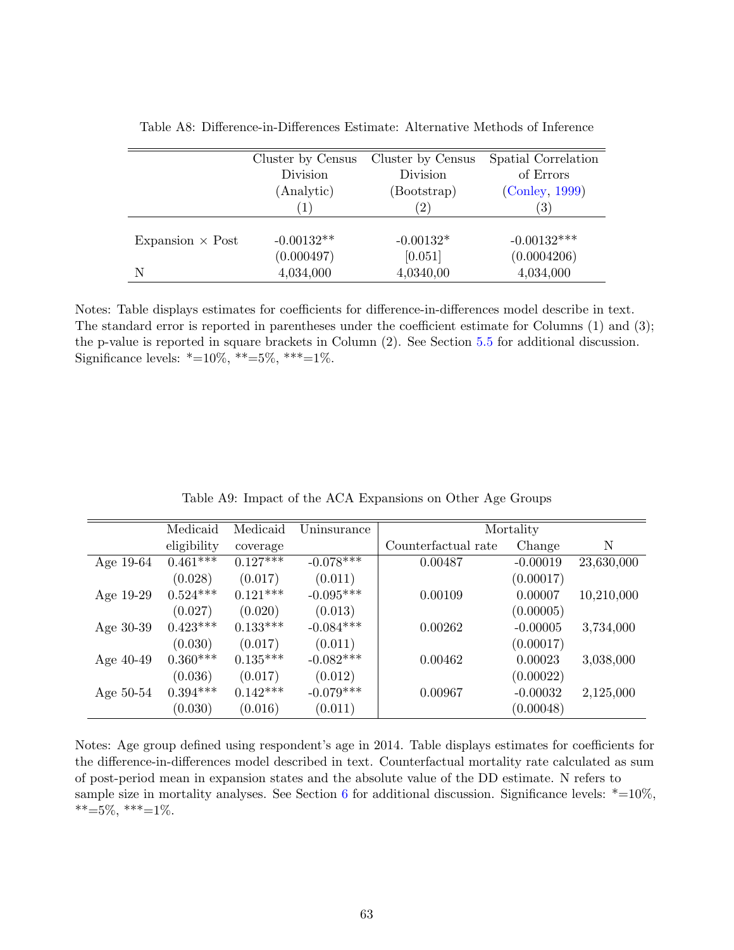|                         | Cluster by Census | Cluster by Census | Spatial Correlation |
|-------------------------|-------------------|-------------------|---------------------|
|                         | Division          | Division          | of Errors           |
|                         | (Analytic)        | (Bootstrap)       | (Conley, 1999)      |
|                         |                   | $\left( 2\right)$ | (3)                 |
| Expansion $\times$ Post | $-0.00132**$      | $-0.00132*$       | $-0.00132***$       |
|                         | (0.000497)        | [0.051]           | (0.0004206)         |
| N                       | 4,034,000         | 4,0340,00         | 4,034,000           |

<span id="page-65-0"></span>Table A8: Difference-in-Differences Estimate: Alternative Methods of Inference

Notes: Table displays estimates for coefficients for difference-in-differences model describe in text. The standard error is reported in parentheses under the coefficient estimate for Columns (1) and (3); the p-value is reported in square brackets in Column (2). See Section [5.5](#page-23-3) for additional discussion. Significance levels:  $*=10\%, **=5\%, **=1\%.$ 

<span id="page-65-1"></span>

|             | Medicaid    | Medicaid   | Uninsurance |                     | Mortality  |            |
|-------------|-------------|------------|-------------|---------------------|------------|------------|
|             | eligibility | coverage   |             | Counterfactual rate | Change     | N          |
| Age $19-64$ | $0.461***$  | $0.127***$ | $-0.078***$ | 0.00487             | $-0.00019$ | 23,630,000 |
|             | (0.028)     | (0.017)    | (0.011)     |                     | (0.00017)  |            |
| Age $19-29$ | $0.524***$  | $0.121***$ | $-0.095***$ | 0.00109             | 0.00007    | 10,210,000 |
|             | (0.027)     | (0.020)    | (0.013)     |                     | (0.00005)  |            |
| Age $30-39$ | $0.423***$  | $0.133***$ | $-0.084***$ | 0.00262             | $-0.00005$ | 3,734,000  |
|             | (0.030)     | (0.017)    | (0.011)     |                     | (0.00017)  |            |
| Age $40-49$ | $0.360***$  | $0.135***$ | $-0.082***$ | 0.00462             | 0.00023    | 3,038,000  |
|             | (0.036)     | (0.017)    | (0.012)     |                     | (0.00022)  |            |
| Age $50-54$ | $0.394***$  | $0.142***$ | $-0.079***$ | 0.00967             | $-0.00032$ | 2,125,000  |
|             | (0.030)     | (0.016)    | (0.011)     |                     | (0.00048)  |            |

Table A9: Impact of the ACA Expansions on Other Age Groups

Notes: Age group defined using respondent's age in 2014. Table displays estimates for coefficients for the difference-in-differences model described in text. Counterfactual mortality rate calculated as sum of post-period mean in expansion states and the absolute value of the DD estimate. N refers to sample size in mortality analyses. See Section [6](#page-23-0) for additional discussion. Significance levels:  $*=10\%$ ,  $***=5\%,$  \*\*\*=1%.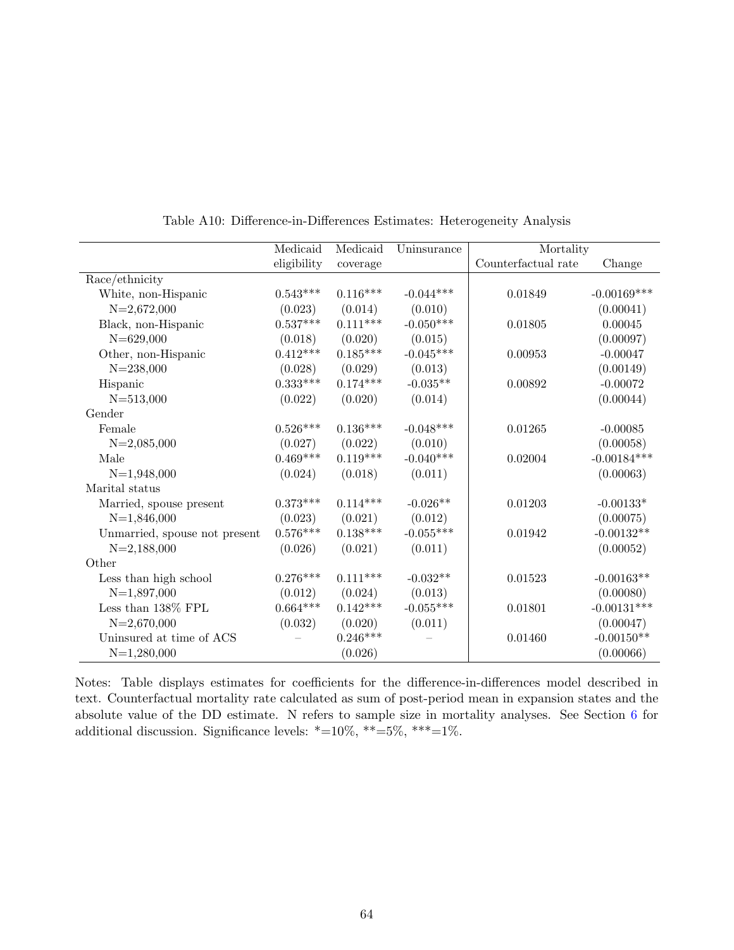<span id="page-66-0"></span>

|                               | Medicaid    | Medicaid   | Uninsurance | Mortality           |               |
|-------------------------------|-------------|------------|-------------|---------------------|---------------|
|                               | eligibility | coverage   |             | Counterfactual rate | Change        |
| Race/ethnicity                |             |            |             |                     |               |
| White, non-Hispanic           | $0.543***$  | $0.116***$ | $-0.044***$ | 0.01849             | $-0.00169***$ |
| $N=2,672,000$                 | (0.023)     | (0.014)    | (0.010)     |                     | (0.00041)     |
| Black, non-Hispanic           | $0.537***$  | $0.111***$ | $-0.050***$ | 0.01805             | 0.00045       |
| $N = 629,000$                 | (0.018)     | (0.020)    | (0.015)     |                     | (0.00097)     |
| Other, non-Hispanic           | $0.412***$  | $0.185***$ | $-0.045***$ | 0.00953             | $-0.00047$    |
| $N = 238,000$                 | (0.028)     | (0.029)    | (0.013)     |                     | (0.00149)     |
| Hispanic                      | $0.333***$  | $0.174***$ | $-0.035**$  | 0.00892             | $-0.00072$    |
| $N = 513,000$                 | (0.022)     | (0.020)    | (0.014)     |                     | (0.00044)     |
| Gender                        |             |            |             |                     |               |
| Female                        | $0.526***$  | $0.136***$ | $-0.048***$ | 0.01265             | $-0.00085$    |
| $N=2,085,000$                 | (0.027)     | (0.022)    | (0.010)     |                     | (0.00058)     |
| Male                          | $0.469***$  | $0.119***$ | $-0.040***$ | 0.02004             | $-0.00184***$ |
| $N=1,948,000$                 | (0.024)     | (0.018)    | (0.011)     |                     | (0.00063)     |
| Marital status                |             |            |             |                     |               |
| Married, spouse present       | $0.373***$  | $0.114***$ | $-0.026**$  | 0.01203             | $-0.00133*$   |
| $N=1,846,000$                 | (0.023)     | (0.021)    | (0.012)     |                     | (0.00075)     |
| Unmarried, spouse not present | $0.576***$  | $0.138***$ | $-0.055***$ | 0.01942             | $-0.00132**$  |
| $N=2,188,000$                 | (0.026)     | (0.021)    | (0.011)     |                     | (0.00052)     |
| Other                         |             |            |             |                     |               |
| Less than high school         | $0.276***$  | $0.111***$ | $-0.032**$  | 0.01523             | $-0.00163**$  |
| $N=1,897,000$                 | (0.012)     | (0.024)    | (0.013)     |                     | (0.00080)     |
| Less than 138% FPL            | $0.664***$  | $0.142***$ | $-0.055***$ | 0.01801             | $-0.00131***$ |
| $N=2,670,000$                 | (0.032)     | (0.020)    | (0.011)     |                     | (0.00047)     |
| Uninsured at time of ACS      |             | $0.246***$ |             | 0.01460             | $-0.00150**$  |
| $N=1,280,000$                 |             | (0.026)    |             |                     | (0.00066)     |

Table A10: Difference-in-Differences Estimates: Heterogeneity Analysis

Notes: Table displays estimates for coefficients for the difference-in-differences model described in text. Counterfactual mortality rate calculated as sum of post-period mean in expansion states and the absolute value of the DD estimate. N refers to sample size in mortality analyses. See Section [6](#page-23-0) for additional discussion. Significance levels: \*=10%, \*\*=5%, \*\*\*=1%.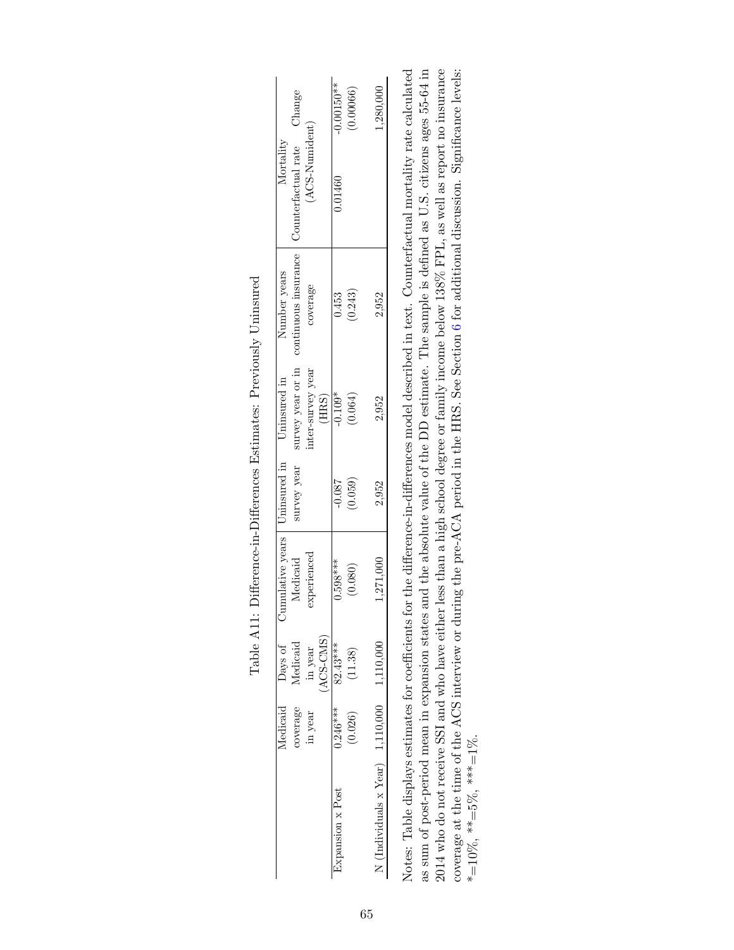<span id="page-67-0"></span>

|                                         |                                                | $-0.00150**$    | (0.00066) | ,280,000                                       |
|-----------------------------------------|------------------------------------------------|-----------------|-----------|------------------------------------------------|
| Counterfactual rate Change<br>Mortality | (ACS-Numident)                                 | 0.01460         |           |                                                |
| continuous insurance<br>Number years    | coverage                                       | 0.453           | (0.243)   | 2,952                                          |
| survey year or in<br>Uninsured in       | ater-survey year<br>$\left( {\rm HRS} \right)$ | $-0.109*$       | (0.064)   | 2,952                                          |
| Uninsured in<br>survey year             |                                                | $-0.087$        | (650.0)   | 2,952                                          |
| umulative years<br>Medicaid             | experienced                                    | $0.598***$      | (0.080)   | 1,271,000                                      |
| <i>Medicaid</i> Days of<br>Medicaid     | $(ACS-CMS)$<br>0.246*** 82.43***<br>in year    |                 | (11.38)   |                                                |
| coverage                                | in year                                        |                 | (0.026)   |                                                |
|                                         |                                                | xpansion x Post |           | $N$ (Individuals x Year) $1,110,000$ 1,110,000 |

| -<br>-<br>-<br>-<br>-<br>i                                                                             |  |
|--------------------------------------------------------------------------------------------------------|--|
| .<br>.<br>.<br>.<br>.<br>.<br>.<br>.<br>$\frac{1}{2}$<br>֖֖֖֖֚֚֚֚֚֚֚֚֚֚֚֡֬֝֝֬֝֝֬֝֝֬֝ <del>֖</del><br>ĺ |  |
| i<br>C<br>I<br>I                                                                                       |  |
| <b>CONTRACTOR</b><br>.<br>.<br>.<br>۶<br>م<br>ı<br>i                                                   |  |
| $\sim 0.1$<br>j<br> <br> <br> <br>ミ・イ・バ                                                                |  |
| .<br>.<br>'<br> }                                                                                      |  |

 $2014$  who do not receive SSI and who have either less than a high school degree or family income below  $138\%$  FPL, as well as report no insurance coverage at the time of the ACS interview or during the pre-ACA period in the HRS. See Section 6 for additional discussion. Significance levels: Notes: Table displays estimates for coefficients for the difference-in-differences model described in text. Counterfactual mortality rate calculated as sum of post-period mean in expansion states and the absolute value of the DD estimate. The sample is defined as U.S. citizens ages 55-64 in Notes: Table displays estimates for coefficients for the difference-in-differences model described in text. Counterfactual mortality rate calculated as sum of post-period mean in expansion states and the absolute value of the DD estimate. The sample is defined as U.S. citizens ages 55-64 in 2014 who do not receive SSI and who have either less than a high school degree or family income below 138% FPL, as well as report no insurance coverage at the time of the ACS interview or during the pre-ACA period in the HRS. See Section [6](#page-23-0) for additional discussion. Significance levels: \*=10%, \*\*=5%, \*\*\*=1%. \*=10%, \*\*=5%, \*\*\*=1%.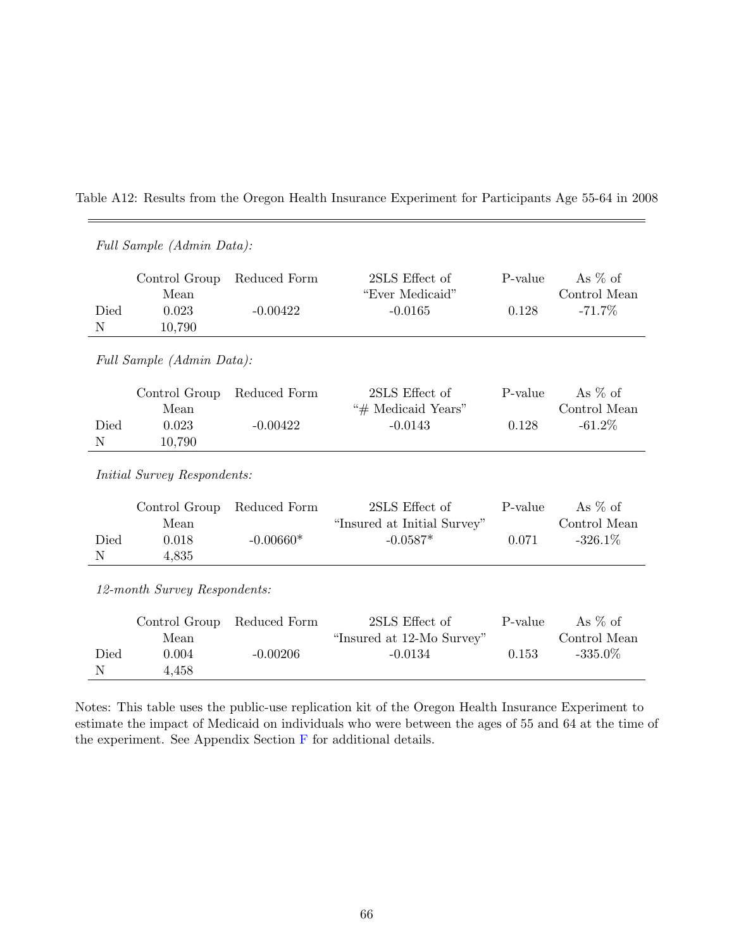<span id="page-68-0"></span>

| Table A12: Results from the Oregon Health Insurance Experiment for Participants Age 55-64 in 2008 |  |  |  |
|---------------------------------------------------------------------------------------------------|--|--|--|
|---------------------------------------------------------------------------------------------------|--|--|--|

|                     | Full Sample (Admin Data):          |              |                                               |         |                           |
|---------------------|------------------------------------|--------------|-----------------------------------------------|---------|---------------------------|
|                     | Control Group<br>Mean              | Reduced Form | 2SLS Effect of<br>"Ever Medicaid"             | P-value | As $%$ of<br>Control Mean |
| Died<br>Ν           | 0.023<br>10,790                    | $-0.00422$   | $-0.0165$                                     | 0.128   | $-71.7%$                  |
|                     | Full Sample (Admin Data):          |              |                                               |         |                           |
|                     | Control Group<br>Mean              | Reduced Form | 2SLS Effect of<br>"# Medicaid Years"          | P-value | As $%$ of<br>Control Mean |
| Died<br>$\mathbf N$ | 0.023<br>10,790                    | $-0.00422$   | $-0.0143$                                     | 0.128   | $-61.2\%$                 |
|                     | <i>Initial Survey Respondents:</i> |              |                                               |         |                           |
|                     | Control Group<br>Mean              | Reduced Form | 2SLS Effect of<br>"Insured at Initial Survey" | P-value | As $%$ of<br>Control Mean |
| Died<br>N           | 0.018<br>4,835                     | $-0.00660*$  | $-0.0587*$                                    | 0.071   | $-326.1\%$                |
|                     | 12-month Survey Respondents:       |              |                                               |         |                           |
|                     | Control Group<br>Mean              | Reduced Form | 2SLS Effect of<br>"Insured at 12-Mo Survey"   | P-value | As $%$ of<br>Control Mean |
| Died<br>N           | 0.004<br>4,458                     | $-0.00206$   | $-0.0134$                                     | 0.153   | $-335.0\%$                |

Notes: This table uses the public-use replication kit of the Oregon Health Insurance Experiment to estimate the impact of Medicaid on individuals who were between the ages of 55 and 64 at the time of the experiment. See Appendix Section  ${\mathcal F}$  ${\mathcal F}$  ${\mathcal F}$  for additional details.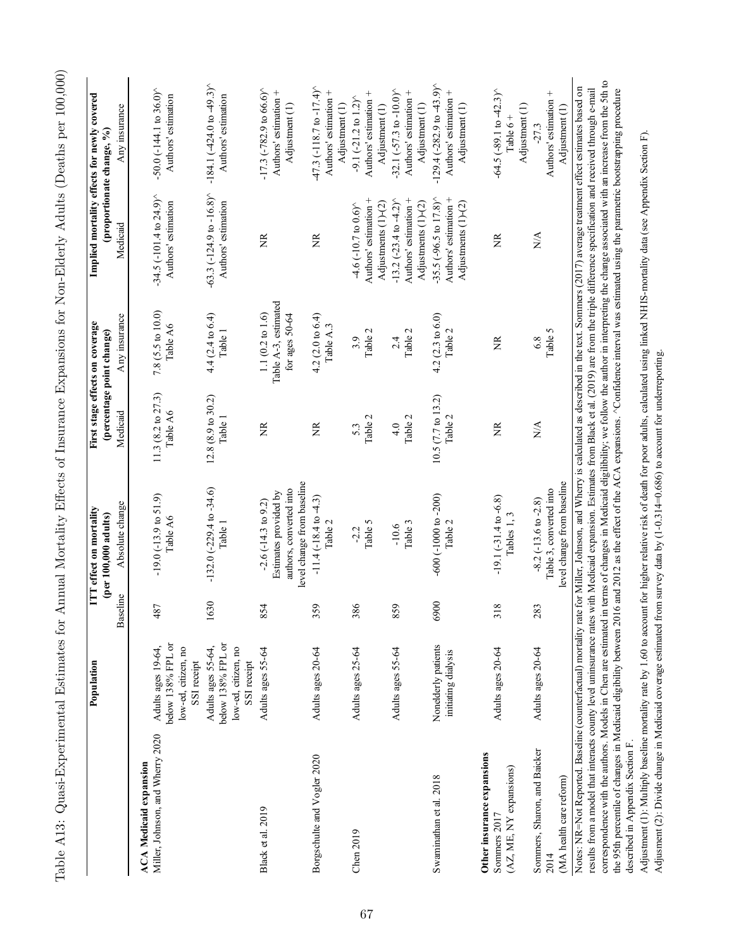<span id="page-69-0"></span>

|                                                                       | Population                                                                                   |          | ITT effect on mortality<br>(per 100,000 adults)                                                                 | First stage effects on coverage         | (percentage point change)                                              |                                                                                                             | Implied mortality effects for newly covered<br>(proportionate change, %)                             |
|-----------------------------------------------------------------------|----------------------------------------------------------------------------------------------|----------|-----------------------------------------------------------------------------------------------------------------|-----------------------------------------|------------------------------------------------------------------------|-------------------------------------------------------------------------------------------------------------|------------------------------------------------------------------------------------------------------|
|                                                                       |                                                                                              | Baseline | Absolute change                                                                                                 | Medicaid                                | Any insurance                                                          | Medicaid                                                                                                    | Any insurance                                                                                        |
| Miller, Johnson, and Wherry 2020<br><b>ACA</b> Medicaid expansion     | below 138% FPL or<br>Adults ages 19-64,<br>low-ed, citizen, no                               | 487      | $-19.0(-13.9 \text{ to } 51.9)$<br>Table A6                                                                     | 11.3 (8.2 to 27.3)<br>Table A6          | 7.8 (5.5 to 10.0)<br>Table A6                                          | $-34.5 (-101.4 to 24.9)^{\circ}$<br>Authors' estimation                                                     | $-50.0$ ( $-144.1$ to 36.0) <sup><math>\land</math></sup><br>Authors' estimation                     |
|                                                                       | below 138% FPL or<br>Adults ages 55-64,<br>low-ed, citizen, no<br>SSI receipt<br>SSI receipt | 1630     | $-132.0(-229.4 to -34.6)$<br>Table 1                                                                            | $12.8(8.9 \text{ to } 30.2)$<br>Table 1 | 4.4 (2.4 to 6.4)<br>Table 1                                            | $-63.3$ ( $-124.9$ to $-16.8$ ) <sup>*</sup><br>Authors' estimation                                         | $-184.1(-424.0 to 49.3)$<br>Authors' estimation                                                      |
| Black et al. 2019                                                     | Adults ages 55-64                                                                            | 854      | level change from baseline<br>authors, converted into<br>Estimates provided by<br>$-2.6(-14.3 \text{ to } 9.2)$ | ã                                       | Table A-3, estimated<br>$1.1(0.2 \text{ to } 1.6)$<br>for ages $50-64$ | ã                                                                                                           | $-17.3$ ( $-782.9$ to 66.6) <sup><math>\circ</math></sup><br>Authors' estimation +<br>Adjustment (1) |
| Borgschulte and Vogler 2020                                           | Adults ages 20-64                                                                            | 359      | $-11.4(-18.4 \text{ to } -4.3)$<br>Table 2                                                                      | Ž                                       | $4.2(2.0 \text{ to } 6.4)$<br>Table A.3                                | Ž                                                                                                           | $-47.3$ (-118.7 to -17.4) <sup><math>\circ</math></sup><br>Authors' estimation +<br>Adjustment (1)   |
| Chen 2019                                                             | Adults ages 25-64                                                                            | 386      | Table 5<br>$-2.2$                                                                                               | Table 2<br>5.3                          | Table 2<br>3.9                                                         | Authors' estimation +<br>Adjustments (1)-(2)<br>$-4.6$ (-10.7 to 0.6) $\land$                               | Authors' estimation +<br>$-9.1 (-21.2$ to $1.2)$ <sup>*</sup><br>Adjustment (1)                      |
|                                                                       | Adults ages 55-64                                                                            | 859      | Table 3<br>$-10.6$                                                                                              | Table 2<br>4.0                          | Table 2<br>2.4                                                         | $-13.2(-23.4 \text{ to } 4.2)$ <sup>*</sup><br>Authors' estimation +<br>Adjustments (1)-(2)                 | $-32.1 (-57.3 to -10.0)^{6}$<br>Authors' estimation +<br>Adjustment (1)                              |
| Swaminathan et al. 2018                                               | Nonelderly patients<br>initiating dialysis                                                   | 6900     | $-600$ $(-1000$ to $-200)$<br>Table 2                                                                           | 10.5 (7.7 to 13.2)<br>Table 2           | $4.2(2.3 \text{ to } 6.0)$<br>Table 2                                  | $-35.5$ ( $-96.5$ to $17.8$ ) <sup><math>\circ</math></sup><br>Authors' estimation +<br>Adjustments (1)-(2) | $-129.4 (-282.9 to 43.9)^{6}$<br>Authors' estimation +<br>Adjustment (1)                             |
| Other insurance expansions<br>(AZ, ME, NY expansions)<br>Sommers 2017 | Adults ages 20-64                                                                            | 318      | $-19.1(-31.4 to -6.8)$<br>Tables 1, 3                                                                           | ã                                       | ã                                                                      | $\widetilde{\Xi}$                                                                                           | $-64.5$ $(-89.1$ to $-42.3$ ) <sup><math>\circ</math></sup><br>Adjustment (1)<br>Table $6 +$         |
| Sommers, Sharon, and Baicker<br>(MA health care reform)<br>2014       | Adults ages 20-64                                                                            | 283      | level change from baseline<br>Table 3, converted into<br>$-8.2(-13.6 \text{ to } -2.8)$                         | N/A                                     | Table 5<br>6.8                                                         | N/A                                                                                                         | Authors' estimation +<br>Adjustment (1)<br>$-27.3$                                                   |

Table A13: Quasi-Experimental Estimates for Annual Mortality Effects of Insurance Expansions for Non-Elderly Adults (Deaths per 100,000) Table A13: Quasi-Experimental Estimates for Annual Mortality Effects of Insurance Expansions for Non-Elderly Adults (Deaths per 100,000)

correspondence with the authors. Models in Chen are estimated in terms of changes in Medicaid eligilibility; we follow the author in interpreting the change associated with an increase from the 5th to the 95th percentile o correspondence with the authors. Models in Chen are estimated in terms of changes in Medicaid eligilibility; we follow the author in interpreting the change associated with an increase from the 5th to the 95th percentile of changes in Medicaid eligibility between 2016 and 2012 as the effect of the ACA expansions. ^Confidence interval was estimated using the parametric bootstrapping procedure described in Appendix Section F. described in Appendix Section F.

Adjustment (1): Multiply baseline mortality rate by 1.60 to account for higher relative risk of death for poor adults, calculated using linked NHIS-mortality data (see Appendix Section F). Adjustment (1): Multiply baseline mortality rate by 1.60 to account for higher relative risk of death for poor adults, calculated using linked NHIS-mortality data (see Appendix Section F). Adjusment (2): Divide change in Medicaid coverage estimated from survey data by (1-0.314=0.686) to account for underreporting. Adjusment (2): Divide change in Medicaid coverage estimated from survey data by (1-0.314=0.686) to account for underreporting.